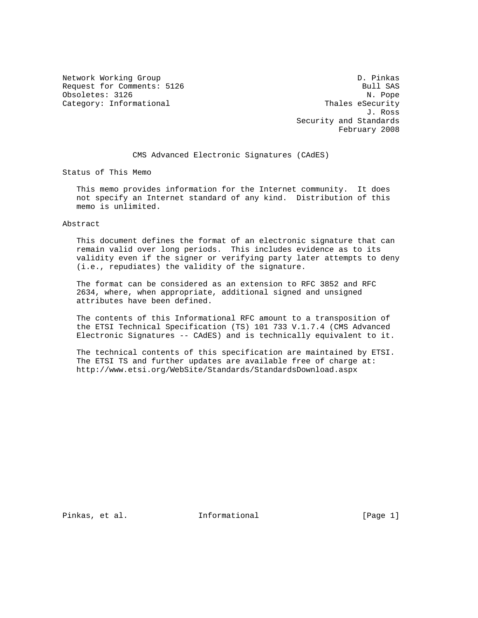Network Working Group D. Pinkas Request for Comments: 5126 Bull SAS Obsoletes: 3126 N. Pope Category: Informational Thales eSecurity

 J. Ross Security and Standards February 2008

CMS Advanced Electronic Signatures (CAdES)

Status of This Memo

 This memo provides information for the Internet community. It does not specify an Internet standard of any kind. Distribution of this memo is unlimited.

## Abstract

 This document defines the format of an electronic signature that can remain valid over long periods. This includes evidence as to its validity even if the signer or verifying party later attempts to deny (i.e., repudiates) the validity of the signature.

 The format can be considered as an extension to RFC 3852 and RFC 2634, where, when appropriate, additional signed and unsigned attributes have been defined.

 The contents of this Informational RFC amount to a transposition of the ETSI Technical Specification (TS) 101 733 V.1.7.4 (CMS Advanced Electronic Signatures -- CAdES) and is technically equivalent to it.

 The technical contents of this specification are maintained by ETSI. The ETSI TS and further updates are available free of charge at: http://www.etsi.org/WebSite/Standards/StandardsDownload.aspx

Pinkas, et al. Informational [Page 1]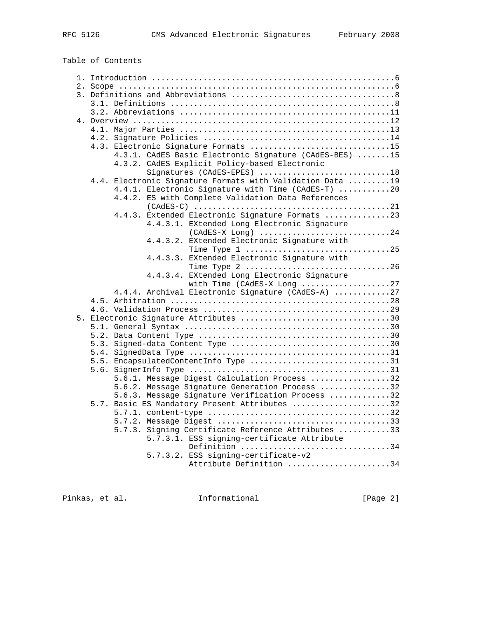Table of Contents

| 4.3. Electronic Signature Formats 15                      |
|-----------------------------------------------------------|
| 4.3.1. CAdES Basic Electronic Signature (CAdES-BES) 15    |
| 4.3.2. CAdES Explicit Policy-based Electronic             |
| Signatures (CAdES-EPES) 18                                |
| 4.4. Electronic Signature Formats with Validation Data 19 |
| 4.4.1. Electronic Signature with Time (CAdES-T) 20        |
| 4.4.2. ES with Complete Validation Data References        |
|                                                           |
| 4.4.3. Extended Electronic Signature Formats 23           |
| 4.4.3.1. EXtended Long Electronic Signature               |
|                                                           |
| 4.4.3.2. EXtended Electronic Signature with               |
|                                                           |
| 4.4.3.3. EXtended Electronic Signature with               |
| Time Type 2 26                                            |
| 4.4.3.4. EXtended Long Electronic Signature               |
| with Time (CAdES-X Long 27                                |
| 4.4.4. Archival Electronic Signature (CAdES-A) 27         |
|                                                           |
|                                                           |
| 5. Electronic Signature Attributes 30                     |
|                                                           |
|                                                           |
|                                                           |
|                                                           |
| 5.5. EncapsulatedContentInfo Type 31                      |
|                                                           |
| 5.6.1. Message Digest Calculation Process 32              |
| 5.6.2. Message Signature Generation Process 32            |
| 5.6.3. Message Signature Verification Process 32          |
| 5.7. Basic ES Mandatory Present Attributes 32             |
|                                                           |
|                                                           |
| 5.7.3. Signing Certificate Reference Attributes 33        |
| 5.7.3.1. ESS signing-certificate Attribute                |
| Definition 34                                             |
| 5.7.3.2. ESS signing-certificate-v2                       |
| Attribute Definition 34                                   |
|                                                           |
|                                                           |

Pinkas, et al. 1nformational [Page 2]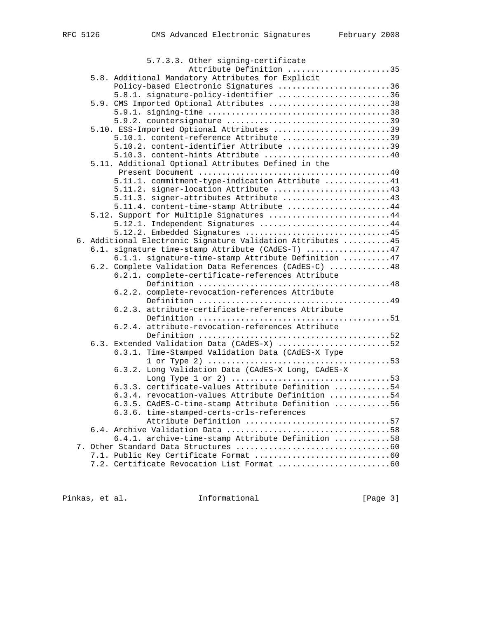| 5.7.3.3. Other signing-certificate                                                              |
|-------------------------------------------------------------------------------------------------|
| Attribute Definition 35                                                                         |
| 5.8. Additional Mandatory Attributes for Explicit                                               |
| Policy-based Electronic Signatures 36                                                           |
| 5.8.1. signature-policy-identifier 36                                                           |
| 5.9. CMS Imported Optional Attributes 38                                                        |
|                                                                                                 |
|                                                                                                 |
| 5.10. ESS-Imported Optional Attributes 39                                                       |
| 5.10.1. content-reference Attribute 39                                                          |
| 5.10.2. content-identifier Attribute 39                                                         |
| 5.10.3. content-hints Attribute 40                                                              |
| 5.11. Additional Optional Attributes Defined in the                                             |
|                                                                                                 |
| 5.11.1. commitment-type-indication Attribute 41                                                 |
| 5.11.2. signer-location Attribute 43                                                            |
| 5.11.3. signer-attributes Attribute 43                                                          |
| 5.11.4. content-time-stamp Attribute 44                                                         |
| 5.12. Support for Multiple Signatures 44                                                        |
| 5.12.1. Independent Signatures 44                                                               |
| 5.12.2. Embedded Signatures 45                                                                  |
| 6. Additional Electronic Signature Validation Attributes 45                                     |
| 6.1. signature time-stamp Attribute (CAdES-T) 47                                                |
| 6.1.1. signature-time-stamp Attribute Definition  47                                            |
| 6.2. Complete Validation Data References (CAdES-C) 48                                           |
| 6.2.1. complete-certificate-references Attribute                                                |
|                                                                                                 |
| 6.2.2. complete-revocation-references Attribute                                                 |
|                                                                                                 |
| 6.2.3. attribute-certificate-references Attribute                                               |
|                                                                                                 |
| 6.2.4. attribute-revocation-references Attribute                                                |
|                                                                                                 |
| 6.3. Extended Validation Data (CAdES-X) 52<br>6.3.1. Time-Stamped Validation Data (CAdES-X Type |
|                                                                                                 |
| 6.3.2. Long Validation Data (CAdES-X Long, CAdES-X                                              |
|                                                                                                 |
| 6.3.3. certificate-values Attribute Definition 54                                               |
| 6.3.4. revocation-values Attribute Definition 54                                                |
| 6.3.5. CAdES-C-time-stamp Attribute Definition 56                                               |
| 6.3.6. time-stamped-certs-crls-references                                                       |
| Attribute Definition 57                                                                         |
|                                                                                                 |
| 6.4.1. archive-time-stamp Attribute Definition 58                                               |
|                                                                                                 |
|                                                                                                 |
|                                                                                                 |
|                                                                                                 |

Pinkas, et al. 1nformational 1999 [Page 3]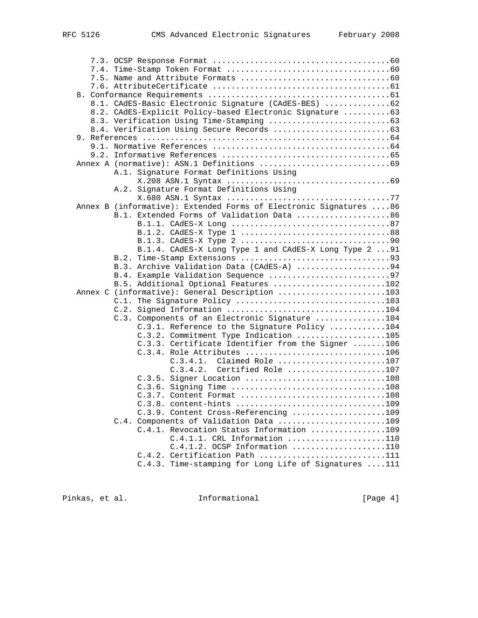| 8.1. CAdES-Basic Electronic Signature (CAdES-BES) 62               |  |
|--------------------------------------------------------------------|--|
| 8.2. CAdES-Explicit Policy-based Electronic Signature  63          |  |
|                                                                    |  |
|                                                                    |  |
|                                                                    |  |
|                                                                    |  |
|                                                                    |  |
|                                                                    |  |
| A.1. Signature Format Definitions Using                            |  |
|                                                                    |  |
| A.2. Signature Format Definitions Using                            |  |
|                                                                    |  |
| Annex B (informative): Extended Forms of Electronic Signatures  86 |  |
| B.1. Extended Forms of Validation Data 86                          |  |
|                                                                    |  |
|                                                                    |  |
|                                                                    |  |
| B.1.4. CAdES-X Long Type 1 and CAdES-X Long Type 2  91             |  |
|                                                                    |  |
| B.3. Archive Validation Data (CAdES-A) 94                          |  |
| B.4. Example Validation Sequence 97                                |  |
| B.5. Additional Optional Features 102                              |  |
| Annex C (informative): General Description 103                     |  |
| C.1. The Signature Policy 103                                      |  |
|                                                                    |  |
| C.3. Components of an Electronic Signature 104                     |  |
| C.3.1. Reference to the Signature Policy 104                       |  |
| C.3.2. Commitment Type Indication 105                              |  |
| C.3.3. Certificate Identifier from the Signer 106                  |  |
| C.3.4. Role Attributes 106                                         |  |
| $C.3.4.1.$ Claimed Role 107                                        |  |
| C.3.4.2.<br>Certified Role 107                                     |  |
| C.3.5. Signer Location 108                                         |  |
|                                                                    |  |
|                                                                    |  |
| C.3.8. content-hints 109                                           |  |
| C.3.9. Content Cross-Referencing 109                               |  |
| C.4. Components of Validation Data 109                             |  |
| C.4.1. Revocation Status Information 109                           |  |
| C.4.1.1. CRL Information 110                                       |  |
| $C.4.1.2.$ OCSP Information 110                                    |  |
| C.4.2. Certification Path 111                                      |  |
| C.4.3. Time-stamping for Long Life of Signatures 111               |  |
|                                                                    |  |

Pinkas, et al. 1nformational [Page 4]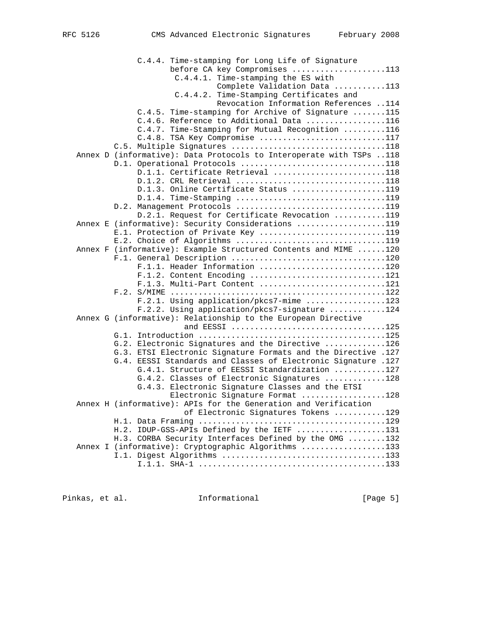C.4.4. Time-stamping for Long Life of Signature before CA key Compromises ....................113 C.4.4.1. Time-stamping the ES with Complete Validation Data ...........113 C.4.4.2. Time-Stamping Certificates and Revocation Information References ..114 C.4.5. Time-stamping for Archive of Signature .......115 C.4.6. Reference to Additional Data .................116 C.4.7. Time-Stamping for Mutual Recognition .........116 C.4.8. TSA Key Compromise ............................117 C.5. Multiple Signatures .................................118 Annex D (informative): Data Protocols to Interoperate with TSPs ..118 D.1. Operational Protocols ...............................118 D.1.1. Certificate Retrieval ........................118 D.1.2. CRL Retrieval ................................118 D.1.3. Online Certificate Status ....................119 D.1.4. Time-Stamping ................................119 D.2. Management Protocols ...................................119 D.2.1. Request for Certificate Revocation ...........119 Annex E (informative): Security Considerations ...................119 E.1. Protection of Private Key ...........................119 E.2. Choice of Algorithms ................................119 Annex F (informative): Example Structured Contents and MIME ......120 F.1. General Description .................................120 F.1.1. Header Information ...........................120 F.1.2. Content Encoding ...............................121 F.1.3. Multi-Part Content ...........................121 F.2. S/MIME ..............................................122 F.2.1. Using application/pkcs7-mime .................123 F.2.2. Using application/pkcs7-signature ............124 Annex G (informative): Relationship to the European Directive and EESSI .................................125 G.1. Introduction ........................................125 G.2. Electronic Signatures and the Directive .............126 G.3. ETSI Electronic Signature Formats and the Directive .127 G.4. EESSI Standards and Classes of Electronic Signature .127 G.4.1. Structure of EESSI Standardization ...........127 G.4.2. Classes of Electronic Signatures .............128 G.4.3. Electronic Signature Classes and the ETSI Electronic Signature Format ..................128 Annex H (informative): APIs for the Generation and Verification of Electronic Signatures Tokens ...........129 H.1. Data Framing ........................................129 H.2. IDUP-GSS-APIs Defined by the IETF ...................131 H.3. CORBA Security Interfaces Defined by the OMG ........132 Annex I (informative): Cryptographic Algorithms ..................133 I.1. Digest Algorithms ...................................133 I.1.1. SHA-1 ........................................133

Pinkas, et al. 1nformational 1999 [Page 5]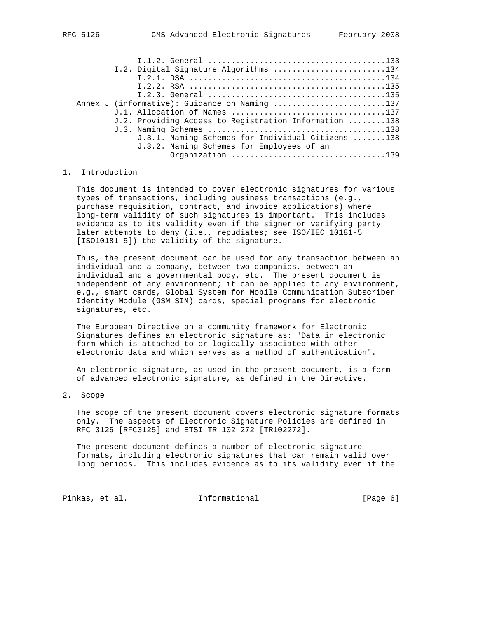|                                               |  | I.2. Digital Signature Algorithms 134                 |  |  |  |  |
|-----------------------------------------------|--|-------------------------------------------------------|--|--|--|--|
|                                               |  |                                                       |  |  |  |  |
|                                               |  |                                                       |  |  |  |  |
|                                               |  |                                                       |  |  |  |  |
| Annex J (informative): Guidance on Naming 137 |  |                                                       |  |  |  |  |
|                                               |  | J.1. Allocation of Names 137                          |  |  |  |  |
|                                               |  | J.2. Providing Access to Registration Information 138 |  |  |  |  |
|                                               |  |                                                       |  |  |  |  |
|                                               |  | J.3.1. Naming Schemes for Individual Citizens 138     |  |  |  |  |
|                                               |  | J.3.2. Naming Schemes for Employees of an             |  |  |  |  |
|                                               |  | Organization 139                                      |  |  |  |  |
|                                               |  |                                                       |  |  |  |  |

# 1. Introduction

 This document is intended to cover electronic signatures for various types of transactions, including business transactions (e.g., purchase requisition, contract, and invoice applications) where long-term validity of such signatures is important. This includes evidence as to its validity even if the signer or verifying party later attempts to deny (i.e., repudiates; see ISO/IEC 10181-5 [ISO10181-5]) the validity of the signature.

 Thus, the present document can be used for any transaction between an individual and a company, between two companies, between an individual and a governmental body, etc. The present document is independent of any environment; it can be applied to any environment, e.g., smart cards, Global System for Mobile Communication Subscriber Identity Module (GSM SIM) cards, special programs for electronic signatures, etc.

 The European Directive on a community framework for Electronic Signatures defines an electronic signature as: "Data in electronic form which is attached to or logically associated with other electronic data and which serves as a method of authentication".

 An electronic signature, as used in the present document, is a form of advanced electronic signature, as defined in the Directive.

2. Scope

 The scope of the present document covers electronic signature formats only. The aspects of Electronic Signature Policies are defined in RFC 3125 [RFC3125] and ETSI TR 102 272 [TR102272].

 The present document defines a number of electronic signature formats, including electronic signatures that can remain valid over long periods. This includes evidence as to its validity even if the

Pinkas, et al. Informational [Page 6]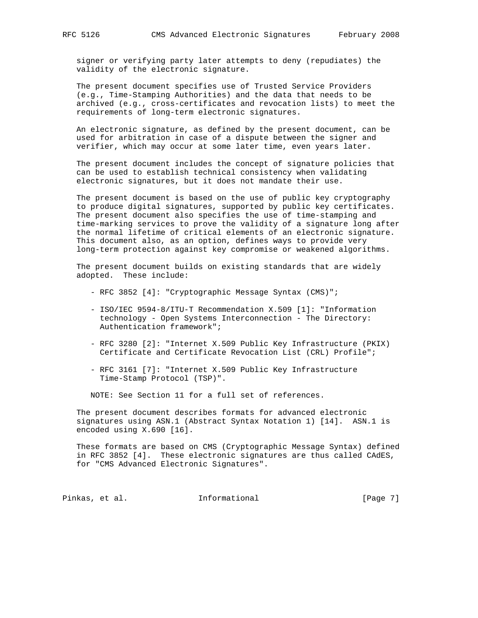signer or verifying party later attempts to deny (repudiates) the validity of the electronic signature.

 The present document specifies use of Trusted Service Providers (e.g., Time-Stamping Authorities) and the data that needs to be archived (e.g., cross-certificates and revocation lists) to meet the requirements of long-term electronic signatures.

 An electronic signature, as defined by the present document, can be used for arbitration in case of a dispute between the signer and verifier, which may occur at some later time, even years later.

 The present document includes the concept of signature policies that can be used to establish technical consistency when validating electronic signatures, but it does not mandate their use.

 The present document is based on the use of public key cryptography to produce digital signatures, supported by public key certificates. The present document also specifies the use of time-stamping and time-marking services to prove the validity of a signature long after the normal lifetime of critical elements of an electronic signature. This document also, as an option, defines ways to provide very long-term protection against key compromise or weakened algorithms.

 The present document builds on existing standards that are widely adopted. These include:

- RFC 3852 [4]: "Cryptographic Message Syntax (CMS)";
- ISO/IEC 9594-8/ITU-T Recommendation X.509 [1]: "Information technology - Open Systems Interconnection - The Directory: Authentication framework";
- RFC 3280 [2]: "Internet X.509 Public Key Infrastructure (PKIX) Certificate and Certificate Revocation List (CRL) Profile";
- RFC 3161 [7]: "Internet X.509 Public Key Infrastructure Time-Stamp Protocol (TSP)".

NOTE: See Section 11 for a full set of references.

 The present document describes formats for advanced electronic signatures using ASN.1 (Abstract Syntax Notation 1) [14]. ASN.1 is encoded using X.690 [16].

 These formats are based on CMS (Cryptographic Message Syntax) defined in RFC 3852 [4]. These electronic signatures are thus called CAdES, for "CMS Advanced Electronic Signatures".

Pinkas, et al. 1nformational 1998 [Page 7]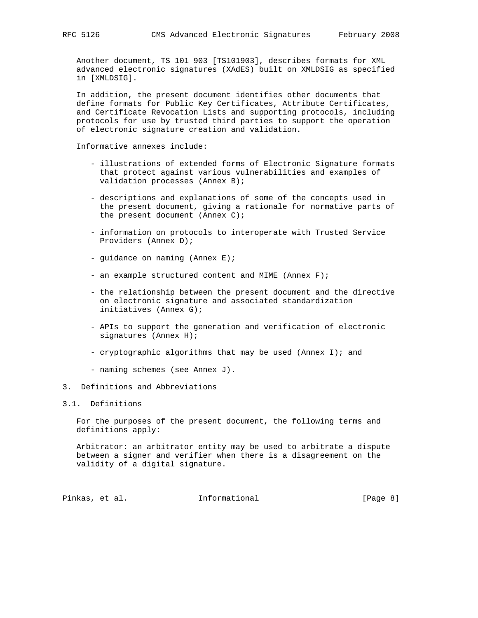Another document, TS 101 903 [TS101903], describes formats for XML advanced electronic signatures (XAdES) built on XMLDSIG as specified in [XMLDSIG].

 In addition, the present document identifies other documents that define formats for Public Key Certificates, Attribute Certificates, and Certificate Revocation Lists and supporting protocols, including protocols for use by trusted third parties to support the operation of electronic signature creation and validation.

Informative annexes include:

- illustrations of extended forms of Electronic Signature formats that protect against various vulnerabilities and examples of validation processes (Annex B);
- descriptions and explanations of some of the concepts used in the present document, giving a rationale for normative parts of the present document (Annex C);
- information on protocols to interoperate with Trusted Service Providers (Annex D);
- guidance on naming (Annex E);
- an example structured content and MIME (Annex F);
- the relationship between the present document and the directive on electronic signature and associated standardization initiatives (Annex G);
- APIs to support the generation and verification of electronic signatures (Annex H);
- cryptographic algorithms that may be used (Annex I); and
- naming schemes (see Annex J).
- 3. Definitions and Abbreviations

### 3.1. Definitions

 For the purposes of the present document, the following terms and definitions apply:

 Arbitrator: an arbitrator entity may be used to arbitrate a dispute between a signer and verifier when there is a disagreement on the validity of a digital signature.

Pinkas, et al. Informational [Page 8]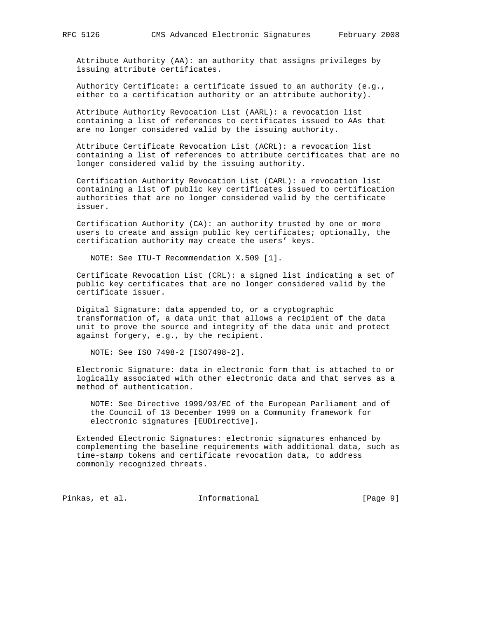Attribute Authority (AA): an authority that assigns privileges by issuing attribute certificates.

 Authority Certificate: a certificate issued to an authority (e.g., either to a certification authority or an attribute authority).

 Attribute Authority Revocation List (AARL): a revocation list containing a list of references to certificates issued to AAs that are no longer considered valid by the issuing authority.

 Attribute Certificate Revocation List (ACRL): a revocation list containing a list of references to attribute certificates that are no longer considered valid by the issuing authority.

 Certification Authority Revocation List (CARL): a revocation list containing a list of public key certificates issued to certification authorities that are no longer considered valid by the certificate issuer.

 Certification Authority (CA): an authority trusted by one or more users to create and assign public key certificates; optionally, the certification authority may create the users' keys.

NOTE: See ITU-T Recommendation X.509 [1].

 Certificate Revocation List (CRL): a signed list indicating a set of public key certificates that are no longer considered valid by the certificate issuer.

 Digital Signature: data appended to, or a cryptographic transformation of, a data unit that allows a recipient of the data unit to prove the source and integrity of the data unit and protect against forgery, e.g., by the recipient.

NOTE: See ISO 7498-2 [ISO7498-2].

 Electronic Signature: data in electronic form that is attached to or logically associated with other electronic data and that serves as a method of authentication.

 NOTE: See Directive 1999/93/EC of the European Parliament and of the Council of 13 December 1999 on a Community framework for electronic signatures [EUDirective].

 Extended Electronic Signatures: electronic signatures enhanced by complementing the baseline requirements with additional data, such as time-stamp tokens and certificate revocation data, to address commonly recognized threats.

Pinkas, et al. 1nformational 1999 [Page 9]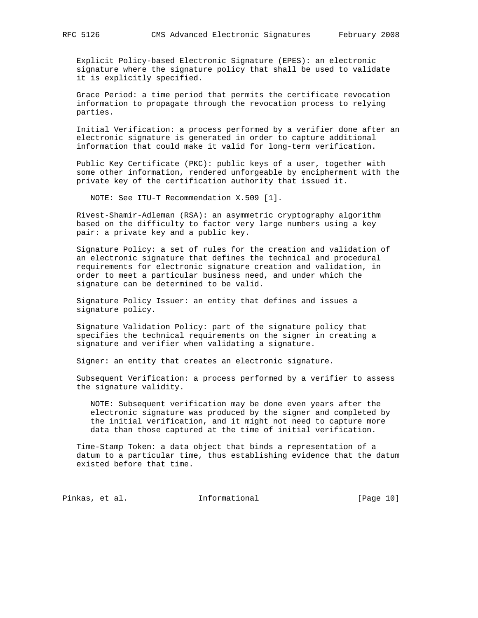Explicit Policy-based Electronic Signature (EPES): an electronic signature where the signature policy that shall be used to validate it is explicitly specified.

 Grace Period: a time period that permits the certificate revocation information to propagate through the revocation process to relying parties.

 Initial Verification: a process performed by a verifier done after an electronic signature is generated in order to capture additional information that could make it valid for long-term verification.

 Public Key Certificate (PKC): public keys of a user, together with some other information, rendered unforgeable by encipherment with the private key of the certification authority that issued it.

NOTE: See ITU-T Recommendation X.509 [1].

 Rivest-Shamir-Adleman (RSA): an asymmetric cryptography algorithm based on the difficulty to factor very large numbers using a key pair: a private key and a public key.

 Signature Policy: a set of rules for the creation and validation of an electronic signature that defines the technical and procedural requirements for electronic signature creation and validation, in order to meet a particular business need, and under which the signature can be determined to be valid.

 Signature Policy Issuer: an entity that defines and issues a signature policy.

 Signature Validation Policy: part of the signature policy that specifies the technical requirements on the signer in creating a signature and verifier when validating a signature.

Signer: an entity that creates an electronic signature.

 Subsequent Verification: a process performed by a verifier to assess the signature validity.

 NOTE: Subsequent verification may be done even years after the electronic signature was produced by the signer and completed by the initial verification, and it might not need to capture more data than those captured at the time of initial verification.

 Time-Stamp Token: a data object that binds a representation of a datum to a particular time, thus establishing evidence that the datum existed before that time.

Pinkas, et al. 1nformational [Page 10]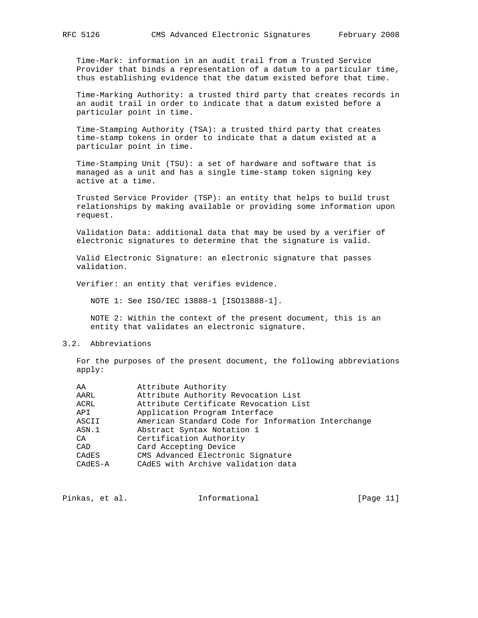Time-Mark: information in an audit trail from a Trusted Service Provider that binds a representation of a datum to a particular time, thus establishing evidence that the datum existed before that time.

 Time-Marking Authority: a trusted third party that creates records in an audit trail in order to indicate that a datum existed before a particular point in time.

 Time-Stamping Authority (TSA): a trusted third party that creates time-stamp tokens in order to indicate that a datum existed at a particular point in time.

 Time-Stamping Unit (TSU): a set of hardware and software that is managed as a unit and has a single time-stamp token signing key active at a time.

 Trusted Service Provider (TSP): an entity that helps to build trust relationships by making available or providing some information upon request.

 Validation Data: additional data that may be used by a verifier of electronic signatures to determine that the signature is valid.

 Valid Electronic Signature: an electronic signature that passes validation.

Verifier: an entity that verifies evidence.

NOTE 1: See ISO/IEC 13888-1 [ISO13888-1].

 NOTE 2: Within the context of the present document, this is an entity that validates an electronic signature.

#### 3.2. Abbreviations

 For the purposes of the present document, the following abbreviations apply:

| AA        | Attribute Authority                                |
|-----------|----------------------------------------------------|
| AARL      | Attribute Authority Revocation List                |
| ACRL      | Attribute Certificate Revocation List              |
| API       | Application Program Interface                      |
| ASCII     | American Standard Code for Information Interchange |
| ASN.1     | Abstract Syntax Notation 1                         |
| CA        | Certification Authority                            |
| CAD       | Card Accepting Device                              |
| CADES     | CMS Advanced Electronic Signature                  |
| $CAdES-A$ | CAdES with Archive validation data                 |
|           |                                                    |

| Pinkas, et al.<br>Informational | [Page $11$ ] |
|---------------------------------|--------------|
|---------------------------------|--------------|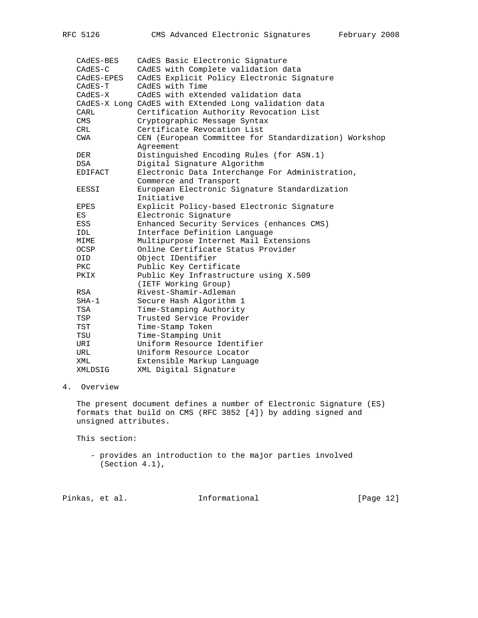| CAdES-BES      | CAdES Basic Electronic Signature                      |
|----------------|-------------------------------------------------------|
| $CAdES-C$      | CAdES with Complete validation data                   |
| CAdES-EPES     | CAdES Explicit Policy Electronic Signature            |
| CAdES-T        | CAdES with Time                                       |
| $CAdES-X$      | CAdES with eXtended validation data                   |
|                | CAdES-X Long CAdES with EXtended Long validation data |
| CARL           | Certification Authority Revocation List               |
| <b>CMS</b>     | Cryptographic Message Syntax                          |
| CRL            | Certificate Revocation List                           |
| CWA            | CEN (European Committee for Standardization) Workshop |
|                | Agreement                                             |
| DER            | Distinguished Encoding Rules (for ASN.1)              |
| DSA            | Digital Signature Algorithm                           |
| <b>EDIFACT</b> | Electronic Data Interchange For Administration,       |
|                | Commerce and Transport                                |
| EESSI          | European Electronic Signature Standardization         |
|                | Initiative                                            |
| EPES           | Explicit Policy-based Electronic Signature            |
| ES             | Electronic Signature                                  |
| ESS            | Enhanced Security Services (enhances CMS)             |
| IDL            | Interface Definition Language                         |
| MIME           | Multipurpose Internet Mail Extensions                 |
| OCSP           | Online Certificate Status Provider                    |
| OID            | Object IDentifier                                     |
| PKC.           | Public Key Certificate                                |
| PKIX           | Public Key Infrastructure using X.509                 |
|                | (IETF Working Group)                                  |
| RSA            | Rivest-Shamir-Adleman                                 |
| SHA-1          | Secure Hash Algorithm 1                               |
| TSA            | Time-Stamping Authority                               |
| TSP            | Trusted Service Provider                              |
| TST            | Time-Stamp Token                                      |
| TSU            | Time-Stamping Unit                                    |
| URI            | Uniform Resource Identifier                           |
| URL            | Uniform Resource Locator                              |
| XML            | Extensible Markup Language                            |
| XMLDSIG        | XML Digital Signature                                 |

# 4. Overview

 The present document defines a number of Electronic Signature (ES) formats that build on CMS (RFC 3852 [4]) by adding signed and unsigned attributes.

This section:

 - provides an introduction to the major parties involved (Section 4.1),

| Pinkas, et al.<br>Informational | [Page 12] |
|---------------------------------|-----------|
|---------------------------------|-----------|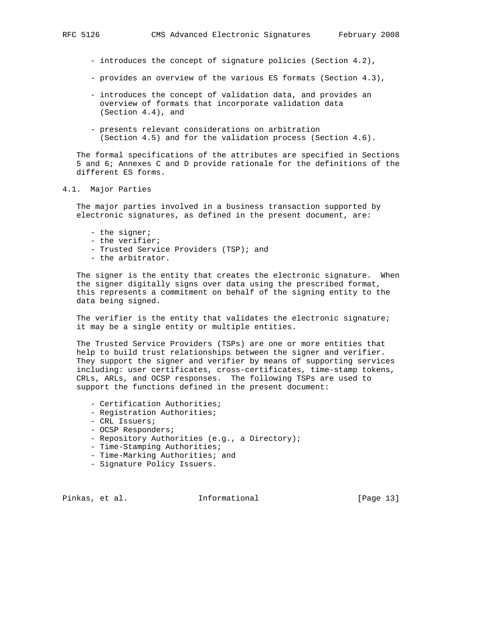- introduces the concept of signature policies (Section 4.2),
- provides an overview of the various ES formats (Section 4.3),
- introduces the concept of validation data, and provides an overview of formats that incorporate validation data (Section 4.4), and
- presents relevant considerations on arbitration (Section 4.5) and for the validation process (Section 4.6).

 The formal specifications of the attributes are specified in Sections 5 and 6; Annexes C and D provide rationale for the definitions of the different ES forms.

#### 4.1. Major Parties

 The major parties involved in a business transaction supported by electronic signatures, as defined in the present document, are:

- the signer;
- the verifier;
- Trusted Service Providers (TSP); and
- the arbitrator.

 The signer is the entity that creates the electronic signature. When the signer digitally signs over data using the prescribed format, this represents a commitment on behalf of the signing entity to the data being signed.

The verifier is the entity that validates the electronic signature; it may be a single entity or multiple entities.

 The Trusted Service Providers (TSPs) are one or more entities that help to build trust relationships between the signer and verifier. They support the signer and verifier by means of supporting services including: user certificates, cross-certificates, time-stamp tokens, CRLs, ARLs, and OCSP responses. The following TSPs are used to support the functions defined in the present document:

- Certification Authorities;
- Registration Authorities;
- CRL Issuers;
- OCSP Responders;
- Repository Authorities (e.g., a Directory);
- Time-Stamping Authorities;
- Time-Marking Authorities; and
- Signature Policy Issuers.

Pinkas, et al. Informational [Page 13]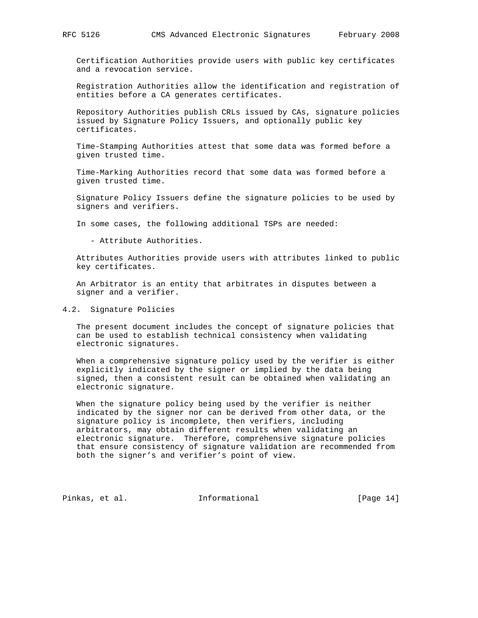Certification Authorities provide users with public key certificates and a revocation service.

 Registration Authorities allow the identification and registration of entities before a CA generates certificates.

 Repository Authorities publish CRLs issued by CAs, signature policies issued by Signature Policy Issuers, and optionally public key certificates.

 Time-Stamping Authorities attest that some data was formed before a given trusted time.

 Time-Marking Authorities record that some data was formed before a given trusted time.

 Signature Policy Issuers define the signature policies to be used by signers and verifiers.

In some cases, the following additional TSPs are needed:

- Attribute Authorities.

 Attributes Authorities provide users with attributes linked to public key certificates.

 An Arbitrator is an entity that arbitrates in disputes between a signer and a verifier.

## 4.2. Signature Policies

 The present document includes the concept of signature policies that can be used to establish technical consistency when validating electronic signatures.

 When a comprehensive signature policy used by the verifier is either explicitly indicated by the signer or implied by the data being signed, then a consistent result can be obtained when validating an electronic signature.

 When the signature policy being used by the verifier is neither indicated by the signer nor can be derived from other data, or the signature policy is incomplete, then verifiers, including arbitrators, may obtain different results when validating an electronic signature. Therefore, comprehensive signature policies that ensure consistency of signature validation are recommended from both the signer's and verifier's point of view.

Pinkas, et al. 1nformational [Page 14]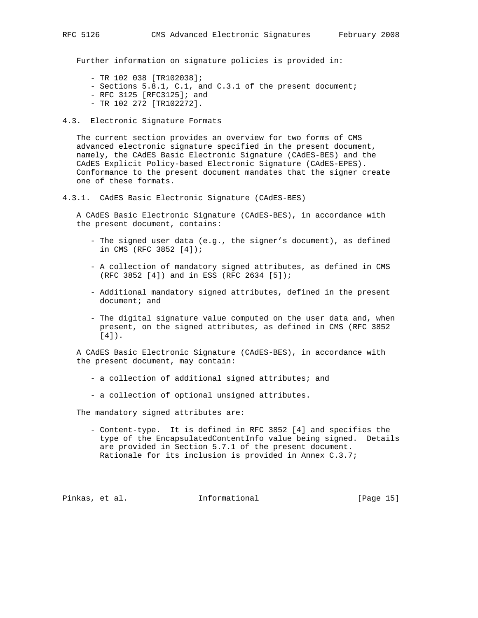Further information on signature policies is provided in:

- TR 102 038 [TR102038];
- Sections 5.8.1, C.1, and C.3.1 of the present document;
- RFC 3125 [RFC3125]; and
- TR 102 272 [TR102272].
- 4.3. Electronic Signature Formats

 The current section provides an overview for two forms of CMS advanced electronic signature specified in the present document, namely, the CAdES Basic Electronic Signature (CAdES-BES) and the CAdES Explicit Policy-based Electronic Signature (CAdES-EPES). Conformance to the present document mandates that the signer create one of these formats.

4.3.1. CAdES Basic Electronic Signature (CAdES-BES)

 A CAdES Basic Electronic Signature (CAdES-BES), in accordance with the present document, contains:

- The signed user data (e.g., the signer's document), as defined in CMS (RFC 3852 [4]);
- A collection of mandatory signed attributes, as defined in CMS (RFC 3852 [4]) and in ESS (RFC 2634 [5]);
- Additional mandatory signed attributes, defined in the present document; and
- The digital signature value computed on the user data and, when present, on the signed attributes, as defined in CMS (RFC 3852 [4]).

 A CAdES Basic Electronic Signature (CAdES-BES), in accordance with the present document, may contain:

- a collection of additional signed attributes; and
- a collection of optional unsigned attributes.

The mandatory signed attributes are:

 - Content-type. It is defined in RFC 3852 [4] and specifies the type of the EncapsulatedContentInfo value being signed. Details are provided in Section 5.7.1 of the present document. Rationale for its inclusion is provided in Annex C.3.7;

Pinkas, et al. Informational [Page 15]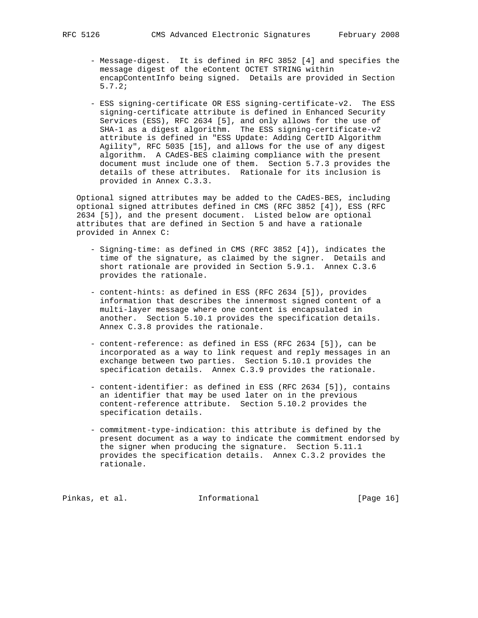- Message-digest. It is defined in RFC 3852 [4] and specifies the message digest of the eContent OCTET STRING within encapContentInfo being signed. Details are provided in Section 5.7.2;
- ESS signing-certificate OR ESS signing-certificate-v2. The ESS signing-certificate attribute is defined in Enhanced Security Services (ESS), RFC 2634 [5], and only allows for the use of SHA-1 as a digest algorithm. The ESS signing-certificate-v2 attribute is defined in "ESS Update: Adding CertID Algorithm Agility", RFC 5035 [15], and allows for the use of any digest algorithm. A CAdES-BES claiming compliance with the present document must include one of them. Section 5.7.3 provides the details of these attributes. Rationale for its inclusion is provided in Annex C.3.3.

 Optional signed attributes may be added to the CAdES-BES, including optional signed attributes defined in CMS (RFC 3852 [4]), ESS (RFC 2634 [5]), and the present document. Listed below are optional attributes that are defined in Section 5 and have a rationale provided in Annex C:

- Signing-time: as defined in CMS (RFC 3852 [4]), indicates the time of the signature, as claimed by the signer. Details and short rationale are provided in Section 5.9.1. Annex C.3.6 provides the rationale.
- content-hints: as defined in ESS (RFC 2634 [5]), provides information that describes the innermost signed content of a multi-layer message where one content is encapsulated in another. Section 5.10.1 provides the specification details. Annex C.3.8 provides the rationale.
- content-reference: as defined in ESS (RFC 2634 [5]), can be incorporated as a way to link request and reply messages in an exchange between two parties. Section 5.10.1 provides the specification details. Annex C.3.9 provides the rationale.
- content-identifier: as defined in ESS (RFC 2634 [5]), contains an identifier that may be used later on in the previous content-reference attribute. Section 5.10.2 provides the specification details.
- commitment-type-indication: this attribute is defined by the present document as a way to indicate the commitment endorsed by the signer when producing the signature. Section 5.11.1 provides the specification details. Annex C.3.2 provides the rationale.

Pinkas, et al. Informational [Page 16]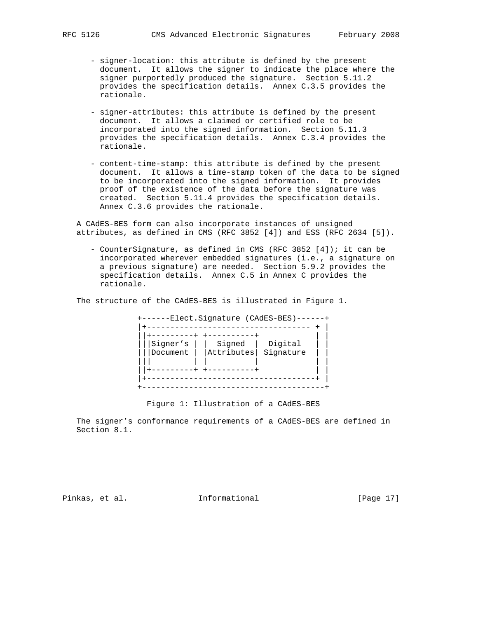- signer-location: this attribute is defined by the present document. It allows the signer to indicate the place where the signer purportedly produced the signature. Section 5.11.2 provides the specification details. Annex C.3.5 provides the rationale.
- signer-attributes: this attribute is defined by the present document. It allows a claimed or certified role to be incorporated into the signed information. Section 5.11.3 provides the specification details. Annex C.3.4 provides the rationale.
- content-time-stamp: this attribute is defined by the present document. It allows a time-stamp token of the data to be signed to be incorporated into the signed information. It provides proof of the existence of the data before the signature was created. Section 5.11.4 provides the specification details. Annex C.3.6 provides the rationale.

 A CAdES-BES form can also incorporate instances of unsigned attributes, as defined in CMS (RFC 3852 [4]) and ESS (RFC 2634 [5]).

 - CounterSignature, as defined in CMS (RFC 3852 [4]); it can be incorporated wherever embedded signatures (i.e., a signature on a previous signature) are needed. Section 5.9.2 provides the specification details. Annex C.5 in Annex C provides the rationale.

The structure of the CAdES-BES is illustrated in Figure 1.

 +------Elect.Signature (CAdES-BES)------+ |+----------------------------------- + | ||+---------+ +----------+ | | |||Signer's | | Signed | Digital | | |||Document | |Attributes| Signature | | ||| | | | | | ||+---------+ +----------+ | | |+------------------------------------+ | +---------------------------------------+

Figure 1: Illustration of a CAdES-BES

 The signer's conformance requirements of a CAdES-BES are defined in Section 8.1.

Pinkas, et al. 1nformational 1999 [Page 17]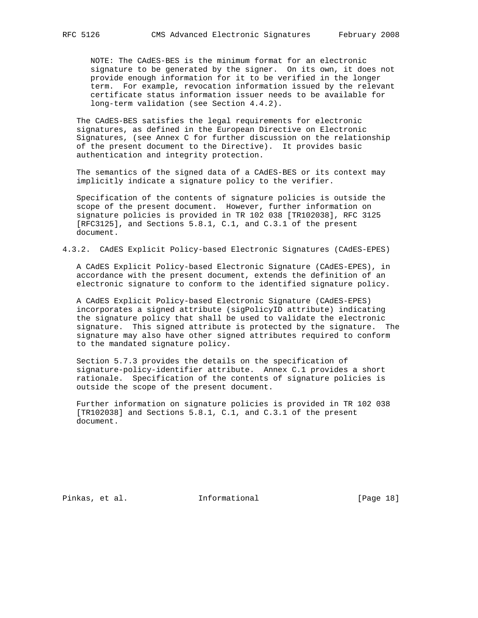NOTE: The CAdES-BES is the minimum format for an electronic signature to be generated by the signer. On its own, it does not provide enough information for it to be verified in the longer term. For example, revocation information issued by the relevant certificate status information issuer needs to be available for long-term validation (see Section 4.4.2).

 The CAdES-BES satisfies the legal requirements for electronic signatures, as defined in the European Directive on Electronic Signatures, (see Annex C for further discussion on the relationship of the present document to the Directive). It provides basic authentication and integrity protection.

 The semantics of the signed data of a CAdES-BES or its context may implicitly indicate a signature policy to the verifier.

 Specification of the contents of signature policies is outside the scope of the present document. However, further information on signature policies is provided in TR 102 038 [TR102038], RFC 3125 [RFC3125], and Sections 5.8.1, C.1, and C.3.1 of the present document.

4.3.2. CAdES Explicit Policy-based Electronic Signatures (CAdES-EPES)

 A CAdES Explicit Policy-based Electronic Signature (CAdES-EPES), in accordance with the present document, extends the definition of an electronic signature to conform to the identified signature policy.

 A CAdES Explicit Policy-based Electronic Signature (CAdES-EPES) incorporates a signed attribute (sigPolicyID attribute) indicating the signature policy that shall be used to validate the electronic signature. This signed attribute is protected by the signature. The signature may also have other signed attributes required to conform to the mandated signature policy.

 Section 5.7.3 provides the details on the specification of signature-policy-identifier attribute. Annex C.1 provides a short rationale. Specification of the contents of signature policies is outside the scope of the present document.

 Further information on signature policies is provided in TR 102 038 [TR102038] and Sections 5.8.1, C.1, and C.3.1 of the present document.

Pinkas, et al. 1nformational [Page 18]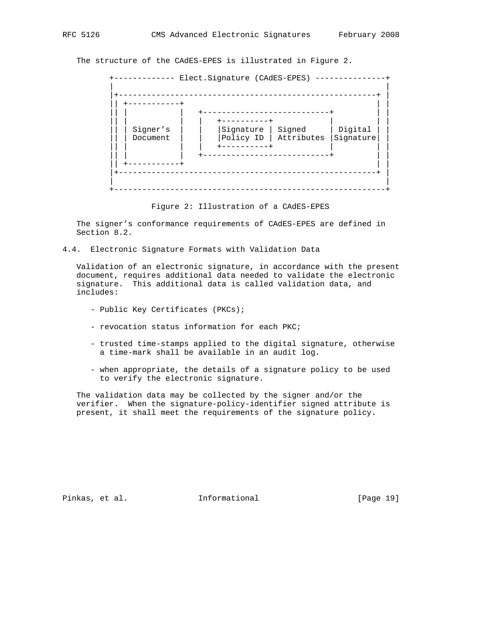The structure of the CAdES-EPES is illustrated in Figure 2.



Figure 2: Illustration of a CAdES-EPES

 The signer's conformance requirements of CAdES-EPES are defined in Section 8.2.

4.4. Electronic Signature Formats with Validation Data

 Validation of an electronic signature, in accordance with the present document, requires additional data needed to validate the electronic signature. This additional data is called validation data, and includes:

- Public Key Certificates (PKCs);
- revocation status information for each PKC;
- trusted time-stamps applied to the digital signature, otherwise a time-mark shall be available in an audit log.
- when appropriate, the details of a signature policy to be used to verify the electronic signature.

 The validation data may be collected by the signer and/or the verifier. When the signature-policy-identifier signed attribute is present, it shall meet the requirements of the signature policy.

Pinkas, et al. 1nformational [Page 19]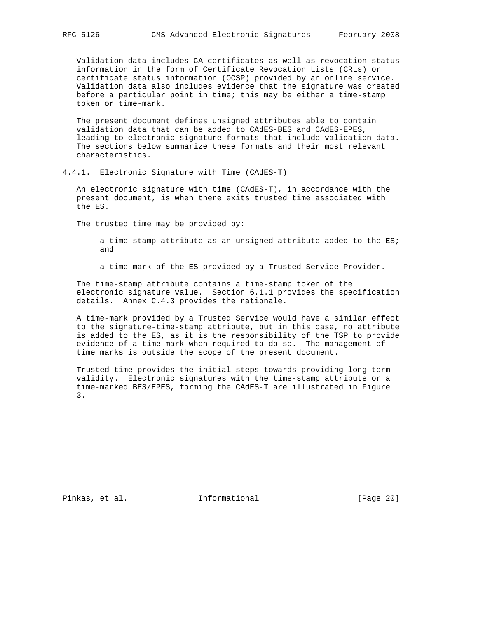Validation data includes CA certificates as well as revocation status information in the form of Certificate Revocation Lists (CRLs) or certificate status information (OCSP) provided by an online service. Validation data also includes evidence that the signature was created before a particular point in time; this may be either a time-stamp token or time-mark.

 The present document defines unsigned attributes able to contain validation data that can be added to CAdES-BES and CAdES-EPES, leading to electronic signature formats that include validation data. The sections below summarize these formats and their most relevant characteristics.

4.4.1. Electronic Signature with Time (CAdES-T)

 An electronic signature with time (CAdES-T), in accordance with the present document, is when there exits trusted time associated with the ES.

The trusted time may be provided by:

- a time-stamp attribute as an unsigned attribute added to the ES; and
- a time-mark of the ES provided by a Trusted Service Provider.

 The time-stamp attribute contains a time-stamp token of the electronic signature value. Section 6.1.1 provides the specification details. Annex C.4.3 provides the rationale.

 A time-mark provided by a Trusted Service would have a similar effect to the signature-time-stamp attribute, but in this case, no attribute is added to the ES, as it is the responsibility of the TSP to provide evidence of a time-mark when required to do so. The management of time marks is outside the scope of the present document.

 Trusted time provides the initial steps towards providing long-term validity. Electronic signatures with the time-stamp attribute or a time-marked BES/EPES, forming the CAdES-T are illustrated in Figure 3.

Pinkas, et al. Informational [Page 20]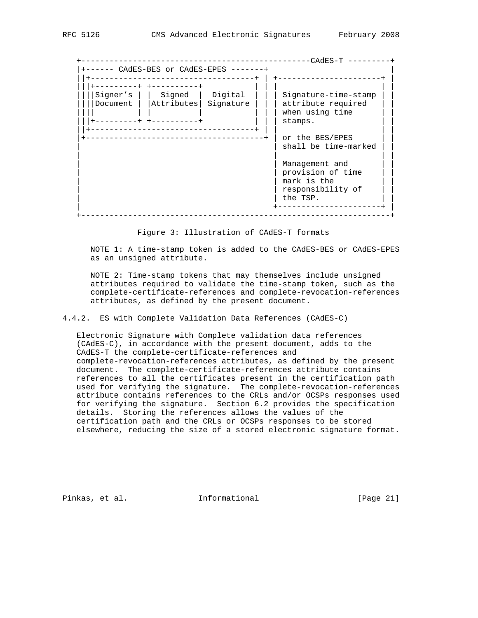+-------------------------------------------------CAdES-T ---------+ |+------ CAdES-BES or CAdES-EPES -------+ | ||+-----------------------------------+ | +----------------------+ | |||+---------+ +----------+ | | | | | ||||Signer's | | Signed | Digital | | | Signature-time-stamp | | ||||Document | |Attributes| Signature | | | attribute required | | |||| | | | | | | when using time | | |||+---------+ +----------+ | | | stamps. | | ||+-----------------------------------+ | | | | -----------------------------------+ | or the BES/EPES | | shall be time-marked | | | | | | | Management and provision of time mark is the  $|$  responsibility of  $|$  the TSP. | +----------------------+ | +------------------------------------------------------------------+

Figure 3: Illustration of CAdES-T formats

 NOTE 1: A time-stamp token is added to the CAdES-BES or CAdES-EPES as an unsigned attribute.

 NOTE 2: Time-stamp tokens that may themselves include unsigned attributes required to validate the time-stamp token, such as the complete-certificate-references and complete-revocation-references attributes, as defined by the present document.

4.4.2. ES with Complete Validation Data References (CAdES-C)

 Electronic Signature with Complete validation data references (CAdES-C), in accordance with the present document, adds to the CAdES-T the complete-certificate-references and complete-revocation-references attributes, as defined by the present document. The complete-certificate-references attribute contains references to all the certificates present in the certification path used for verifying the signature. The complete-revocation-references attribute contains references to the CRLs and/or OCSPs responses used for verifying the signature. Section 6.2 provides the specification details. Storing the references allows the values of the certification path and the CRLs or OCSPs responses to be stored elsewhere, reducing the size of a stored electronic signature format.

Pinkas, et al. 1nformational 1999 [Page 21]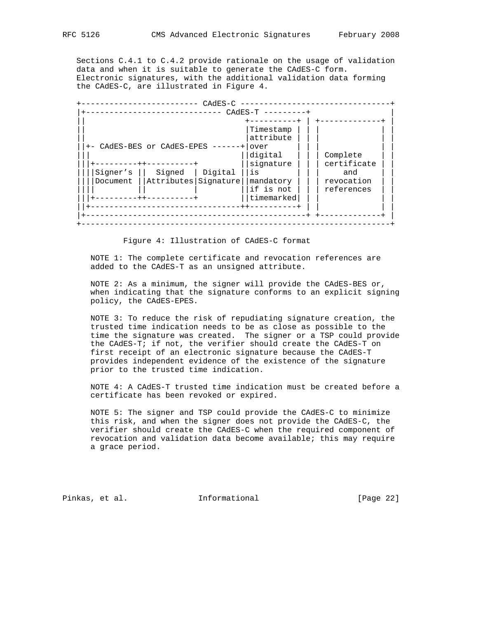Sections C.4.1 to C.4.2 provide rationale on the usage of validation data and when it is suitable to generate the CAdES-C form. Electronic signatures, with the additional validation data forming the CAdES-C, are illustrated in Figure 4.

 +------------------------- CAdES-C --------------------------------+ |+----------------------------- CAdES-T ---------+ | || +----------+ | +-------------+ | |Timestamp | | |<br>|attribute | | | || |attribute | | | | | ||+- CAdES-BES or CAdES-EPES ------+|over | | | | | ||| ||digital | | | Complete | | |||+---------++----------+ ||signature | | | certificate | | ||||Signer's || Signed | Digital ||is | | | and | | ||||Document ||Attributes|Signature||mandatory | | | revocation | | |||| || | ||if is not | | | references | | |||+---------++----------+ ||timemarked| | | | | ||+--------------------------------++----------+ | | | | |+-----------------------------------------------+ +-------------+ | +------------------------------------------------------------------+

Figure 4: Illustration of CAdES-C format

 NOTE 1: The complete certificate and revocation references are added to the CAdES-T as an unsigned attribute.

 NOTE 2: As a minimum, the signer will provide the CAdES-BES or, when indicating that the signature conforms to an explicit signing policy, the CAdES-EPES.

 NOTE 3: To reduce the risk of repudiating signature creation, the trusted time indication needs to be as close as possible to the time the signature was created. The signer or a TSP could provide the CAdES-T; if not, the verifier should create the CAdES-T on first receipt of an electronic signature because the CAdES-T provides independent evidence of the existence of the signature prior to the trusted time indication.

 NOTE 4: A CAdES-T trusted time indication must be created before a certificate has been revoked or expired.

 NOTE 5: The signer and TSP could provide the CAdES-C to minimize this risk, and when the signer does not provide the CAdES-C, the verifier should create the CAdES-C when the required component of revocation and validation data become available; this may require a grace period.

Pinkas, et al. 1nformational 1999 [Page 22]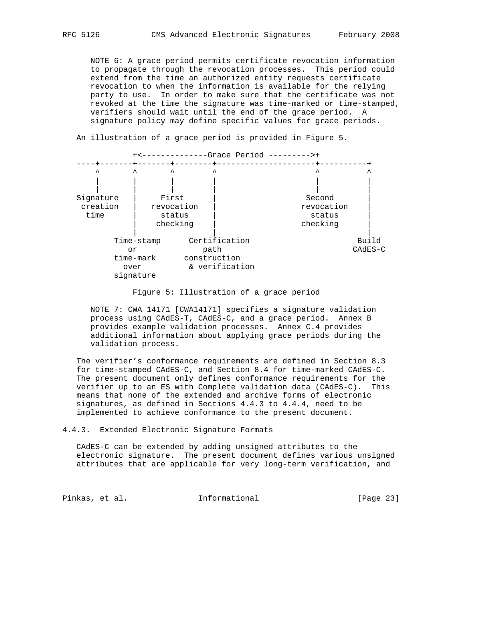NOTE 6: A grace period permits certificate revocation information to propagate through the revocation processes. This period could extend from the time an authorized entity requests certificate revocation to when the information is available for the relying party to use. In order to make sure that the certificate was not revoked at the time the signature was time-marked or time-stamped, verifiers should wait until the end of the grace period. A signature policy may define specific values for grace periods.



An illustration of a grace period is provided in Figure 5.

Figure 5: Illustration of a grace period

 NOTE 7: CWA 14171 [CWA14171] specifies a signature validation process using CAdES-T, CAdES-C, and a grace period. Annex B provides example validation processes. Annex C.4 provides additional information about applying grace periods during the validation process.

 The verifier's conformance requirements are defined in Section 8.3 for time-stamped CAdES-C, and Section 8.4 for time-marked CAdES-C. The present document only defines conformance requirements for the verifier up to an ES with Complete validation data (CAdES-C). This means that none of the extended and archive forms of electronic signatures, as defined in Sections 4.4.3 to 4.4.4, need to be implemented to achieve conformance to the present document.

4.4.3. Extended Electronic Signature Formats

 CAdES-C can be extended by adding unsigned attributes to the electronic signature. The present document defines various unsigned attributes that are applicable for very long-term verification, and

Pinkas, et al. 1nformational 1999 [Page 23]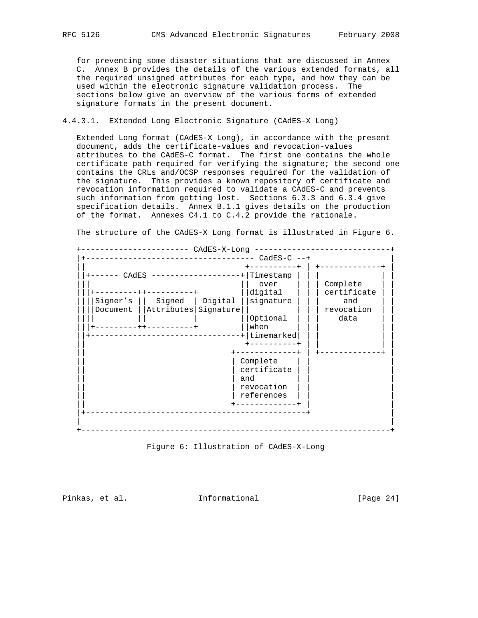for preventing some disaster situations that are discussed in Annex C. Annex B provides the details of the various extended formats, all the required unsigned attributes for each type, and how they can be used within the electronic signature validation process. The sections below give an overview of the various forms of extended signature formats in the present document.

4.4.3.1. EXtended Long Electronic Signature (CAdES-X Long)

 Extended Long format (CAdES-X Long), in accordance with the present document, adds the certificate-values and revocation-values attributes to the CAdES-C format. The first one contains the whole certificate path required for verifying the signature; the second one contains the CRLs and/OCSP responses required for the validation of the signature. This provides a known repository of certificate and revocation information required to validate a CAdES-C and prevents such information from getting lost. Sections 6.3.3 and 6.3.4 give specification details. Annex B.1.1 gives details on the production of the format. Annexes C4.1 to C.4.2 provide the rationale.

The structure of the CAdES-X Long format is illustrated in Figure 6.

Figure 6: Illustration of CAdES-X-Long

Pinkas, et al. Informational [Page 24]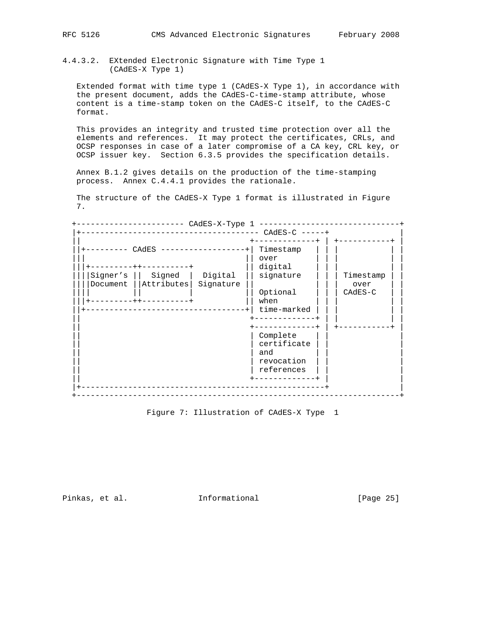4.4.3.2. EXtended Electronic Signature with Time Type 1 (CAdES-X Type 1)

 Extended format with time type 1 (CAdES-X Type 1), in accordance with the present document, adds the CAdES-C-time-stamp attribute, whose content is a time-stamp token on the CAdES-C itself, to the CAdES-C format.

 This provides an integrity and trusted time protection over all the elements and references. It may protect the certificates, CRLs, and OCSP responses in case of a later compromise of a CA key, CRL key, or OCSP issuer key. Section 6.3.5 provides the specification details.

 Annex B.1.2 gives details on the production of the time-stamping process. Annex C.4.4.1 provides the rationale.

 The structure of the CAdES-X Type 1 format is illustrated in Figure 7.

| CAdES<br>$+ + - - - - - - -$<br>Signed<br>Digital<br>Signer's<br>Attributes<br>Signature<br>Document<br>$- + +$ | Timestamp<br>over<br>digital<br>signature<br>Optional<br>when<br>time-marked | Timestamp<br>over<br>$CAdES-C$ |
|-----------------------------------------------------------------------------------------------------------------|------------------------------------------------------------------------------|--------------------------------|
|                                                                                                                 | Complete<br>certificate<br>and<br>revocation<br>references                   |                                |

Figure 7: Illustration of CAdES-X Type 1

Pinkas, et al. 1nformational [Page 25]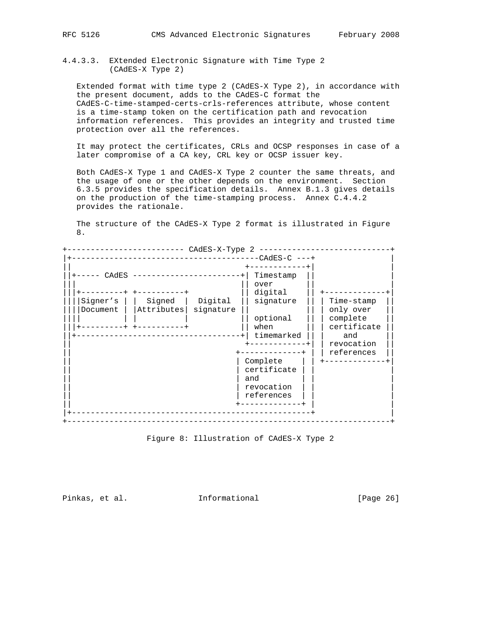4.4.3.3. EXtended Electronic Signature with Time Type 2 (CAdES-X Type 2)

 Extended format with time type 2 (CAdES-X Type 2), in accordance with the present document, adds to the CAdES-C format the CAdES-C-time-stamped-certs-crls-references attribute, whose content is a time-stamp token on the certification path and revocation information references. This provides an integrity and trusted time protection over all the references.

 It may protect the certificates, CRLs and OCSP responses in case of a later compromise of a CA key, CRL key or OCSP issuer key.

 Both CAdES-X Type 1 and CAdES-X Type 2 counter the same threats, and the usage of one or the other depends on the environment. Section 6.3.5 provides the specification details. Annex B.1.3 gives details on the production of the time-stamping process. Annex C.4.4.2 provides the rationale.

 The structure of the CAdES-X Type 2 format is illustrated in Figure 8.

| -CAdES-C ---+<br>CAdES<br>Timestamp<br>over<br>digital<br>Digital<br>Signer's<br>Signed<br>signature<br>Time-stamp<br>Attributes<br>signature<br>only over<br>Document<br>optional<br>complete<br>certificate<br>when<br>---------<br>timemarked<br>and<br>revocation<br>references<br>Complete<br>certificate<br>and<br>revocation<br>references | CAdES-X-Type 2 |  |
|---------------------------------------------------------------------------------------------------------------------------------------------------------------------------------------------------------------------------------------------------------------------------------------------------------------------------------------------------|----------------|--|
|                                                                                                                                                                                                                                                                                                                                                   |                |  |
|                                                                                                                                                                                                                                                                                                                                                   |                |  |
|                                                                                                                                                                                                                                                                                                                                                   |                |  |

Figure 8: Illustration of CAdES-X Type 2

Pinkas, et al. 1nformational 1999 [Page 26]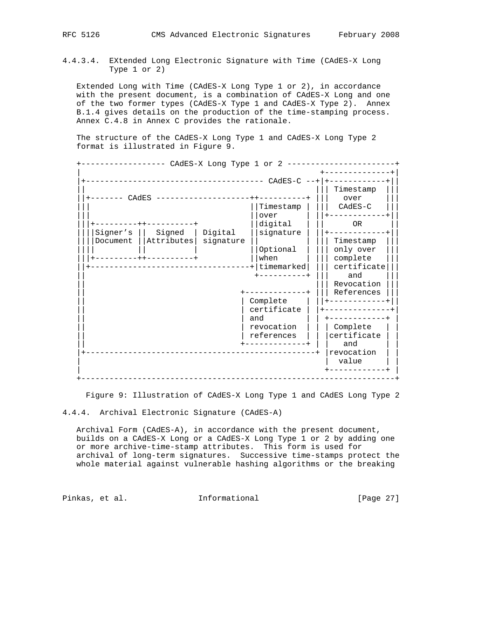4.4.3.4. EXtended Long Electronic Signature with Time (CAdES-X Long Type 1 or 2)

 Extended Long with Time (CAdES-X Long Type 1 or 2), in accordance with the present document, is a combination of CAdES-X Long and one of the two former types (CAdES-X Type 1 and CAdES-X Type 2). Annex B.1.4 gives details on the production of the time-stamping process. Annex C.4.8 in Annex C provides the rationale.

 The structure of the CAdES-X Long Type 1 and CAdES-X Long Type 2 format is illustrated in Figure 9.

 +------------------ CAdES-X Long Type 1 or 2 -----------------------+ | +--------------+| |+-------------------------------------- CAdES-C --+|+------------+|| || ||| Timestamp ||| ||+------- CAdES --------------------++----------+ ||| over ||| ||Timestamp | ||| CAdES-C ||<br>||over | ||+------------+| ||| ||over | ||+------------+|| |||+---------++----------+ ||digital | || OR || ||||Signer's || Signed | Digital ||signature | ||+------------+|| ||||Document ||Attributes| signature || | ||| Timestamp ||| |||| || | ||Optional | ||| only over ||| |||+---------++----------+ ||when | ||| complete ||| ||+----------------------------------+|timemarked| ||| certificate||| || +----------+ ||| and ||| || ||| Revocation ||| || +-------------+ ||| References ||| || | Complete | ||+------------+|| || | certificate | |+--------------+|  $|$  and  $|$   $|$  +------------+ || | revocation | | | Complete | | || | references | | |certificate | | +-------------+ | | and |+-------------------------------------------------+ |revocation | | | value | +------------+ | +-------------------------------------------------------------------+

Figure 9: Illustration of CAdES-X Long Type 1 and CAdES Long Type 2

4.4.4. Archival Electronic Signature (CAdES-A)

 Archival Form (CAdES-A), in accordance with the present document, builds on a CAdES-X Long or a CAdES-X Long Type 1 or 2 by adding one or more archive-time-stamp attributes. This form is used for archival of long-term signatures. Successive time-stamps protect the whole material against vulnerable hashing algorithms or the breaking

Pinkas, et al. 1nformational [Page 27]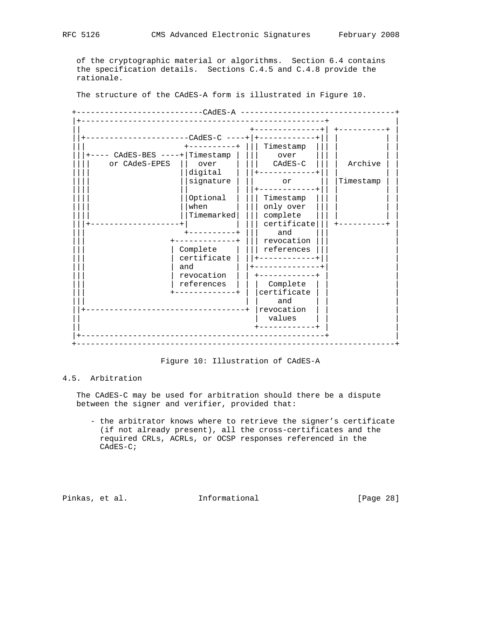of the cryptographic material or algorithms. Section 6.4 contains the specification details. Sections C.4.5 and C.4.8 provide the rationale.

The structure of the CAdES-A form is illustrated in Figure 10.

|                                | $-CAdES-C$ ----+<br>$- - - - - - - +$ | Timestamp             |           |
|--------------------------------|---------------------------------------|-----------------------|-----------|
| ---- CAdES-BES ----+ Timestamp |                                       | over                  |           |
| or CAdeS-EPES                  | over                                  | $CAdES-C$             | Archive   |
|                                | digital                               | $- - - - - - -$       |           |
|                                | signature                             | or                    | Timestamp |
|                                |                                       |                       |           |
|                                |                                       |                       |           |
|                                | Optional<br>when                      | Timestamp             |           |
|                                | Timemarked                            | only over<br>complete |           |
|                                |                                       | certificate           |           |
|                                |                                       | and                   |           |
|                                |                                       | revocation            |           |
|                                | Complete                              | references            |           |
|                                | certificate                           |                       |           |
|                                | and                                   |                       |           |
|                                | revocation                            | ------------          |           |
|                                | references                            | Complete              |           |
|                                | $- - - - - - - +$                     | certificate           |           |
|                                |                                       | and                   |           |
|                                |                                       | revocation            |           |
|                                |                                       | values                |           |
|                                |                                       | ---------+            |           |
|                                |                                       |                       |           |

Figure 10: Illustration of CAdES-A

# 4.5. Arbitration

 The CAdES-C may be used for arbitration should there be a dispute between the signer and verifier, provided that:

 - the arbitrator knows where to retrieve the signer's certificate (if not already present), all the cross-certificates and the required CRLs, ACRLs, or OCSP responses referenced in the CAdES-C;

Pinkas, et al. Informational [Page 28]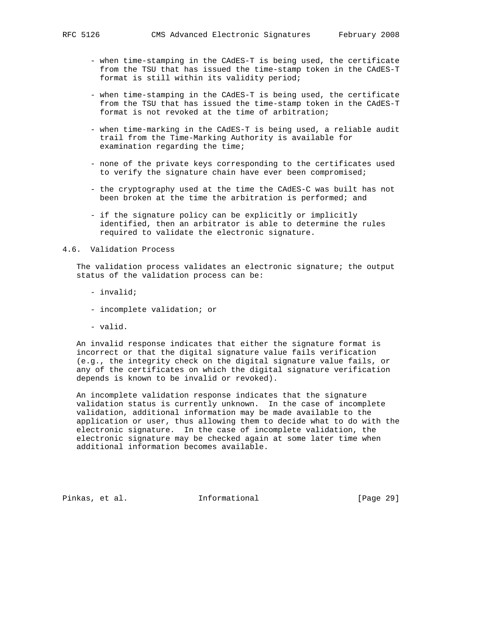- when time-stamping in the CAdES-T is being used, the certificate from the TSU that has issued the time-stamp token in the CAdES-T format is still within its validity period;
- when time-stamping in the CAdES-T is being used, the certificate from the TSU that has issued the time-stamp token in the CAdES-T format is not revoked at the time of arbitration;
- when time-marking in the CAdES-T is being used, a reliable audit trail from the Time-Marking Authority is available for examination regarding the time;
- none of the private keys corresponding to the certificates used to verify the signature chain have ever been compromised;
- the cryptography used at the time the CAdES-C was built has not been broken at the time the arbitration is performed; and
- if the signature policy can be explicitly or implicitly identified, then an arbitrator is able to determine the rules required to validate the electronic signature.

#### 4.6. Validation Process

 The validation process validates an electronic signature; the output status of the validation process can be:

- invalid;
- incomplete validation; or
- valid.

 An invalid response indicates that either the signature format is incorrect or that the digital signature value fails verification (e.g., the integrity check on the digital signature value fails, or any of the certificates on which the digital signature verification depends is known to be invalid or revoked).

 An incomplete validation response indicates that the signature validation status is currently unknown. In the case of incomplete validation, additional information may be made available to the application or user, thus allowing them to decide what to do with the electronic signature. In the case of incomplete validation, the electronic signature may be checked again at some later time when additional information becomes available.

Pinkas, et al. Informational [Page 29]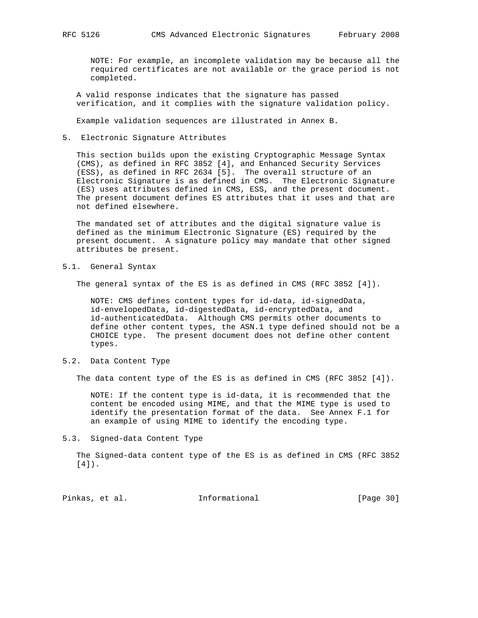NOTE: For example, an incomplete validation may be because all the required certificates are not available or the grace period is not completed.

 A valid response indicates that the signature has passed verification, and it complies with the signature validation policy.

Example validation sequences are illustrated in Annex B.

5. Electronic Signature Attributes

 This section builds upon the existing Cryptographic Message Syntax (CMS), as defined in RFC 3852 [4], and Enhanced Security Services (ESS), as defined in RFC 2634 [5]. The overall structure of an Electronic Signature is as defined in CMS. The Electronic Signature (ES) uses attributes defined in CMS, ESS, and the present document. The present document defines ES attributes that it uses and that are not defined elsewhere.

 The mandated set of attributes and the digital signature value is defined as the minimum Electronic Signature (ES) required by the present document. A signature policy may mandate that other signed attributes be present.

5.1. General Syntax

The general syntax of the ES is as defined in CMS (RFC 3852 [4]).

 NOTE: CMS defines content types for id-data, id-signedData, id-envelopedData, id-digestedData, id-encryptedData, and id-authenticatedData. Although CMS permits other documents to define other content types, the ASN.1 type defined should not be a CHOICE type. The present document does not define other content types.

5.2. Data Content Type

The data content type of the ES is as defined in CMS (RFC 3852 [4]).

 NOTE: If the content type is id-data, it is recommended that the content be encoded using MIME, and that the MIME type is used to identify the presentation format of the data. See Annex F.1 for an example of using MIME to identify the encoding type.

5.3. Signed-data Content Type

 The Signed-data content type of the ES is as defined in CMS (RFC 3852 [4]).

Pinkas, et al. 1nformational [Page 30]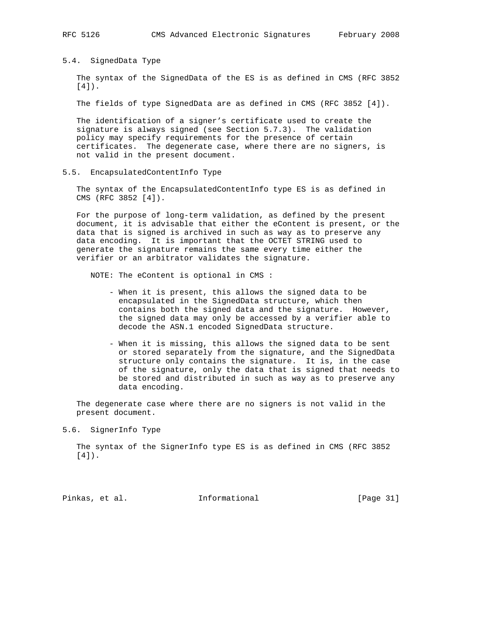5.4. SignedData Type

 The syntax of the SignedData of the ES is as defined in CMS (RFC 3852 [4]).

The fields of type SignedData are as defined in CMS (RFC 3852 [4]).

 The identification of a signer's certificate used to create the signature is always signed (see Section 5.7.3). The validation policy may specify requirements for the presence of certain certificates. The degenerate case, where there are no signers, is not valid in the present document.

5.5. EncapsulatedContentInfo Type

 The syntax of the EncapsulatedContentInfo type ES is as defined in CMS (RFC 3852 [4]).

 For the purpose of long-term validation, as defined by the present document, it is advisable that either the eContent is present, or the data that is signed is archived in such as way as to preserve any data encoding. It is important that the OCTET STRING used to generate the signature remains the same every time either the verifier or an arbitrator validates the signature.

NOTE: The eContent is optional in CMS :

- When it is present, this allows the signed data to be encapsulated in the SignedData structure, which then contains both the signed data and the signature. However, the signed data may only be accessed by a verifier able to decode the ASN.1 encoded SignedData structure.
- When it is missing, this allows the signed data to be sent or stored separately from the signature, and the SignedData structure only contains the signature. It is, in the case of the signature, only the data that is signed that needs to be stored and distributed in such as way as to preserve any data encoding.

 The degenerate case where there are no signers is not valid in the present document.

5.6. SignerInfo Type

 The syntax of the SignerInfo type ES is as defined in CMS (RFC 3852 [4]).

Pinkas, et al. Informational [Page 31]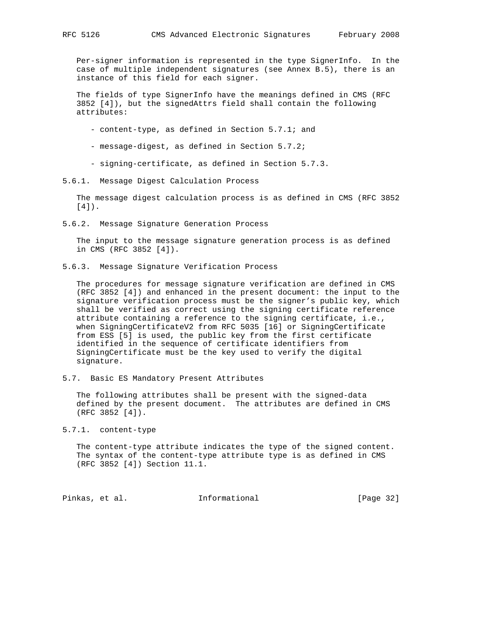Per-signer information is represented in the type SignerInfo. In the case of multiple independent signatures (see Annex B.5), there is an instance of this field for each signer.

 The fields of type SignerInfo have the meanings defined in CMS (RFC 3852 [4]), but the signedAttrs field shall contain the following attributes:

- content-type, as defined in Section 5.7.1; and
- message-digest, as defined in Section 5.7.2;
- signing-certificate, as defined in Section 5.7.3.
- 5.6.1. Message Digest Calculation Process

 The message digest calculation process is as defined in CMS (RFC 3852 [4]).

5.6.2. Message Signature Generation Process

 The input to the message signature generation process is as defined in CMS (RFC 3852 [4]).

5.6.3. Message Signature Verification Process

 The procedures for message signature verification are defined in CMS (RFC 3852 [4]) and enhanced in the present document: the input to the signature verification process must be the signer's public key, which shall be verified as correct using the signing certificate reference attribute containing a reference to the signing certificate, i.e., when SigningCertificateV2 from RFC 5035 [16] or SigningCertificate from ESS [5] is used, the public key from the first certificate identified in the sequence of certificate identifiers from SigningCertificate must be the key used to verify the digital signature.

5.7. Basic ES Mandatory Present Attributes

 The following attributes shall be present with the signed-data defined by the present document. The attributes are defined in CMS (RFC 3852 [4]).

5.7.1. content-type

 The content-type attribute indicates the type of the signed content. The syntax of the content-type attribute type is as defined in CMS (RFC 3852 [4]) Section 11.1.

Pinkas, et al. Informational [Page 32]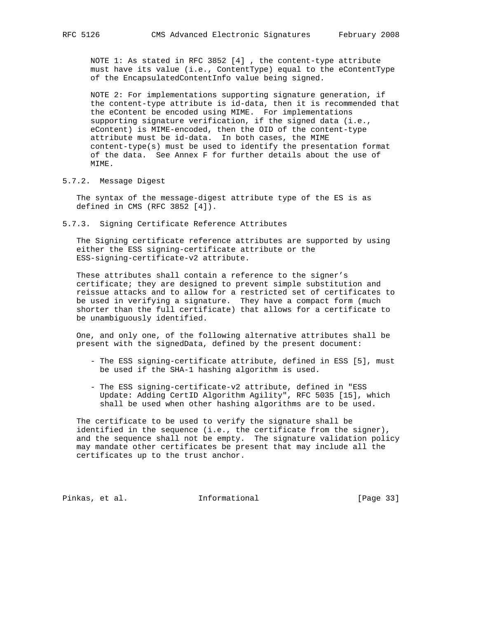NOTE 1: As stated in RFC 3852 [4] , the content-type attribute must have its value (i.e., ContentType) equal to the eContentType of the EncapsulatedContentInfo value being signed.

 NOTE 2: For implementations supporting signature generation, if the content-type attribute is id-data, then it is recommended that the eContent be encoded using MIME. For implementations supporting signature verification, if the signed data (i.e., eContent) is MIME-encoded, then the OID of the content-type attribute must be id-data. In both cases, the MIME content-type(s) must be used to identify the presentation format of the data. See Annex F for further details about the use of MIME.

5.7.2. Message Digest

 The syntax of the message-digest attribute type of the ES is as defined in CMS (RFC 3852 [4]).

5.7.3. Signing Certificate Reference Attributes

 The Signing certificate reference attributes are supported by using either the ESS signing-certificate attribute or the ESS-signing-certificate-v2 attribute.

 These attributes shall contain a reference to the signer's certificate; they are designed to prevent simple substitution and reissue attacks and to allow for a restricted set of certificates to be used in verifying a signature. They have a compact form (much shorter than the full certificate) that allows for a certificate to be unambiguously identified.

 One, and only one, of the following alternative attributes shall be present with the signedData, defined by the present document:

- The ESS signing-certificate attribute, defined in ESS [5], must be used if the SHA-1 hashing algorithm is used.
- The ESS signing-certificate-v2 attribute, defined in "ESS Update: Adding CertID Algorithm Agility", RFC 5035 [15], which shall be used when other hashing algorithms are to be used.

 The certificate to be used to verify the signature shall be identified in the sequence (i.e., the certificate from the signer), and the sequence shall not be empty. The signature validation policy may mandate other certificates be present that may include all the certificates up to the trust anchor.

Pinkas, et al. Informational [Page 33]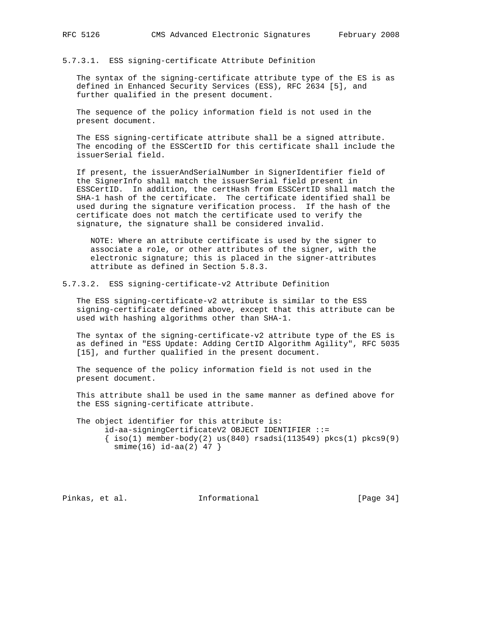## 5.7.3.1. ESS signing-certificate Attribute Definition

 The syntax of the signing-certificate attribute type of the ES is as defined in Enhanced Security Services (ESS), RFC 2634 [5], and further qualified in the present document.

 The sequence of the policy information field is not used in the present document.

 The ESS signing-certificate attribute shall be a signed attribute. The encoding of the ESSCertID for this certificate shall include the issuerSerial field.

 If present, the issuerAndSerialNumber in SignerIdentifier field of the SignerInfo shall match the issuerSerial field present in ESSCertID. In addition, the certHash from ESSCertID shall match the SHA-1 hash of the certificate. The certificate identified shall be used during the signature verification process. If the hash of the certificate does not match the certificate used to verify the signature, the signature shall be considered invalid.

 NOTE: Where an attribute certificate is used by the signer to associate a role, or other attributes of the signer, with the electronic signature; this is placed in the signer-attributes attribute as defined in Section 5.8.3.

5.7.3.2. ESS signing-certificate-v2 Attribute Definition

 The ESS signing-certificate-v2 attribute is similar to the ESS signing-certificate defined above, except that this attribute can be used with hashing algorithms other than SHA-1.

 The syntax of the signing-certificate-v2 attribute type of the ES is as defined in "ESS Update: Adding CertID Algorithm Agility", RFC 5035 [15], and further qualified in the present document.

 The sequence of the policy information field is not used in the present document.

 This attribute shall be used in the same manner as defined above for the ESS signing-certificate attribute.

 The object identifier for this attribute is: id-aa-signingCertificateV2 OBJECT IDENTIFIER ::=  $\{\text{iso}(1) \text{ member-body}(2) \text{ us}(840) \text{ rsadsi}(113549) \text{ pkcs}(1) \text{ pkcs}(9)$ smime(16) id-aa(2) 47 }

Pinkas, et al. Informational [Page 34]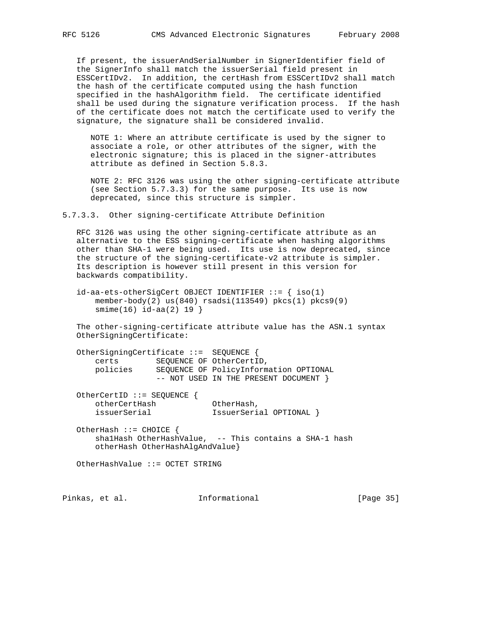If present, the issuerAndSerialNumber in SignerIdentifier field of the SignerInfo shall match the issuerSerial field present in ESSCertIDv2. In addition, the certHash from ESSCertIDv2 shall match the hash of the certificate computed using the hash function specified in the hashAlgorithm field. The certificate identified shall be used during the signature verification process. If the hash of the certificate does not match the certificate used to verify the signature, the signature shall be considered invalid.

 NOTE 1: Where an attribute certificate is used by the signer to associate a role, or other attributes of the signer, with the electronic signature; this is placed in the signer-attributes attribute as defined in Section 5.8.3.

 NOTE 2: RFC 3126 was using the other signing-certificate attribute (see Section 5.7.3.3) for the same purpose. Its use is now deprecated, since this structure is simpler.

5.7.3.3. Other signing-certificate Attribute Definition

 RFC 3126 was using the other signing-certificate attribute as an alternative to the ESS signing-certificate when hashing algorithms other than SHA-1 were being used. Its use is now deprecated, since the structure of the signing-certificate-v2 attribute is simpler. Its description is however still present in this version for backwards compatibility.

 $id$ -aa-ets-otherSigCert OBJECT IDENTIFIER  $::=$  { iso(1) member-body(2) us(840) rsadsi(113549) pkcs(1) pkcs9(9) smime(16) id-aa(2) 19 }

 The other-signing-certificate attribute value has the ASN.1 syntax OtherSigningCertificate:

 OtherSigningCertificate ::= SEQUENCE { certs SEQUENCE OF OtherCertID, policies SEQUENCE OF PolicyInformation OPTIONAL -- NOT USED IN THE PRESENT DOCUMENT }

 OtherCertID ::= SEQUENCE { otherCertHash OtherHash, issuerSerial IssuerSerial OPTIONAL }

 OtherHash ::= CHOICE { shalHash OtherHashValue, -- This contains a SHA-1 hash otherHash OtherHashAlgAndValue}

OtherHashValue ::= OCTET STRING

Pinkas, et al. 1nformational 1999 [Page 35]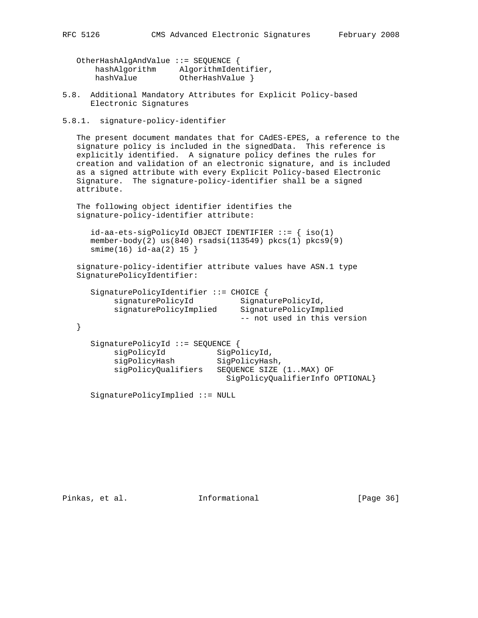| OtherHashAlgAndValue ::= SEQUENCE { |                      |
|-------------------------------------|----------------------|
| hashAlqorithm                       | AlgorithmIdentifier, |
| hashValue                           | OtherHashValue }     |

- 5.8. Additional Mandatory Attributes for Explicit Policy-based Electronic Signatures
- 5.8.1. signature-policy-identifier

 The present document mandates that for CAdES-EPES, a reference to the signature policy is included in the signedData. This reference is explicitly identified. A signature policy defines the rules for creation and validation of an electronic signature, and is included as a signed attribute with every Explicit Policy-based Electronic Signature. The signature-policy-identifier shall be a signed attribute.

 The following object identifier identifies the signature-policy-identifier attribute:

```
id-aa-ets-sigPolicyId OBJECT IDENTIFIER ::= { iso(1)
 member-body(2) us(840) rsadsi(113549) pkcs(1) pkcs9(9)
 smime(16) id-aa(2) 15 }
```

```
 signature-policy-identifier attribute values have ASN.1 type
 SignaturePolicyIdentifier:
```

```
 SignaturePolicyIdentifier ::= CHOICE {
signaturePolicyId SignaturePolicyId,
 signaturePolicyImplied SignaturePolicyImplied
                               -- not used in this version
```

```
 }
```

```
 SignaturePolicyId ::= SEQUENCE {
sigPolicyId SigPolicyId,
 sigPolicyHash SigPolicyHash,
         sigPolicyQualifiers SEQUENCE SIZE (1..MAX) OF
                             SigPolicyQualifierInfo OPTIONAL}
```
SignaturePolicyImplied ::= NULL

Pinkas, et al. Informational [Page 36]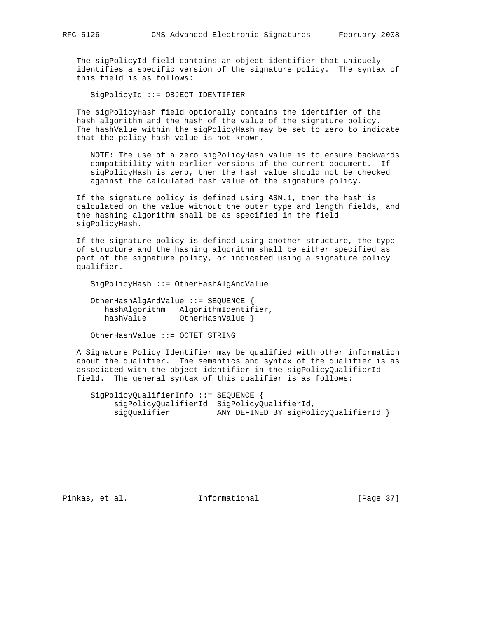The sigPolicyId field contains an object-identifier that uniquely identifies a specific version of the signature policy. The syntax of this field is as follows:

SigPolicyId ::= OBJECT IDENTIFIER

 The sigPolicyHash field optionally contains the identifier of the hash algorithm and the hash of the value of the signature policy. The hashValue within the sigPolicyHash may be set to zero to indicate that the policy hash value is not known.

 NOTE: The use of a zero sigPolicyHash value is to ensure backwards compatibility with earlier versions of the current document. If sigPolicyHash is zero, then the hash value should not be checked against the calculated hash value of the signature policy.

 If the signature policy is defined using ASN.1, then the hash is calculated on the value without the outer type and length fields, and the hashing algorithm shall be as specified in the field sigPolicyHash.

 If the signature policy is defined using another structure, the type of structure and the hashing algorithm shall be either specified as part of the signature policy, or indicated using a signature policy qualifier.

SigPolicyHash ::= OtherHashAlgAndValue

 OtherHashAlgAndValue ::= SEQUENCE { hashAlgorithm AlgorithmIdentifier, hashValue OtherHashValue }

OtherHashValue ::= OCTET STRING

 A Signature Policy Identifier may be qualified with other information about the qualifier. The semantics and syntax of the qualifier is as associated with the object-identifier in the sigPolicyQualifierId field. The general syntax of this qualifier is as follows:

 SigPolicyQualifierInfo ::= SEQUENCE { sigPolicyQualifierId SigPolicyQualifierId, sigQualifier ANY DEFINED BY sigPolicyQualifierId }

Pinkas, et al. Informational [Page 37]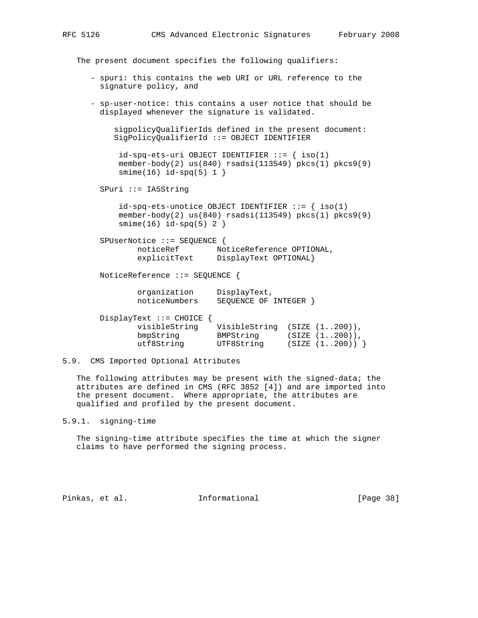The present document specifies the following qualifiers:

- spuri: this contains the web URI or URL reference to the signature policy, and
- sp-user-notice: this contains a user notice that should be displayed whenever the signature is validated.

```
 sigpolicyQualifierIds defined in the present document:
 SigPolicyQualifierId ::= OBJECT IDENTIFIER
```

```
id-spq-ets-uri OBJECT IDENTIFIER ::= { iso(1)
 member-body(2) us(840) rsadsi(113549) pkcs(1) pkcs9(9)
smin(e(16) id-spq(5) 1 }
```
SPuri ::= IA5String

 $id$ -spq-ets-unotice OBJECT IDENTIFIER  $::=$  { iso(1) member-body(2) us(840) rsadsi(113549) pkcs(1) pkcs9(9)  $smin(e(16)$  id-spq(5) 2 }

 SPUserNotice ::= SEQUENCE { noticeRef NoticeReference OPTIONAL, explicitText DisplayText OPTIONAL}

NoticeReference ::= SEQUENCE {

 organization DisplayText, noticeNumbers SEQUENCE OF INTEGER }

| DisplayText ::= $CHOICE$ { |               |                   |
|----------------------------|---------------|-------------------|
| visibleString              | VisibleString | (SIZE (1200)),    |
| bmpString                  | BMPString     | $(SIZE (1200))$ , |
| utf8String                 | UTF8String    | (SIZE (1200))     |

# 5.9. CMS Imported Optional Attributes

 The following attributes may be present with the signed-data; the attributes are defined in CMS (RFC 3852 [4]) and are imported into the present document. Where appropriate, the attributes are qualified and profiled by the present document.

5.9.1. signing-time

 The signing-time attribute specifies the time at which the signer claims to have performed the signing process.

Pinkas, et al. 1nformational [Page 38]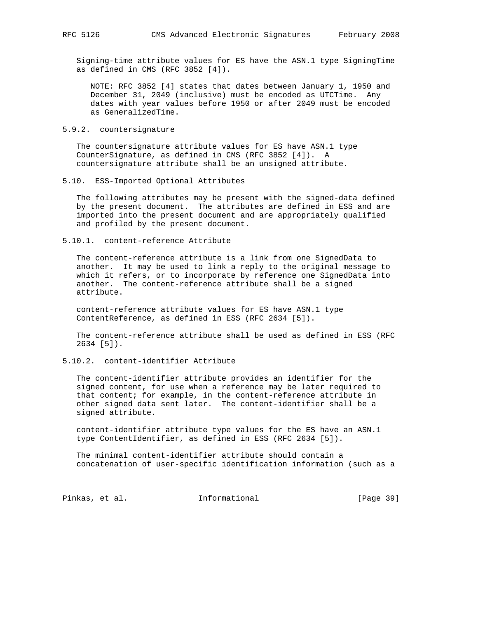Signing-time attribute values for ES have the ASN.1 type SigningTime as defined in CMS (RFC 3852 [4]).

 NOTE: RFC 3852 [4] states that dates between January 1, 1950 and December 31, 2049 (inclusive) must be encoded as UTCTime. Any dates with year values before 1950 or after 2049 must be encoded as GeneralizedTime.

5.9.2. countersignature

 The countersignature attribute values for ES have ASN.1 type CounterSignature, as defined in CMS (RFC 3852 [4]). A countersignature attribute shall be an unsigned attribute.

5.10. ESS-Imported Optional Attributes

 The following attributes may be present with the signed-data defined by the present document. The attributes are defined in ESS and are imported into the present document and are appropriately qualified and profiled by the present document.

5.10.1. content-reference Attribute

 The content-reference attribute is a link from one SignedData to another. It may be used to link a reply to the original message to which it refers, or to incorporate by reference one SignedData into another. The content-reference attribute shall be a signed attribute.

 content-reference attribute values for ES have ASN.1 type ContentReference, as defined in ESS (RFC 2634 [5]).

 The content-reference attribute shall be used as defined in ESS (RFC 2634 [5]).

5.10.2. content-identifier Attribute

 The content-identifier attribute provides an identifier for the signed content, for use when a reference may be later required to that content; for example, in the content-reference attribute in other signed data sent later. The content-identifier shall be a signed attribute.

 content-identifier attribute type values for the ES have an ASN.1 type ContentIdentifier, as defined in ESS (RFC 2634 [5]).

 The minimal content-identifier attribute should contain a concatenation of user-specific identification information (such as a

Pinkas, et al. 1nformational [Page 39]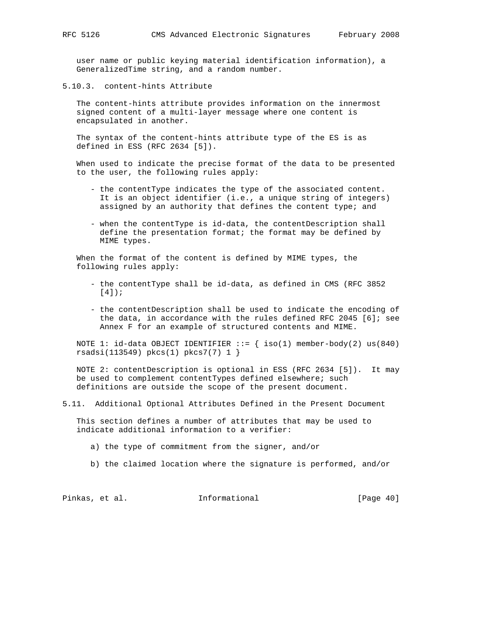user name or public keying material identification information), a GeneralizedTime string, and a random number.

5.10.3. content-hints Attribute

 The content-hints attribute provides information on the innermost signed content of a multi-layer message where one content is encapsulated in another.

 The syntax of the content-hints attribute type of the ES is as defined in ESS (RFC 2634 [5]).

 When used to indicate the precise format of the data to be presented to the user, the following rules apply:

- the contentType indicates the type of the associated content. It is an object identifier (i.e., a unique string of integers) assigned by an authority that defines the content type; and
- when the contentType is id-data, the contentDescription shall define the presentation format; the format may be defined by MIME types.

 When the format of the content is defined by MIME types, the following rules apply:

- the contentType shall be id-data, as defined in CMS (RFC 3852 [4]);
- the contentDescription shall be used to indicate the encoding of the data, in accordance with the rules defined RFC 2045 [6]; see Annex F for an example of structured contents and MIME.

NOTE 1: id-data OBJECT IDENTIFIER  $::=$  { iso(1) member-body(2) us(840) rsadsi(113549) pkcs(1) pkcs7(7) 1 }

 NOTE 2: contentDescription is optional in ESS (RFC 2634 [5]). It may be used to complement contentTypes defined elsewhere; such definitions are outside the scope of the present document.

5.11. Additional Optional Attributes Defined in the Present Document

 This section defines a number of attributes that may be used to indicate additional information to a verifier:

a) the type of commitment from the signer, and/or

b) the claimed location where the signature is performed, and/or

Pinkas, et al. 1nformational [Page 40]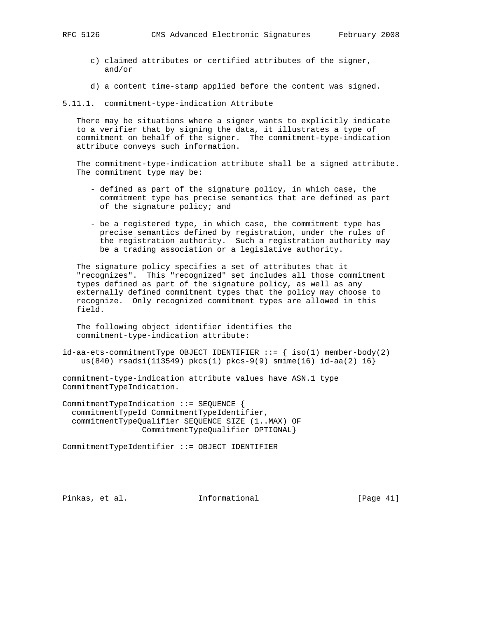- c) claimed attributes or certified attributes of the signer,
- d) a content time-stamp applied before the content was signed.

5.11.1. commitment-type-indication Attribute

 There may be situations where a signer wants to explicitly indicate to a verifier that by signing the data, it illustrates a type of commitment on behalf of the signer. The commitment-type-indication attribute conveys such information.

 The commitment-type-indication attribute shall be a signed attribute. The commitment type may be:

- defined as part of the signature policy, in which case, the commitment type has precise semantics that are defined as part of the signature policy; and
- be a registered type, in which case, the commitment type has precise semantics defined by registration, under the rules of the registration authority. Such a registration authority may be a trading association or a legislative authority.

 The signature policy specifies a set of attributes that it "recognizes". This "recognized" set includes all those commitment types defined as part of the signature policy, as well as any externally defined commitment types that the policy may choose to recognize. Only recognized commitment types are allowed in this field.

 The following object identifier identifies the commitment-type-indication attribute:

 $id-aa-ets-commitmentType OBJECT IDENTIFIER ::=\{ iso(1) member-body(2)$ us(840) rsadsi(113549) pkcs(1) pkcs-9(9) smime(16) id-aa(2) 16}

commitment-type-indication attribute values have ASN.1 type CommitmentTypeIndication.

CommitmentTypeIndication ::= SEQUENCE { commitmentTypeId CommitmentTypeIdentifier, commitmentTypeQualifier SEQUENCE SIZE (1..MAX) OF CommitmentTypeQualifier OPTIONAL}

CommitmentTypeIdentifier ::= OBJECT IDENTIFIER

Pinkas, et al. Informational [Page 41]

and/or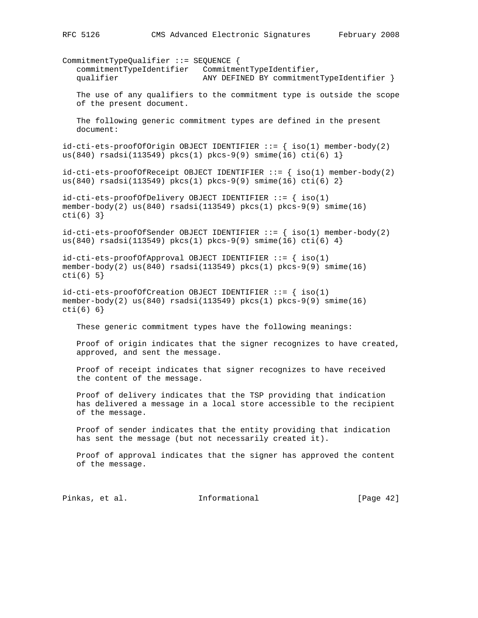CommitmentTypeQualifier ::= SEQUENCE { commitmentTypeIdentifier CommitmentTypeIdentifier, qualifier ANY DEFINED BY commitmentTypeIdentifier } The use of any qualifiers to the commitment type is outside the scope of the present document. The following generic commitment types are defined in the present document:  $id-cuti-ets-proofOfOrigin$  OBJECT IDENTIFIER  $::=$  {  $iso(1)$  member-body(2) us(840) rsadsi(113549) pkcs(1) pkcs-9(9) smime(16) cti(6)  $1$ }  $id-cuti-ets-proofofReceeipt OBJECT IDENTIFYER ::= { iso(1) member-body(2) }$ us(840) rsadsi(113549) pkcs(1) pkcs-9(9) smime(16) cti(6)  $2$ }  $id-\text{cti-ets-proofOfDelivery OBJECT IDENTIFYER}$  ::= { iso(1) member-body(2) us(840) rsadsi(113549) pkcs(1) pkcs-9(9) smime(16) cti(6) 3}  $id-cuti-ets-proofofSender OBJECT IDENTIFIER ::=\{ iso(1) member-body(2)$ us(840) rsadsi(113549) pkcs(1) pkcs-9(9) smime(16) cti(6) 4}  $id$ -cti-ets-proofOfApproval OBJECT IDENTIFIER  $::=$  { iso(1) member-body(2) us(840) rsadsi(113549) pkcs(1) pkcs-9(9) smime(16)  $cti(6) 5$ id-cti-ets-proofOfCreation OBJECT IDENTIFIER ::= { iso(1) member-body(2) us(840) rsadsi(113549) pkcs(1) pkcs-9(9) smime(16) cti(6) 6} These generic commitment types have the following meanings: Proof of origin indicates that the signer recognizes to have created, approved, and sent the message. Proof of receipt indicates that signer recognizes to have received the content of the message. Proof of delivery indicates that the TSP providing that indication has delivered a message in a local store accessible to the recipient of the message. Proof of sender indicates that the entity providing that indication has sent the message (but not necessarily created it). Proof of approval indicates that the signer has approved the content of the message.

Pinkas, et al. 1nformational [Page 42]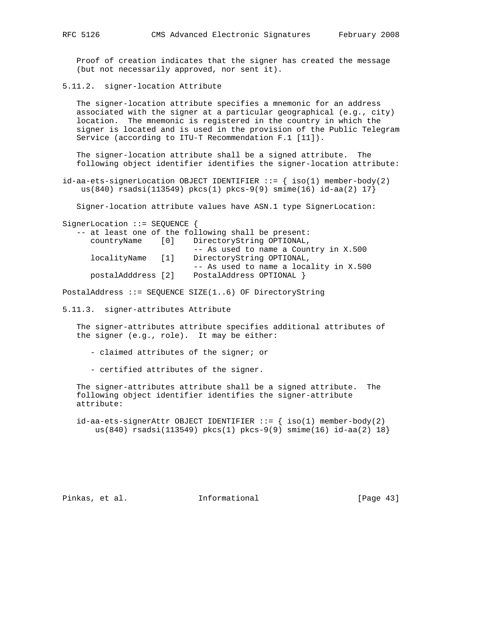Proof of creation indicates that the signer has created the message (but not necessarily approved, nor sent it).

5.11.2. signer-location Attribute

The signer-location attribute specifies a mnemonic for an address associated with the signer at a particular geographical (e.g., city) location. The mnemonic is registered in the country in which the signer is located and is used in the provision of the Public Telegram Service (according to ITU-T Recommendation F.1 [11]).

 The signer-location attribute shall be a signed attribute. The following object identifier identifies the signer-location attribute:

id-aa-ets-signerLocation OBJECT IDENTIFIER  $::=$  { iso(1) member-body(2) us(840) rsadsi(113549) pkcs(1) pkcs-9(9) smime(16)  $id$ -aa(2) 17}

Signer-location attribute values have ASN.1 type SignerLocation:

SignerLocation ::= SEQUENCE {

|                    | -- at least one of the following shall be present: |
|--------------------|----------------------------------------------------|
| countryName        | [0] DirectoryString OPTIONAL,                      |
|                    | -- As used to name a Country in X.500              |
| localityName [1]   | DirectoryString OPTIONAL,                          |
|                    | -- As used to name a locality in X.500             |
| postalAdddress [2] | PostalAddress OPTIONAL }                           |
|                    |                                                    |

PostalAddress ::= SEQUENCE SIZE(1..6) OF DirectoryString

5.11.3. signer-attributes Attribute

 The signer-attributes attribute specifies additional attributes of the signer (e.g., role). It may be either:

- claimed attributes of the signer; or
- certified attributes of the signer.

 The signer-attributes attribute shall be a signed attribute. The following object identifier identifies the signer-attribute attribute:

id-aa-ets-signerAttr OBJECT IDENTIFIER  $::=$  { iso(1) member-body(2) us(840) rsadsi(113549) pkcs(1) pkcs-9(9) smime(16)  $id$ -aa(2) 18}

Pinkas, et al. 1nformational 1999 [Page 43]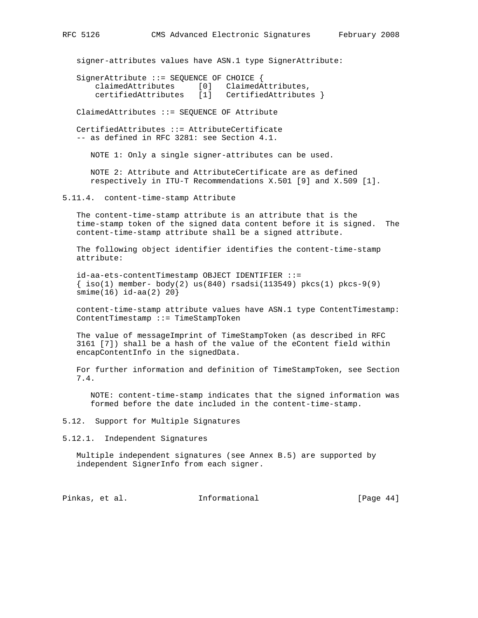signer-attributes values have ASN.1 type SignerAttribute:

 SignerAttribute ::= SEQUENCE OF CHOICE { claimedAttributes [0] ClaimedAttributes, certifiedAttributes [1] CertifiedAttributes }

ClaimedAttributes ::= SEQUENCE OF Attribute

 CertifiedAttributes ::= AttributeCertificate -- as defined in RFC 3281: see Section 4.1.

NOTE 1: Only a single signer-attributes can be used.

 NOTE 2: Attribute and AttributeCertificate are as defined respectively in ITU-T Recommendations X.501 [9] and X.509 [1].

5.11.4. content-time-stamp Attribute

 The content-time-stamp attribute is an attribute that is the time-stamp token of the signed data content before it is signed. The content-time-stamp attribute shall be a signed attribute.

 The following object identifier identifies the content-time-stamp attribute:

 id-aa-ets-contentTimestamp OBJECT IDENTIFIER ::=  $\{\text{iso}(1) \text{ member} - \text{body}(2) \text{ us}(840) \text{ rsadsi}(113549) \text{ pkcs}(1) \text{ pkcs-9}(9)$ smime(16) id-aa(2) 20}

 content-time-stamp attribute values have ASN.1 type ContentTimestamp: ContentTimestamp ::= TimeStampToken

 The value of messageImprint of TimeStampToken (as described in RFC 3161 [7]) shall be a hash of the value of the eContent field within encapContentInfo in the signedData.

 For further information and definition of TimeStampToken, see Section 7.4.

 NOTE: content-time-stamp indicates that the signed information was formed before the date included in the content-time-stamp.

5.12. Support for Multiple Signatures

5.12.1. Independent Signatures

 Multiple independent signatures (see Annex B.5) are supported by independent SignerInfo from each signer.

Pinkas, et al. 1nformational [Page 44]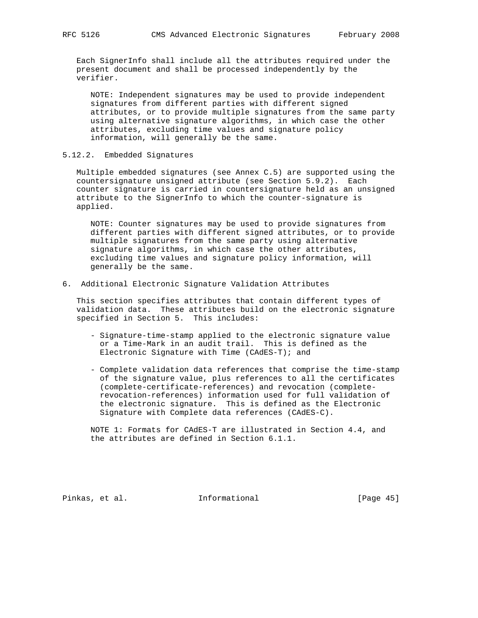Each SignerInfo shall include all the attributes required under the present document and shall be processed independently by the verifier.

 NOTE: Independent signatures may be used to provide independent signatures from different parties with different signed attributes, or to provide multiple signatures from the same party using alternative signature algorithms, in which case the other attributes, excluding time values and signature policy information, will generally be the same.

# 5.12.2. Embedded Signatures

 Multiple embedded signatures (see Annex C.5) are supported using the countersignature unsigned attribute (see Section 5.9.2). Each counter signature is carried in countersignature held as an unsigned attribute to the SignerInfo to which the counter-signature is applied.

 NOTE: Counter signatures may be used to provide signatures from different parties with different signed attributes, or to provide multiple signatures from the same party using alternative signature algorithms, in which case the other attributes, excluding time values and signature policy information, will generally be the same.

## 6. Additional Electronic Signature Validation Attributes

 This section specifies attributes that contain different types of validation data. These attributes build on the electronic signature specified in Section 5. This includes:

- Signature-time-stamp applied to the electronic signature value or a Time-Mark in an audit trail. This is defined as the Electronic Signature with Time (CAdES-T); and
- Complete validation data references that comprise the time-stamp of the signature value, plus references to all the certificates (complete-certificate-references) and revocation (complete revocation-references) information used for full validation of the electronic signature. This is defined as the Electronic Signature with Complete data references (CAdES-C).

 NOTE 1: Formats for CAdES-T are illustrated in Section 4.4, and the attributes are defined in Section 6.1.1.

Pinkas, et al. Informational [Page 45]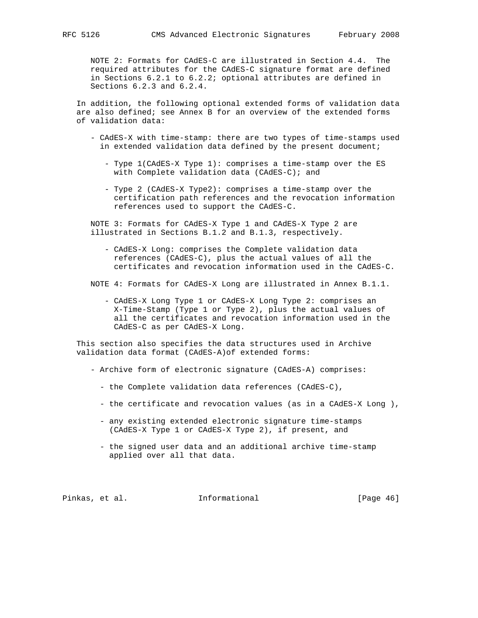NOTE 2: Formats for CAdES-C are illustrated in Section 4.4. The required attributes for the CAdES-C signature format are defined in Sections 6.2.1 to 6.2.2; optional attributes are defined in Sections 6.2.3 and 6.2.4.

 In addition, the following optional extended forms of validation data are also defined; see Annex B for an overview of the extended forms of validation data:

- CAdES-X with time-stamp: there are two types of time-stamps used in extended validation data defined by the present document;
	- Type 1(CAdES-X Type 1): comprises a time-stamp over the ES with Complete validation data (CAdES-C); and
	- Type 2 (CAdES-X Type2): comprises a time-stamp over the certification path references and the revocation information references used to support the CAdES-C.

 NOTE 3: Formats for CAdES-X Type 1 and CAdES-X Type 2 are illustrated in Sections B.1.2 and B.1.3, respectively.

 - CAdES-X Long: comprises the Complete validation data references (CAdES-C), plus the actual values of all the certificates and revocation information used in the CAdES-C.

NOTE 4: Formats for CAdES-X Long are illustrated in Annex B.1.1.

 - CAdES-X Long Type 1 or CAdES-X Long Type 2: comprises an X-Time-Stamp (Type 1 or Type 2), plus the actual values of all the certificates and revocation information used in the CAdES-C as per CAdES-X Long.

 This section also specifies the data structures used in Archive validation data format (CAdES-A)of extended forms:

- Archive form of electronic signature (CAdES-A) comprises:
	- the Complete validation data references (CAdES-C),
	- the certificate and revocation values (as in a CAdES-X Long ),
	- any existing extended electronic signature time-stamps (CAdES-X Type 1 or CAdES-X Type 2), if present, and
	- the signed user data and an additional archive time-stamp applied over all that data.

Pinkas, et al. Informational [Page 46]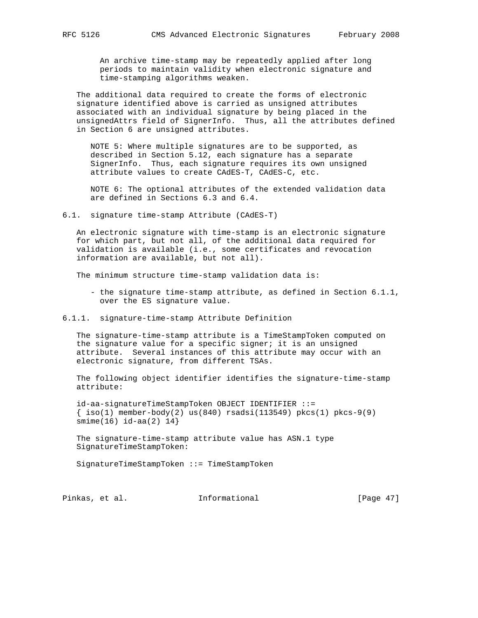An archive time-stamp may be repeatedly applied after long periods to maintain validity when electronic signature and time-stamping algorithms weaken.

 The additional data required to create the forms of electronic signature identified above is carried as unsigned attributes associated with an individual signature by being placed in the unsignedAttrs field of SignerInfo. Thus, all the attributes defined in Section 6 are unsigned attributes.

 NOTE 5: Where multiple signatures are to be supported, as described in Section 5.12, each signature has a separate SignerInfo. Thus, each signature requires its own unsigned attribute values to create CAdES-T, CAdES-C, etc.

 NOTE 6: The optional attributes of the extended validation data are defined in Sections 6.3 and 6.4.

6.1. signature time-stamp Attribute (CAdES-T)

 An electronic signature with time-stamp is an electronic signature for which part, but not all, of the additional data required for validation is available (i.e., some certificates and revocation information are available, but not all).

The minimum structure time-stamp validation data is:

 - the signature time-stamp attribute, as defined in Section 6.1.1, over the ES signature value.

6.1.1. signature-time-stamp Attribute Definition

 The signature-time-stamp attribute is a TimeStampToken computed on the signature value for a specific signer; it is an unsigned attribute. Several instances of this attribute may occur with an electronic signature, from different TSAs.

 The following object identifier identifies the signature-time-stamp attribute:

 id-aa-signatureTimeStampToken OBJECT IDENTIFIER ::=  $\{\text{iso}(1) \text{ member-body}(2) \text{ us}(840) \text{ rsadsi}(113549) \text{ pkcs}(1) \text{ pkcs-9}(9)$  $smin(e(16) i d - aa(2) 14)$ 

 The signature-time-stamp attribute value has ASN.1 type SignatureTimeStampToken:

SignatureTimeStampToken ::= TimeStampToken

Pinkas, et al. 1nformational [Page 47]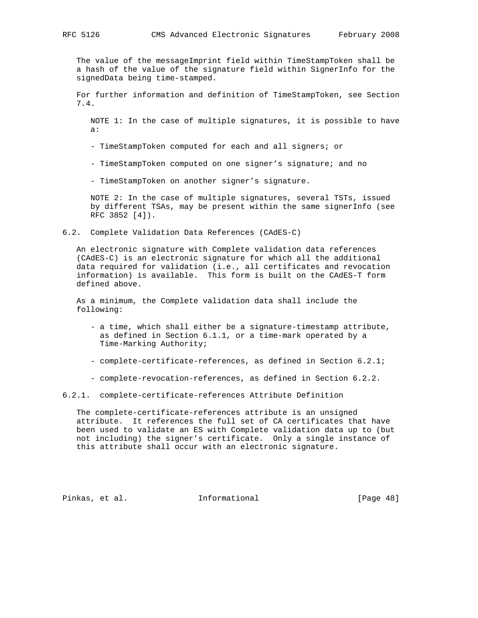The value of the messageImprint field within TimeStampToken shall be a hash of the value of the signature field within SignerInfo for the signedData being time-stamped.

 For further information and definition of TimeStampToken, see Section 7.4.

 NOTE 1: In the case of multiple signatures, it is possible to have a:

- TimeStampToken computed for each and all signers; or

- TimeStampToken computed on one signer's signature; and no

- TimeStampToken on another signer's signature.

 NOTE 2: In the case of multiple signatures, several TSTs, issued by different TSAs, may be present within the same signerInfo (see RFC 3852 [4]).

6.2. Complete Validation Data References (CAdES-C)

 An electronic signature with Complete validation data references (CAdES-C) is an electronic signature for which all the additional data required for validation (i.e., all certificates and revocation information) is available. This form is built on the CAdES-T form defined above.

 As a minimum, the Complete validation data shall include the following:

- a time, which shall either be a signature-timestamp attribute, as defined in Section 6.1.1, or a time-mark operated by a Time-Marking Authority;
- complete-certificate-references, as defined in Section 6.2.1;
- complete-revocation-references, as defined in Section 6.2.2.

6.2.1. complete-certificate-references Attribute Definition

 The complete-certificate-references attribute is an unsigned attribute. It references the full set of CA certificates that have been used to validate an ES with Complete validation data up to (but not including) the signer's certificate. Only a single instance of this attribute shall occur with an electronic signature.

Pinkas, et al. Informational [Page 48]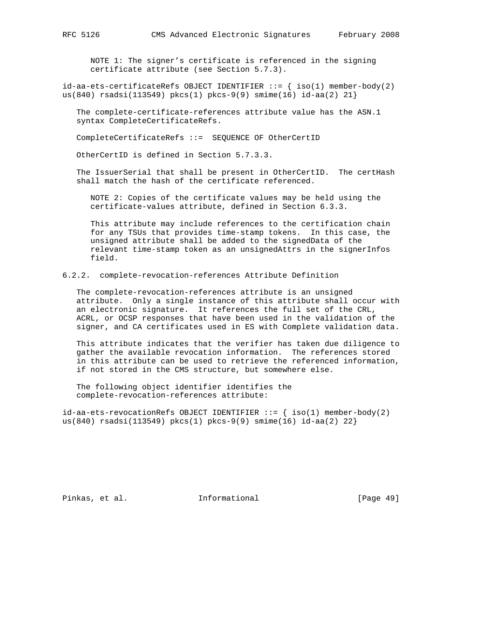NOTE 1: The signer's certificate is referenced in the signing certificate attribute (see Section 5.7.3).

 $id-aa-ets-certificateRefs$  OBJECT IDENTIFIER  $::=$  {  $iso(1)$  member-body(2) us(840) rsadsi(113549) pkcs(1) pkcs-9(9) smime(16) id-aa(2) 21}

 The complete-certificate-references attribute value has the ASN.1 syntax CompleteCertificateRefs.

CompleteCertificateRefs ::= SEQUENCE OF OtherCertID

OtherCertID is defined in Section 5.7.3.3.

 The IssuerSerial that shall be present in OtherCertID. The certHash shall match the hash of the certificate referenced.

 NOTE 2: Copies of the certificate values may be held using the certificate-values attribute, defined in Section 6.3.3.

 This attribute may include references to the certification chain for any TSUs that provides time-stamp tokens. In this case, the unsigned attribute shall be added to the signedData of the relevant time-stamp token as an unsignedAttrs in the signerInfos field.

6.2.2. complete-revocation-references Attribute Definition

 The complete-revocation-references attribute is an unsigned attribute. Only a single instance of this attribute shall occur with an electronic signature. It references the full set of the CRL, ACRL, or OCSP responses that have been used in the validation of the signer, and CA certificates used in ES with Complete validation data.

 This attribute indicates that the verifier has taken due diligence to gather the available revocation information. The references stored in this attribute can be used to retrieve the referenced information, if not stored in the CMS structure, but somewhere else.

 The following object identifier identifies the complete-revocation-references attribute:

 $id-aa-ets-revocationRefs OBJECT IDENTIFIER ::=\{ iso(1) member-body(2)$ us(840) rsadsi(113549) pkcs(1) pkcs-9(9) smime(16) id-aa(2) 22}

Pinkas, et al. Informational [Page 49]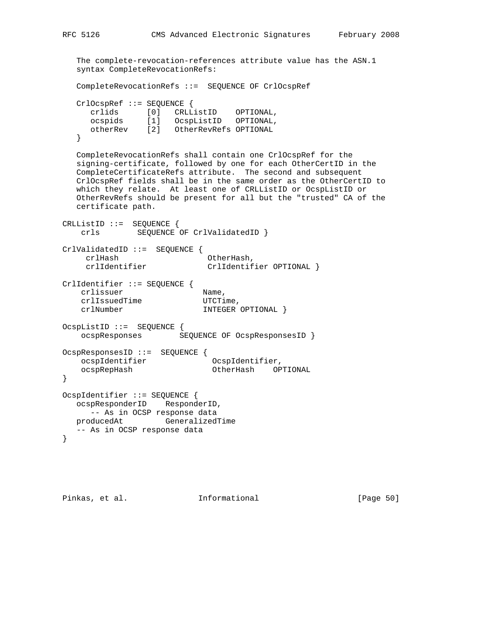The complete-revocation-references attribute value has the ASN.1 syntax CompleteRevocationRefs: CompleteRevocationRefs ::= SEQUENCE OF CrlOcspRef CrlOcspRef ::= SEQUENCE { crlids [0] CRLListID OPTIONAL, ocspids [1] OcspListID OPTIONAL, otherRev [2] OtherRevRefs OPTIONAL } CompleteRevocationRefs shall contain one CrlOcspRef for the signing-certificate, followed by one for each OtherCertID in the CompleteCertificateRefs attribute. The second and subsequent CrlOcspRef fields shall be in the same order as the OtherCertID to which they relate. At least one of CRLListID or OcspListID or OtherRevRefs should be present for all but the "trusted" CA of the certificate path. CRLListID ::= SEQUENCE { crls SEQUENCE OF CrlValidatedID } CrlValidatedID ::= SEQUENCE { crlHash OtherHash,<br>crlIdentifier CrlIdentif crlIdentifier CrlIdentifier OPTIONAL } CrlIdentifier ::= SEQUENCE { crlissuer Name,<br>crlIssuedTime UTCTime,  $c$ rlIssuedTime crlNumber INTEGER OPTIONAL } OcspListID ::= SEQUENCE { ocspResponses SEQUENCE OF OcspResponsesID } OcspResponsesID ::= SEQUENCE { ocspIdentifier OcspIdentifier, ocspRepHash OtherHash OPTIONAL } OcspIdentifier ::= SEQUENCE { ocspResponderID ResponderID, -- As in OCSP response data producedAt GeneralizedTime -- As in OCSP response data }

Pinkas, et al. Informational [Page 50]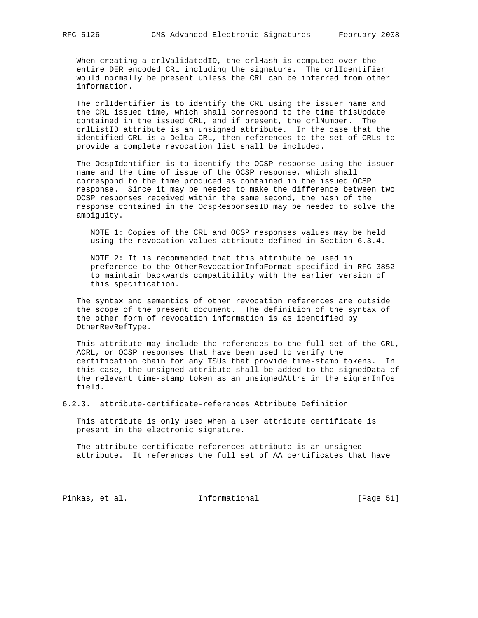When creating a crlValidatedID, the crlHash is computed over the entire DER encoded CRL including the signature. The crlIdentifier would normally be present unless the CRL can be inferred from other information.

 The crlIdentifier is to identify the CRL using the issuer name and the CRL issued time, which shall correspond to the time thisUpdate contained in the issued CRL, and if present, the crlNumber. The crlListID attribute is an unsigned attribute. In the case that the identified CRL is a Delta CRL, then references to the set of CRLs to provide a complete revocation list shall be included.

 The OcspIdentifier is to identify the OCSP response using the issuer name and the time of issue of the OCSP response, which shall correspond to the time produced as contained in the issued OCSP response. Since it may be needed to make the difference between two OCSP responses received within the same second, the hash of the response contained in the OcspResponsesID may be needed to solve the ambiguity.

 NOTE 1: Copies of the CRL and OCSP responses values may be held using the revocation-values attribute defined in Section 6.3.4.

 NOTE 2: It is recommended that this attribute be used in preference to the OtherRevocationInfoFormat specified in RFC 3852 to maintain backwards compatibility with the earlier version of this specification.

 The syntax and semantics of other revocation references are outside the scope of the present document. The definition of the syntax of the other form of revocation information is as identified by OtherRevRefType.

 This attribute may include the references to the full set of the CRL, ACRL, or OCSP responses that have been used to verify the certification chain for any TSUs that provide time-stamp tokens. In this case, the unsigned attribute shall be added to the signedData of the relevant time-stamp token as an unsignedAttrs in the signerInfos field.

6.2.3. attribute-certificate-references Attribute Definition

 This attribute is only used when a user attribute certificate is present in the electronic signature.

 The attribute-certificate-references attribute is an unsigned attribute. It references the full set of AA certificates that have

Pinkas, et al. 1nformational [Page 51]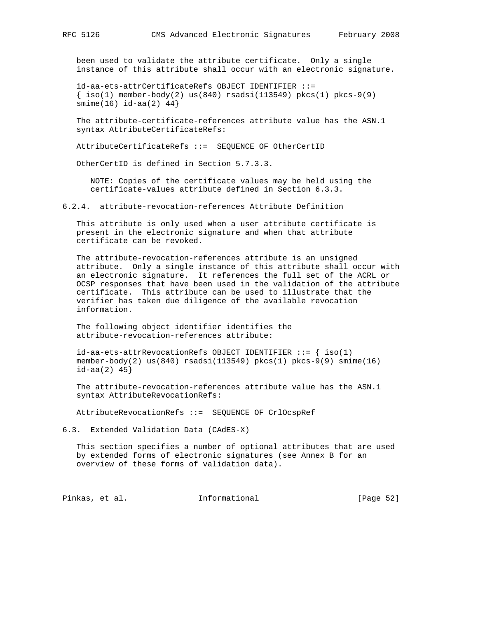been used to validate the attribute certificate. Only a single instance of this attribute shall occur with an electronic signature.

 id-aa-ets-attrCertificateRefs OBJECT IDENTIFIER ::=  $\{\text{iso}(1) \text{ member-body}(2) \text{ us}(840) \text{ rsadsi}(113549) \text{ pkcs}(1) \text{ pkcs-9}(9)$ smime(16) id-aa(2) 44}

 The attribute-certificate-references attribute value has the ASN.1 syntax AttributeCertificateRefs:

AttributeCertificateRefs ::= SEQUENCE OF OtherCertID

OtherCertID is defined in Section 5.7.3.3.

 NOTE: Copies of the certificate values may be held using the certificate-values attribute defined in Section 6.3.3.

6.2.4. attribute-revocation-references Attribute Definition

 This attribute is only used when a user attribute certificate is present in the electronic signature and when that attribute certificate can be revoked.

 The attribute-revocation-references attribute is an unsigned attribute. Only a single instance of this attribute shall occur with an electronic signature. It references the full set of the ACRL or OCSP responses that have been used in the validation of the attribute certificate. This attribute can be used to illustrate that the verifier has taken due diligence of the available revocation information.

 The following object identifier identifies the attribute-revocation-references attribute:

 id-aa-ets-attrRevocationRefs OBJECT IDENTIFIER ::= { iso(1) member-body(2) us(840) rsadsi(113549) pkcs(1) pkcs-9(9) smime(16)  $id$ -aa $(2)$  45}

 The attribute-revocation-references attribute value has the ASN.1 syntax AttributeRevocationRefs:

AttributeRevocationRefs ::= SEQUENCE OF CrlOcspRef

6.3. Extended Validation Data (CAdES-X)

 This section specifies a number of optional attributes that are used by extended forms of electronic signatures (see Annex B for an overview of these forms of validation data).

Pinkas, et al. 1nformational 1999 [Page 52]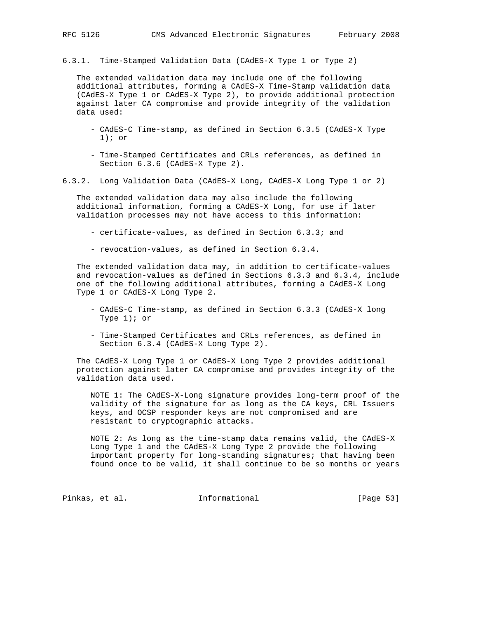6.3.1. Time-Stamped Validation Data (CAdES-X Type 1 or Type 2)

 The extended validation data may include one of the following additional attributes, forming a CAdES-X Time-Stamp validation data (CAdES-X Type 1 or CAdES-X Type 2), to provide additional protection against later CA compromise and provide integrity of the validation data used:

- CAdES-C Time-stamp, as defined in Section 6.3.5 (CAdES-X Type 1); or
- Time-Stamped Certificates and CRLs references, as defined in Section 6.3.6 (CAdES-X Type 2).
- 6.3.2. Long Validation Data (CAdES-X Long, CAdES-X Long Type 1 or 2)

 The extended validation data may also include the following additional information, forming a CAdES-X Long, for use if later validation processes may not have access to this information:

- certificate-values, as defined in Section 6.3.3; and
- revocation-values, as defined in Section 6.3.4.

 The extended validation data may, in addition to certificate-values and revocation-values as defined in Sections 6.3.3 and 6.3.4, include one of the following additional attributes, forming a CAdES-X Long Type 1 or CAdES-X Long Type 2.

- CAdES-C Time-stamp, as defined in Section 6.3.3 (CAdES-X long Type 1); or
- Time-Stamped Certificates and CRLs references, as defined in Section 6.3.4 (CAdES-X Long Type 2).

 The CAdES-X Long Type 1 or CAdES-X Long Type 2 provides additional protection against later CA compromise and provides integrity of the validation data used.

 NOTE 1: The CAdES-X-Long signature provides long-term proof of the validity of the signature for as long as the CA keys, CRL Issuers keys, and OCSP responder keys are not compromised and are resistant to cryptographic attacks.

 NOTE 2: As long as the time-stamp data remains valid, the CAdES-X Long Type 1 and the CAdES-X Long Type 2 provide the following important property for long-standing signatures; that having been found once to be valid, it shall continue to be so months or years

Pinkas, et al. 1nformational 1999 [Page 53]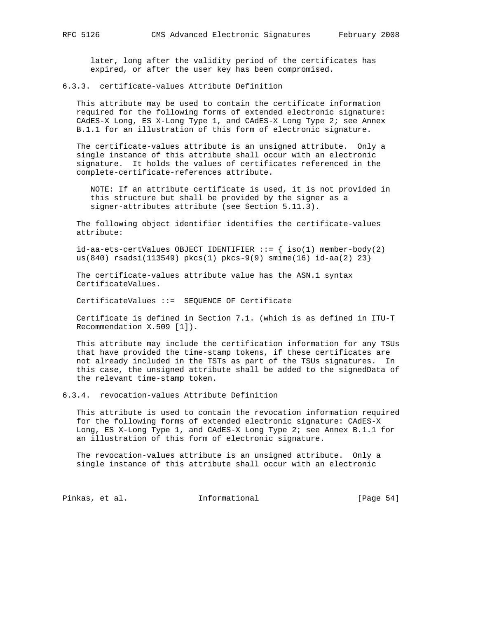later, long after the validity period of the certificates has expired, or after the user key has been compromised.

## 6.3.3. certificate-values Attribute Definition

 This attribute may be used to contain the certificate information required for the following forms of extended electronic signature: CAdES-X Long, ES X-Long Type 1, and CAdES-X Long Type 2; see Annex B.1.1 for an illustration of this form of electronic signature.

 The certificate-values attribute is an unsigned attribute. Only a single instance of this attribute shall occur with an electronic signature. It holds the values of certificates referenced in the complete-certificate-references attribute.

 NOTE: If an attribute certificate is used, it is not provided in this structure but shall be provided by the signer as a signer-attributes attribute (see Section 5.11.3).

 The following object identifier identifies the certificate-values attribute:

 $id-aa-ets-certValues OBJECT IDENTIFIER ::={ { iso(1) member-body(2) }}$ us(840) rsadsi(113549) pkcs(1) pkcs-9(9) smime(16) id-aa(2) 23}

 The certificate-values attribute value has the ASN.1 syntax CertificateValues.

CertificateValues ::= SEQUENCE OF Certificate

 Certificate is defined in Section 7.1. (which is as defined in ITU-T Recommendation X.509 [1]).

 This attribute may include the certification information for any TSUs that have provided the time-stamp tokens, if these certificates are not already included in the TSTs as part of the TSUs signatures. In this case, the unsigned attribute shall be added to the signedData of the relevant time-stamp token.

6.3.4. revocation-values Attribute Definition

 This attribute is used to contain the revocation information required for the following forms of extended electronic signature: CAdES-X Long, ES X-Long Type 1, and CAdES-X Long Type 2; see Annex B.1.1 for an illustration of this form of electronic signature.

 The revocation-values attribute is an unsigned attribute. Only a single instance of this attribute shall occur with an electronic

Pinkas, et al. 1nformational 1999 [Page 54]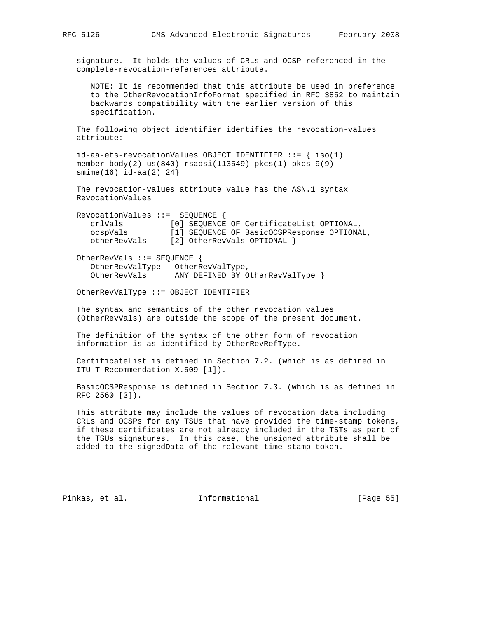signature. It holds the values of CRLs and OCSP referenced in the complete-revocation-references attribute.

 NOTE: It is recommended that this attribute be used in preference to the OtherRevocationInfoFormat specified in RFC 3852 to maintain backwards compatibility with the earlier version of this specification.

 The following object identifier identifies the revocation-values attribute:

 $id$ -aa-ets-revocationValues OBJECT IDENTIFIER ::= { iso(1) member-body(2) us(840) rsadsi(113549) pkcs(1) pkcs-9(9) smime(16) id-aa(2) 24}

 The revocation-values attribute value has the ASN.1 syntax RevocationValues

| $RevocationValues :: = SEQUENCE$ |                                             |
|----------------------------------|---------------------------------------------|
| crlVals                          | [0] SEOUENCE OF CertificateList OPTIONAL,   |
| ocspVals                         | [1] SEOUENCE OF BasicOCSPResponse OPTIONAL, |
| otherRevVals                     | [2] OtherRevVals OPTIONAL }                 |

 OtherRevVals ::= SEQUENCE { OtherRevValType OtherRevValType, OtherRevVals ANY DEFINED BY OtherRevValType }

OtherRevValType ::= OBJECT IDENTIFIER

 The syntax and semantics of the other revocation values (OtherRevVals) are outside the scope of the present document.

 The definition of the syntax of the other form of revocation information is as identified by OtherRevRefType.

 CertificateList is defined in Section 7.2. (which is as defined in ITU-T Recommendation X.509 [1]).

 BasicOCSPResponse is defined in Section 7.3. (which is as defined in RFC 2560 [3]).

 This attribute may include the values of revocation data including CRLs and OCSPs for any TSUs that have provided the time-stamp tokens, if these certificates are not already included in the TSTs as part of the TSUs signatures. In this case, the unsigned attribute shall be added to the signedData of the relevant time-stamp token.

Pinkas, et al. Informational [Page 55]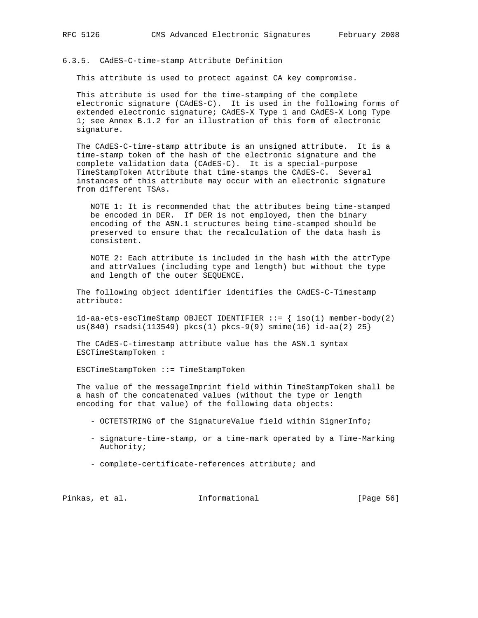### 6.3.5. CAdES-C-time-stamp Attribute Definition

This attribute is used to protect against CA key compromise.

 This attribute is used for the time-stamping of the complete electronic signature (CAdES-C). It is used in the following forms of extended electronic signature; CAdES-X Type 1 and CAdES-X Long Type 1; see Annex B.1.2 for an illustration of this form of electronic signature.

 The CAdES-C-time-stamp attribute is an unsigned attribute. It is a time-stamp token of the hash of the electronic signature and the complete validation data (CAdES-C). It is a special-purpose TimeStampToken Attribute that time-stamps the CAdES-C. Several instances of this attribute may occur with an electronic signature from different TSAs.

 NOTE 1: It is recommended that the attributes being time-stamped be encoded in DER. If DER is not employed, then the binary encoding of the ASN.1 structures being time-stamped should be preserved to ensure that the recalculation of the data hash is consistent.

 NOTE 2: Each attribute is included in the hash with the attrType and attrValues (including type and length) but without the type and length of the outer SEQUENCE.

 The following object identifier identifies the CAdES-C-Timestamp attribute:

 $id-aa-ets-escTimeStamp$  OBJECT IDENTIFIER ::=  $\{ iso(1)$  member-body(2) us(840) rsadsi(113549) pkcs(1) pkcs-9(9) smime(16) id-aa(2) 25}

 The CAdES-C-timestamp attribute value has the ASN.1 syntax ESCTimeStampToken :

ESCTimeStampToken ::= TimeStampToken

 The value of the messageImprint field within TimeStampToken shall be a hash of the concatenated values (without the type or length encoding for that value) of the following data objects:

- OCTETSTRING of the SignatureValue field within SignerInfo;
- signature-time-stamp, or a time-mark operated by a Time-Marking Authority;
- complete-certificate-references attribute; and

Pinkas, et al. 1nformational 1999 [Page 56]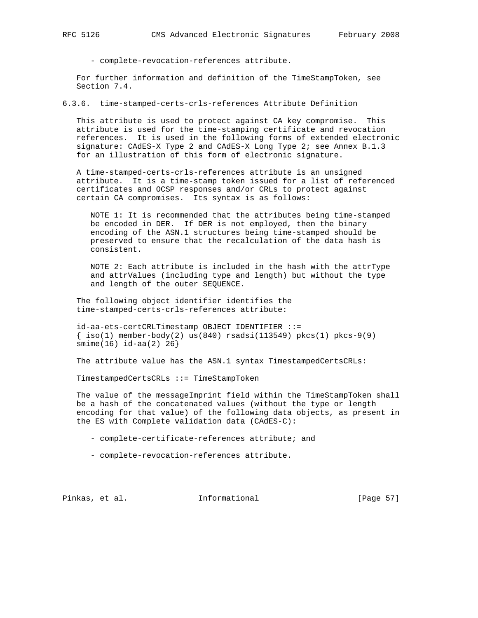- complete-revocation-references attribute.

 For further information and definition of the TimeStampToken, see Section 7.4.

6.3.6. time-stamped-certs-crls-references Attribute Definition

 This attribute is used to protect against CA key compromise. This attribute is used for the time-stamping certificate and revocation references. It is used in the following forms of extended electronic signature: CAdES-X Type 2 and CAdES-X Long Type 2; see Annex B.1.3 for an illustration of this form of electronic signature.

 A time-stamped-certs-crls-references attribute is an unsigned attribute. It is a time-stamp token issued for a list of referenced certificates and OCSP responses and/or CRLs to protect against certain CA compromises. Its syntax is as follows:

 NOTE 1: It is recommended that the attributes being time-stamped be encoded in DER. If DER is not employed, then the binary encoding of the ASN.1 structures being time-stamped should be preserved to ensure that the recalculation of the data hash is consistent.

 NOTE 2: Each attribute is included in the hash with the attrType and attrValues (including type and length) but without the type and length of the outer SEQUENCE.

 The following object identifier identifies the time-stamped-certs-crls-references attribute:

 id-aa-ets-certCRLTimestamp OBJECT IDENTIFIER ::=  $\{\text{iso}(1) \text{ member-body}(2) \text{ us}(840) \text{ rsadsi}(113549) \text{ pkcs}(1) \text{ pkcs-9}(9)$ smime(16) id-aa(2) 26}

The attribute value has the ASN.1 syntax TimestampedCertsCRLs:

TimestampedCertsCRLs ::= TimeStampToken

 The value of the messageImprint field within the TimeStampToken shall be a hash of the concatenated values (without the type or length encoding for that value) of the following data objects, as present in the ES with Complete validation data (CAdES-C):

- complete-certificate-references attribute; and

- complete-revocation-references attribute.

Pinkas, et al. Informational [Page 57]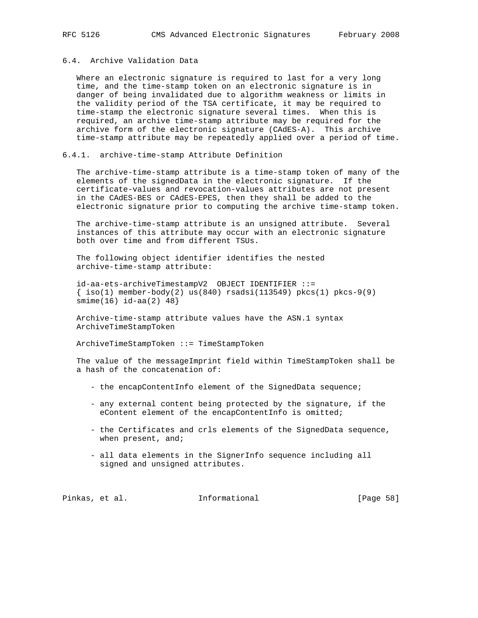# 6.4. Archive Validation Data

 Where an electronic signature is required to last for a very long time, and the time-stamp token on an electronic signature is in danger of being invalidated due to algorithm weakness or limits in the validity period of the TSA certificate, it may be required to time-stamp the electronic signature several times. When this is required, an archive time-stamp attribute may be required for the archive form of the electronic signature (CAdES-A). This archive time-stamp attribute may be repeatedly applied over a period of time.

## 6.4.1. archive-time-stamp Attribute Definition

 The archive-time-stamp attribute is a time-stamp token of many of the elements of the signedData in the electronic signature. If the certificate-values and revocation-values attributes are not present in the CAdES-BES or CAdES-EPES, then they shall be added to the electronic signature prior to computing the archive time-stamp token.

 The archive-time-stamp attribute is an unsigned attribute. Several instances of this attribute may occur with an electronic signature both over time and from different TSUs.

 The following object identifier identifies the nested archive-time-stamp attribute:

 id-aa-ets-archiveTimestampV2 OBJECT IDENTIFIER ::=  $\{ iso(1)$  member-body(2) us(840) rsadsi(113549) pkcs(1) pkcs-9(9) smime(16) id-aa(2) 48}

 Archive-time-stamp attribute values have the ASN.1 syntax ArchiveTimeStampToken

ArchiveTimeStampToken ::= TimeStampToken

 The value of the messageImprint field within TimeStampToken shall be a hash of the concatenation of:

- the encapContentInfo element of the SignedData sequence;
- any external content being protected by the signature, if the eContent element of the encapContentInfo is omitted;
- the Certificates and crls elements of the SignedData sequence, when present, and;
- all data elements in the SignerInfo sequence including all signed and unsigned attributes.

Pinkas, et al. 1nformational [Page 58]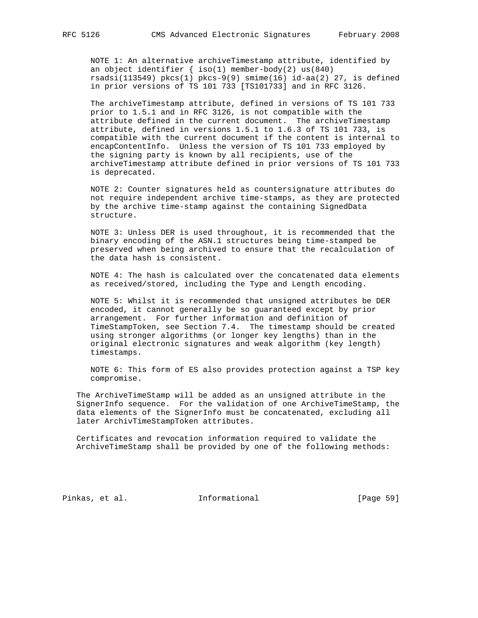NOTE 1: An alternative archiveTimestamp attribute, identified by an object identifier { iso(1) member-body(2) us(840) rsadsi(113549) pkcs(1) pkcs-9(9) smime(16) id-aa(2) 27, is defined in prior versions of TS 101 733 [TS101733] and in RFC 3126.

 The archiveTimestamp attribute, defined in versions of TS 101 733 prior to 1.5.1 and in RFC 3126, is not compatible with the attribute defined in the current document. The archiveTimestamp attribute, defined in versions 1.5.1 to 1.6.3 of TS 101 733, is compatible with the current document if the content is internal to encapContentInfo. Unless the version of TS 101 733 employed by the signing party is known by all recipients, use of the archiveTimestamp attribute defined in prior versions of TS 101 733 is deprecated.

 NOTE 2: Counter signatures held as countersignature attributes do not require independent archive time-stamps, as they are protected by the archive time-stamp against the containing SignedData structure.

 NOTE 3: Unless DER is used throughout, it is recommended that the binary encoding of the ASN.1 structures being time-stamped be preserved when being archived to ensure that the recalculation of the data hash is consistent.

 NOTE 4: The hash is calculated over the concatenated data elements as received/stored, including the Type and Length encoding.

 NOTE 5: Whilst it is recommended that unsigned attributes be DER encoded, it cannot generally be so guaranteed except by prior arrangement. For further information and definition of TimeStampToken, see Section 7.4. The timestamp should be created using stronger algorithms (or longer key lengths) than in the original electronic signatures and weak algorithm (key length) timestamps.

 NOTE 6: This form of ES also provides protection against a TSP key compromise.

 The ArchiveTimeStamp will be added as an unsigned attribute in the SignerInfo sequence. For the validation of one ArchiveTimeStamp, the data elements of the SignerInfo must be concatenated, excluding all later ArchivTimeStampToken attributes.

 Certificates and revocation information required to validate the ArchiveTimeStamp shall be provided by one of the following methods:

Pinkas, et al. Informational [Page 59]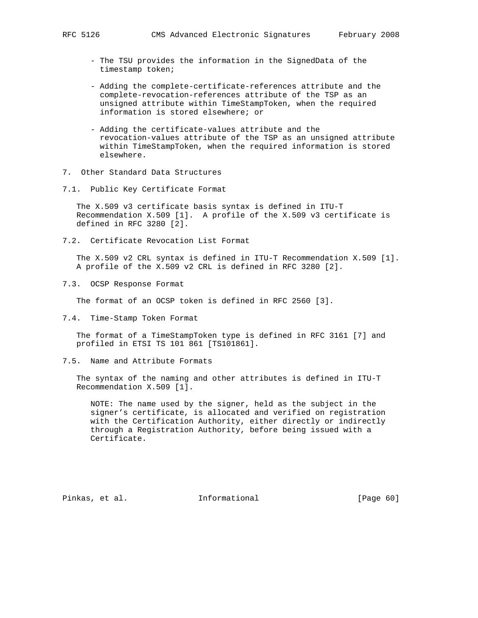- The TSU provides the information in the SignedData of the timestamp token;
- Adding the complete-certificate-references attribute and the complete-revocation-references attribute of the TSP as an unsigned attribute within TimeStampToken, when the required information is stored elsewhere; or
- Adding the certificate-values attribute and the revocation-values attribute of the TSP as an unsigned attribute within TimeStampToken, when the required information is stored elsewhere.
- 7. Other Standard Data Structures
- 7.1. Public Key Certificate Format

 The X.509 v3 certificate basis syntax is defined in ITU-T Recommendation X.509 [1]. A profile of the X.509 v3 certificate is defined in RFC 3280 [2].

7.2. Certificate Revocation List Format

 The X.509 v2 CRL syntax is defined in ITU-T Recommendation X.509 [1]. A profile of the X.509 v2 CRL is defined in RFC 3280 [2].

7.3. OCSP Response Format

The format of an OCSP token is defined in RFC 2560 [3].

7.4. Time-Stamp Token Format

 The format of a TimeStampToken type is defined in RFC 3161 [7] and profiled in ETSI TS 101 861 [TS101861].

7.5. Name and Attribute Formats

 The syntax of the naming and other attributes is defined in ITU-T Recommendation X.509 [1].

 NOTE: The name used by the signer, held as the subject in the signer's certificate, is allocated and verified on registration with the Certification Authority, either directly or indirectly through a Registration Authority, before being issued with a Certificate.

Pinkas, et al. Informational [Page 60]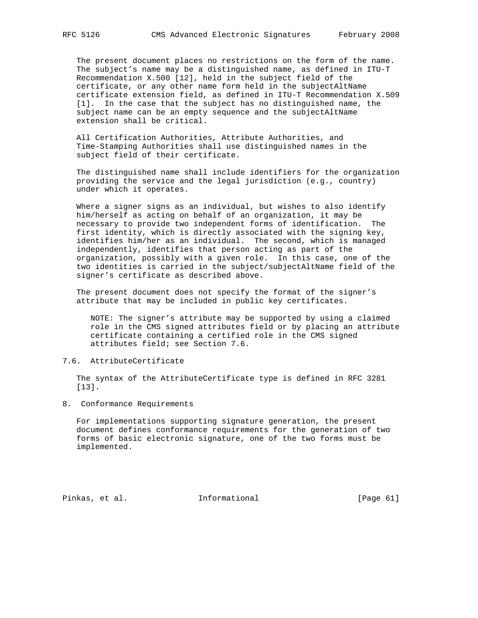The present document places no restrictions on the form of the name. The subject's name may be a distinguished name, as defined in ITU-T Recommendation X.500 [12], held in the subject field of the certificate, or any other name form held in the subjectAltName certificate extension field, as defined in ITU-T Recommendation X.509 [1]. In the case that the subject has no distinguished name, the subject name can be an empty sequence and the subjectAltName extension shall be critical.

 All Certification Authorities, Attribute Authorities, and Time-Stamping Authorities shall use distinguished names in the subject field of their certificate.

 The distinguished name shall include identifiers for the organization providing the service and the legal jurisdiction (e.g., country) under which it operates.

Where a signer signs as an individual, but wishes to also identify him/herself as acting on behalf of an organization, it may be necessary to provide two independent forms of identification. The first identity, which is directly associated with the signing key, identifies him/her as an individual. The second, which is managed independently, identifies that person acting as part of the organization, possibly with a given role. In this case, one of the two identities is carried in the subject/subjectAltName field of the signer's certificate as described above.

 The present document does not specify the format of the signer's attribute that may be included in public key certificates.

 NOTE: The signer's attribute may be supported by using a claimed role in the CMS signed attributes field or by placing an attribute certificate containing a certified role in the CMS signed attributes field; see Section 7.6.

## 7.6. AttributeCertificate

 The syntax of the AttributeCertificate type is defined in RFC 3281 [13].

8. Conformance Requirements

 For implementations supporting signature generation, the present document defines conformance requirements for the generation of two forms of basic electronic signature, one of the two forms must be implemented.

Pinkas, et al. Informational [Page 61]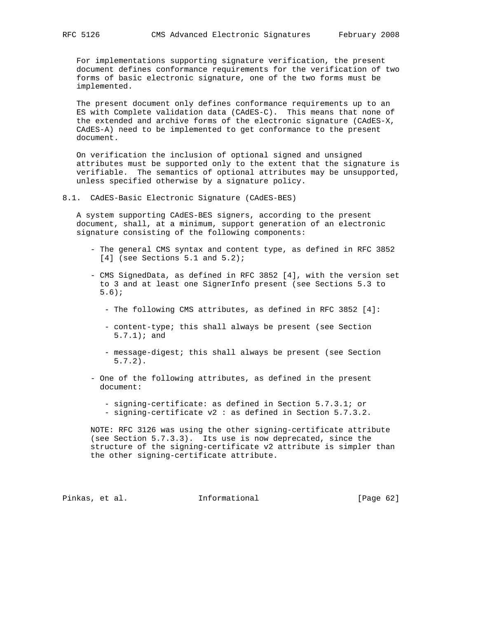For implementations supporting signature verification, the present document defines conformance requirements for the verification of two forms of basic electronic signature, one of the two forms must be implemented.

 The present document only defines conformance requirements up to an ES with Complete validation data (CAdES-C). This means that none of the extended and archive forms of the electronic signature (CAdES-X, CAdES-A) need to be implemented to get conformance to the present document.

 On verification the inclusion of optional signed and unsigned attributes must be supported only to the extent that the signature is verifiable. The semantics of optional attributes may be unsupported, unless specified otherwise by a signature policy.

8.1. CAdES-Basic Electronic Signature (CAdES-BES)

 A system supporting CAdES-BES signers, according to the present document, shall, at a minimum, support generation of an electronic signature consisting of the following components:

- The general CMS syntax and content type, as defined in RFC 3852  $[4]$  (see Sections 5.1 and 5.2);
- CMS SignedData, as defined in RFC 3852 [4], with the version set to 3 and at least one SignerInfo present (see Sections 5.3 to 5.6);
	- The following CMS attributes, as defined in RFC 3852 [4]:
	- content-type; this shall always be present (see Section 5.7.1); and
	- message-digest; this shall always be present (see Section 5.7.2).
- One of the following attributes, as defined in the present document:
	- signing-certificate: as defined in Section 5.7.3.1; or
	- signing-certificate v2 : as defined in Section 5.7.3.2.

 NOTE: RFC 3126 was using the other signing-certificate attribute (see Section 5.7.3.3). Its use is now deprecated, since the structure of the signing-certificate v2 attribute is simpler than the other signing-certificate attribute.

Pinkas, et al. 1nformational [Page 62]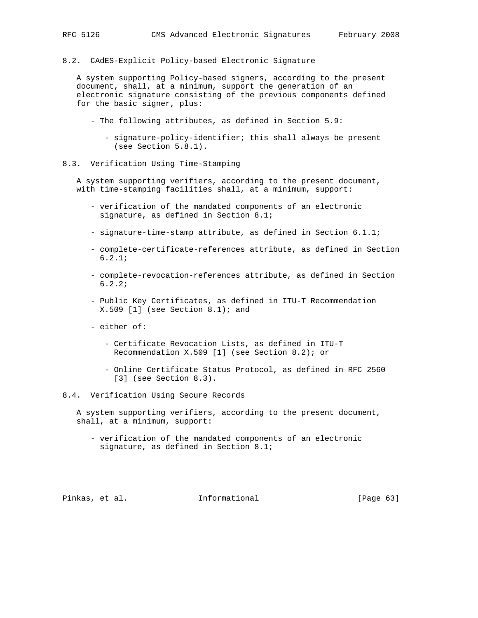8.2. CAdES-Explicit Policy-based Electronic Signature

 A system supporting Policy-based signers, according to the present document, shall, at a minimum, support the generation of an electronic signature consisting of the previous components defined for the basic signer, plus:

- The following attributes, as defined in Section 5.9:
	- signature-policy-identifier; this shall always be present (see Section 5.8.1).
- 8.3. Verification Using Time-Stamping

 A system supporting verifiers, according to the present document, with time-stamping facilities shall, at a minimum, support:

- verification of the mandated components of an electronic signature, as defined in Section 8.1;
- signature-time-stamp attribute, as defined in Section 6.1.1;
- complete-certificate-references attribute, as defined in Section 6.2.1;
- complete-revocation-references attribute, as defined in Section 6.2.2;
- Public Key Certificates, as defined in ITU-T Recommendation  $X.509$  [1] (see Section 8.1); and
- either of:
	- Certificate Revocation Lists, as defined in ITU-T Recommendation X.509 [1] (see Section 8.2); or
	- Online Certificate Status Protocol, as defined in RFC 2560 [3] (see Section 8.3).

# 8.4. Verification Using Secure Records

 A system supporting verifiers, according to the present document, shall, at a minimum, support:

 - verification of the mandated components of an electronic signature, as defined in Section 8.1;

Pinkas, et al. Informational [Page 63]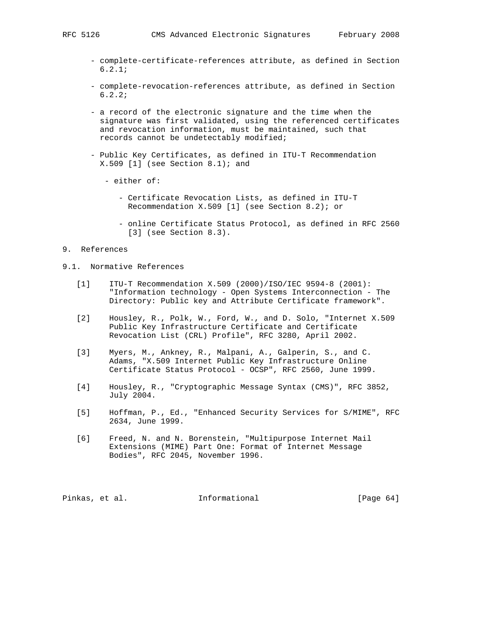- complete-certificate-references attribute, as defined in Section 6.2.1;
- complete-revocation-references attribute, as defined in Section 6.2.2;
- a record of the electronic signature and the time when the signature was first validated, using the referenced certificates and revocation information, must be maintained, such that records cannot be undetectably modified;
- Public Key Certificates, as defined in ITU-T Recommendation  $X.509$  [1] (see Section  $8.1$ ); and
	- either of:
		- Certificate Revocation Lists, as defined in ITU-T Recommendation X.509 [1] (see Section 8.2); or
		- online Certificate Status Protocol, as defined in RFC 2560 [3] (see Section 8.3).

# 9. References

- 9.1. Normative References
	- [1] ITU-T Recommendation X.509 (2000)/ISO/IEC 9594-8 (2001): "Information technology - Open Systems Interconnection - The Directory: Public key and Attribute Certificate framework".
	- [2] Housley, R., Polk, W., Ford, W., and D. Solo, "Internet X.509 Public Key Infrastructure Certificate and Certificate Revocation List (CRL) Profile", RFC 3280, April 2002.
	- [3] Myers, M., Ankney, R., Malpani, A., Galperin, S., and C. Adams, "X.509 Internet Public Key Infrastructure Online Certificate Status Protocol - OCSP", RFC 2560, June 1999.
	- [4] Housley, R., "Cryptographic Message Syntax (CMS)", RFC 3852, July 2004.
	- [5] Hoffman, P., Ed., "Enhanced Security Services for S/MIME", RFC 2634, June 1999.
	- [6] Freed, N. and N. Borenstein, "Multipurpose Internet Mail Extensions (MIME) Part One: Format of Internet Message Bodies", RFC 2045, November 1996.

Pinkas, et al. Informational [Page 64]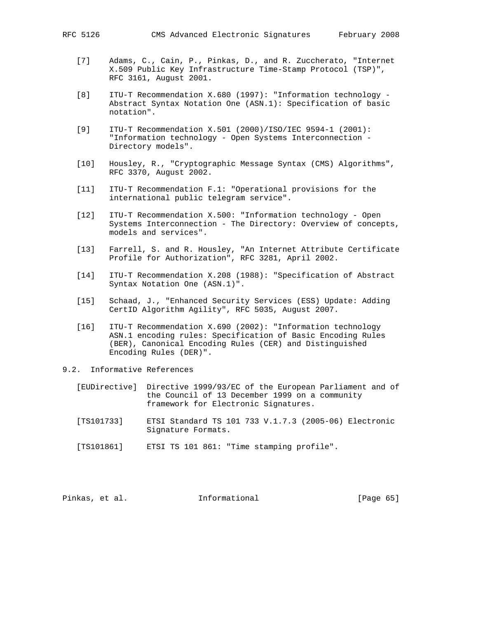- 
- [7] Adams, C., Cain, P., Pinkas, D., and R. Zuccherato, "Internet X.509 Public Key Infrastructure Time-Stamp Protocol (TSP)", RFC 3161, August 2001.
- [8] ITU-T Recommendation X.680 (1997): "Information technology Abstract Syntax Notation One (ASN.1): Specification of basic notation".
- [9] ITU-T Recommendation X.501 (2000)/ISO/IEC 9594-1 (2001): "Information technology - Open Systems Interconnection - Directory models".
- [10] Housley, R., "Cryptographic Message Syntax (CMS) Algorithms", RFC 3370, August 2002.
- [11] ITU-T Recommendation F.1: "Operational provisions for the international public telegram service".
- [12] ITU-T Recommendation X.500: "Information technology Open Systems Interconnection - The Directory: Overview of concepts, models and services".
- [13] Farrell, S. and R. Housley, "An Internet Attribute Certificate Profile for Authorization", RFC 3281, April 2002.
- [14] ITU-T Recommendation X.208 (1988): "Specification of Abstract Syntax Notation One (ASN.1)".
- [15] Schaad, J., "Enhanced Security Services (ESS) Update: Adding CertID Algorithm Agility", RFC 5035, August 2007.
- [16] ITU-T Recommendation X.690 (2002): "Information technology ASN.1 encoding rules: Specification of Basic Encoding Rules (BER), Canonical Encoding Rules (CER) and Distinguished Encoding Rules (DER)".
- 9.2. Informative References
	- [EUDirective] Directive 1999/93/EC of the European Parliament and of the Council of 13 December 1999 on a community framework for Electronic Signatures.
	- [TS101733] ETSI Standard TS 101 733 V.1.7.3 (2005-06) Electronic Signature Formats.
	- [TS101861] ETSI TS 101 861: "Time stamping profile".

| Pinkas, et al.<br>Informational | [Page 65] |  |  |
|---------------------------------|-----------|--|--|
|---------------------------------|-----------|--|--|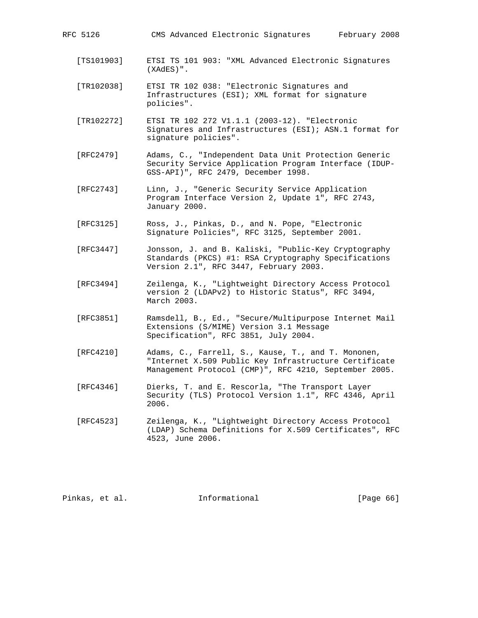| RFC 5126   | CMS Advanced Electronic Signatures<br>February 2008                                                          |
|------------|--------------------------------------------------------------------------------------------------------------|
| [TS101903] | ETSI TS 101 903: "XML Advanced Electronic Signatures<br>(XAdES)".                                            |
| [TR102038] | ETSI TR 102 038: "Electronic Signatures and<br>Infrastructures (ESI); XML format for signature<br>policies". |
| [TR102272] | ETSI TR 102 272 V1.1.1 (2003-12). "Electronic<br>Signatures and Infrastructures (ESI); ASN.1 format for      |

- [RFC2479] Adams, C., "Independent Data Unit Protection Generic Security Service Application Program Interface (IDUP- GSS-API)", RFC 2479, December 1998.
- [RFC2743] Linn, J., "Generic Security Service Application Program Interface Version 2, Update 1", RFC 2743, January 2000.
- [RFC3125] Ross, J., Pinkas, D., and N. Pope, "Electronic Signature Policies", RFC 3125, September 2001.

signature policies".

- [RFC3447] Jonsson, J. and B. Kaliski, "Public-Key Cryptography Standards (PKCS) #1: RSA Cryptography Specifications Version 2.1", RFC 3447, February 2003.
- [RFC3494] Zeilenga, K., "Lightweight Directory Access Protocol version 2 (LDAPv2) to Historic Status", RFC 3494, March 2003.
- [RFC3851] Ramsdell, B., Ed., "Secure/Multipurpose Internet Mail Extensions (S/MIME) Version 3.1 Message Specification", RFC 3851, July 2004.
- [RFC4210] Adams, C., Farrell, S., Kause, T., and T. Mononen, "Internet X.509 Public Key Infrastructure Certificate Management Protocol (CMP)", RFC 4210, September 2005.
- [RFC4346] Dierks, T. and E. Rescorla, "The Transport Layer Security (TLS) Protocol Version 1.1", RFC 4346, April 2006.
- [RFC4523] Zeilenga, K., "Lightweight Directory Access Protocol (LDAP) Schema Definitions for X.509 Certificates", RFC 4523, June 2006.

Pinkas, et al. Informational [Page 66]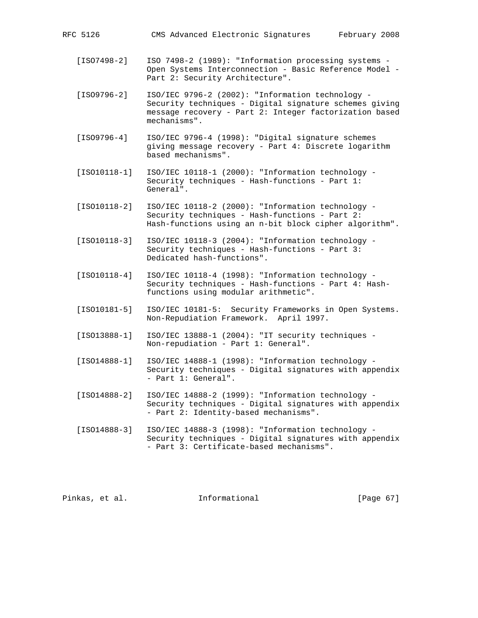- [ISO7498-2] ISO 7498-2 (1989): "Information processing systems Open Systems Interconnection - Basic Reference Model - Part 2: Security Architecture".
- [ISO9796-2] ISO/IEC 9796-2 (2002): "Information technology Security techniques - Digital signature schemes giving message recovery - Part 2: Integer factorization based mechanisms".
- [ISO9796-4] ISO/IEC 9796-4 (1998): "Digital signature schemes giving message recovery - Part 4: Discrete logarithm based mechanisms".
- [ISO10118-1] ISO/IEC 10118-1 (2000): "Information technology Security techniques - Hash-functions - Part 1: General".
- [ISO10118-2] ISO/IEC 10118-2 (2000): "Information technology Security techniques - Hash-functions - Part 2: Hash-functions using an n-bit block cipher algorithm".
- [ISO10118-3] ISO/IEC 10118-3 (2004): "Information technology Security techniques - Hash-functions - Part 3: Dedicated hash-functions".
- [ISO10118-4] ISO/IEC 10118-4 (1998): "Information technology Security techniques - Hash-functions - Part 4: Hash functions using modular arithmetic".
- [ISO10181-5] ISO/IEC 10181-5: Security Frameworks in Open Systems. Non-Repudiation Framework. April 1997.
- [ISO13888-1] ISO/IEC 13888-1 (2004): "IT security techniques Non-repudiation - Part 1: General".
- [ISO14888-1] ISO/IEC 14888-1 (1998): "Information technology Security techniques - Digital signatures with appendix - Part 1: General".
- [ISO14888-2] ISO/IEC 14888-2 (1999): "Information technology Security techniques - Digital signatures with appendix - Part 2: Identity-based mechanisms".
- [ISO14888-3] ISO/IEC 14888-3 (1998): "Information technology Security techniques - Digital signatures with appendix - Part 3: Certificate-based mechanisms".

Pinkas, et al. 1nformational [Page 67]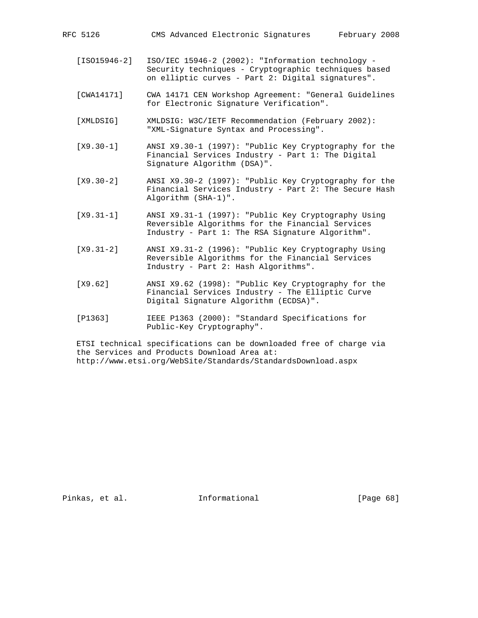- [CWA14171] CWA 14171 CEN Workshop Agreement: "General Guidelines for Electronic Signature Verification".
- [XMLDSIG] XMLDSIG: W3C/IETF Recommendation (February 2002): "XML-Signature Syntax and Processing".
- [X9.30-1] ANSI X9.30-1 (1997): "Public Key Cryptography for the Financial Services Industry - Part 1: The Digital Signature Algorithm (DSA)".
- [X9.30-2] ANSI X9.30-2 (1997): "Public Key Cryptography for the Financial Services Industry - Part 2: The Secure Hash Algorithm (SHA-1)".
- [X9.31-1] ANSI X9.31-1 (1997): "Public Key Cryptography Using Reversible Algorithms for the Financial Services Industry - Part 1: The RSA Signature Algorithm".
- [X9.31-2] ANSI X9.31-2 (1996): "Public Key Cryptography Using Reversible Algorithms for the Financial Services Industry - Part 2: Hash Algorithms".
- [X9.62] ANSI X9.62 (1998): "Public Key Cryptography for the Financial Services Industry - The Elliptic Curve Digital Signature Algorithm (ECDSA)".
- [P1363] IEEE P1363 (2000): "Standard Specifications for Public-Key Cryptography".

 ETSI technical specifications can be downloaded free of charge via the Services and Products Download Area at: http://www.etsi.org/WebSite/Standards/StandardsDownload.aspx

Pinkas, et al. Informational [Page 68]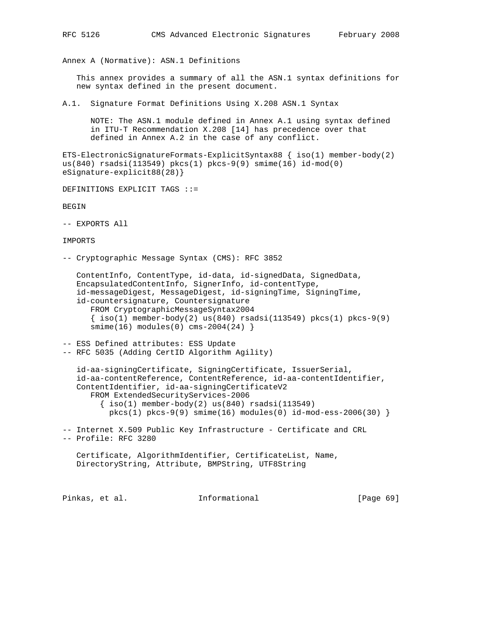Annex A (Normative): ASN.1 Definitions

 This annex provides a summary of all the ASN.1 syntax definitions for new syntax defined in the present document.

A.1. Signature Format Definitions Using X.208 ASN.1 Syntax

 NOTE: The ASN.1 module defined in Annex A.1 using syntax defined in ITU-T Recommendation X.208 [14] has precedence over that defined in Annex A.2 in the case of any conflict.

ETS-ElectronicSignatureFormats-ExplicitSyntax88 { iso(1) member-body(2) us(840) rsadsi(113549) pkcs(1) pkcs-9(9) smime(16) id-mod(0) eSignature-explicit88(28)}

DEFINITIONS EXPLICIT TAGS ::=

BEGIN

-- EXPORTS All

IMPORTS

-- Cryptographic Message Syntax (CMS): RFC 3852

 ContentInfo, ContentType, id-data, id-signedData, SignedData, EncapsulatedContentInfo, SignerInfo, id-contentType, id-messageDigest, MessageDigest, id-signingTime, SigningTime, id-countersignature, Countersignature FROM CryptographicMessageSyntax2004 { iso(1) member-body(2) us(840) rsadsi(113549) pkcs(1) pkcs-9(9)  $smin(e(16)$  modules $(0)$  cms-2004 $(24)$ }

-- ESS Defined attributes: ESS Update -- RFC 5035 (Adding CertID Algorithm Agility)

 id-aa-signingCertificate, SigningCertificate, IssuerSerial, id-aa-contentReference, ContentReference, id-aa-contentIdentifier, ContentIdentifier, id-aa-signingCertificateV2 FROM ExtendedSecurityServices-2006  $\{\text{iso}(1) \text{ member-body}(2) \text{us}(840) \text{ rsadsi}(113549)\}$  $pkcs(1) pkcs-9(9) simime(16) modules(0) id-mod-ess-2006(30)$ 

-- Internet X.509 Public Key Infrastructure - Certificate and CRL -- Profile: RFC 3280

 Certificate, AlgorithmIdentifier, CertificateList, Name, DirectoryString, Attribute, BMPString, UTF8String

Pinkas, et al. 1nformational [Page 69]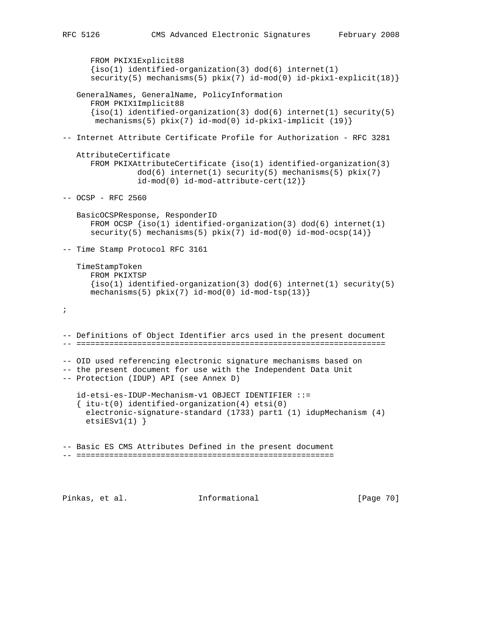```
 FROM PKIX1Explicit88
      \{iso(1) identified-organization(3) dod(6) internet(1)
       security(5) mechanisms(5) pkix(7) id-mod(0) id-pkix1-explicit(18)}
   GeneralNames, GeneralName, PolicyInformation
       FROM PKIX1Implicit88
      \{iso(1) identified-organization(3) dod(6) internet(1) security(5)
        mechanisms(5) pkix(7) id-mod(0) id-pkix1-implicit (19)}
-- Internet Attribute Certificate Profile for Authorization - RFC 3281
   AttributeCertificate
       FROM PKIXAttributeCertificate {iso(1) identified-organization(3)
                dod(6) internet(1) security(5) mechanisms(5) pkix(7)
                 id-mod(0) id-mod-attribute-cert(12)}
-- OCSP - RFC 2560
   BasicOCSPResponse, ResponderID
      FROM OCSP \{iso(1) identified-organization(3) dod(6) internet(1)
      security(5) mechanisms(5) pix(7) id-mod(0) id-mod-ocsp(14)}
-- Time Stamp Protocol RFC 3161
    TimeStampToken
       FROM PKIXTSP
      \{iso(1) identified-organization(3) dod(6) internet(1) security(5)
      mechanisms(5) pix(7) id-mod(0) id-mod-tsp(13) }
;
-- Definitions of Object Identifier arcs used in the present document
-- ==================================================================
-- OID used referencing electronic signature mechanisms based on
-- the present document for use with the Independent Data Unit
-- Protection (IDUP) API (see Annex D)
    id-etsi-es-IDUP-Mechanism-v1 OBJECT IDENTIFIER ::=
   \{ itu-t(0) identified-organization(4) etsi(0)
     electronic-signature-standard (1733) part1 (1) idupMechanism (4)
    etsiESv1(1)}
-- Basic ES CMS Attributes Defined in the present document
-- =======================================================
```
Pinkas, et al. Informational [Page 70]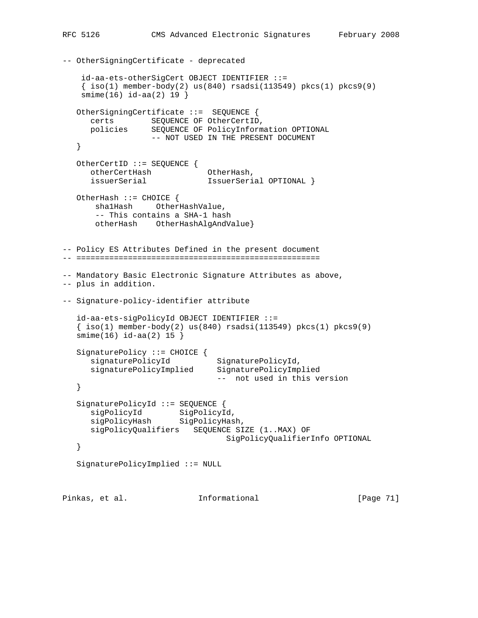```
-- OtherSigningCertificate - deprecated
     id-aa-ets-otherSigCert OBJECT IDENTIFIER ::=
    \{ iso(1) member-body(2) us(840) rsadsi(113549) pkcs(1) pkcs9(9) smime(16) id-aa(2) 19 }
   OtherSigningCertificate ::= SEQUENCE {
 certs SEQUENCE OF OtherCertID,
 policies SEQUENCE OF PolicyInformation OPTIONAL
 -- NOT USED IN THE PRESENT DOCUMENT
   }
   OtherCertID ::= SEQUENCE {
     otherCertHash OtherHash,<br>issuerSerial IssuerSeri
     issuerSerial 1ssuerSerial OPTIONAL }
   OtherHash ::= CHOICE {
       sha1Hash OtherHashValue,
       -- This contains a SHA-1 hash
       otherHash OtherHashAlgAndValue}
-- Policy ES Attributes Defined in the present document
-- ====================================================
-- Mandatory Basic Electronic Signature Attributes as above,
-- plus in addition.
-- Signature-policy-identifier attribute
   id-aa-ets-sigPolicyId OBJECT IDENTIFIER ::=
  \{\text{iso}(1) \text{ member-body}(2) \text{ us}(840) \text{ rsadsi}(113549) \text{ pkcs}(1) \text{ pkcs}(9)\}smin(e(16) i d - aa(2) 15 ) SignaturePolicy ::= CHOICE {
signaturePolicyId SignaturePolicyId,
 signaturePolicyImplied SignaturePolicyImplied
                                 -- not used in this version
   }
   SignaturePolicyId ::= SEQUENCE {
sigPolicyId SigPolicyId,
 sigPolicyHash SigPolicyHash,
      sigPolicyQualifiers SEQUENCE SIZE (1..MAX) OF
```
SignaturePolicyImplied ::= NULL

}

Pinkas, et al. 1nformational [Page 71]

SigPolicyQualifierInfo OPTIONAL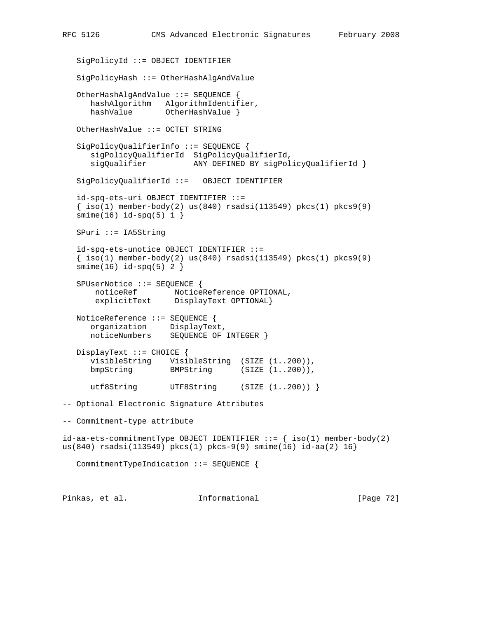SigPolicyId ::= OBJECT IDENTIFIER SigPolicyHash ::= OtherHashAlgAndValue OtherHashAlgAndValue ::= SEQUENCE { hashAlgorithm AlgorithmIdentifier, hashValue 0therHashValue } OtherHashValue ::= OCTET STRING SigPolicyQualifierInfo ::= SEQUENCE { sigPolicyQualifierId SigPolicyQualifierId, sigQualifier ANY DEFINED BY sigPolicyQualifierId } SigPolicyQualifierId ::= OBJECT IDENTIFIER id-spq-ets-uri OBJECT IDENTIFIER ::=  $\{ iso(1) member-body(2) us(840) rsadsi(113549) pkcs(1) pkcs9(9)$  $smin(e(16) id - spq(5) 1 )$  SPuri ::= IA5String id-spq-ets-unotice OBJECT IDENTIFIER ::=  $\{ iso(1) member-body(2) us(840) rsadsi(113549) pkcs(1) pkcs9(9)$  $smin(16)$  id-spq(5) 2 } SPUserNotice ::= SEQUENCE { noticeRef NoticeReference OPTIONAL, explicitText DisplayText OPTIONAL} NoticeReference ::= SEQUENCE { organization DisplayText, noticeNumbers SEQUENCE OF INTEGER } DisplayText ::= CHOICE { visibleString VisibleString (SIZE (1..200)), bmpString BMPString (SIZE (1..200)), utf8String UTF8String (SIZE (1..200)) } -- Optional Electronic Signature Attributes -- Commitment-type attribute  $id-aa-ets-committmentType OBJECT IDENTIFIER ::=\{ iso(1) member-body(2)$ us(840) rsadsi(113549) pkcs(1) pkcs-9(9) smime(16) id-aa(2) 16} CommitmentTypeIndication ::= SEQUENCE { Pinkas, et al. Informational [Page 72]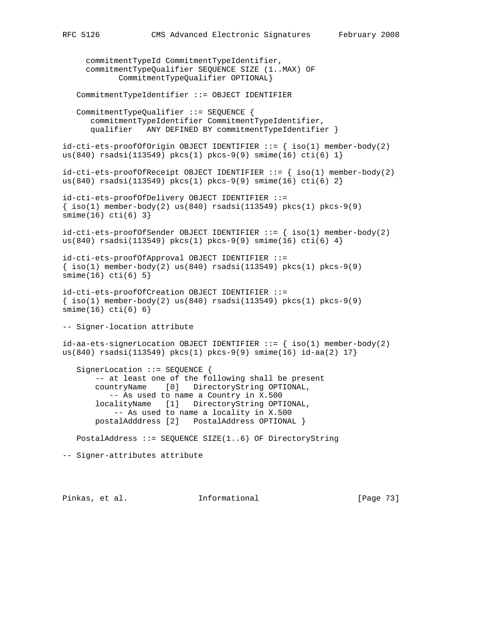commitmentTypeId CommitmentTypeIdentifier, commitmentTypeQualifier SEQUENCE SIZE (1..MAX) OF CommitmentTypeQualifier OPTIONAL} CommitmentTypeIdentifier ::= OBJECT IDENTIFIER CommitmentTypeQualifier ::= SEQUENCE { commitmentTypeIdentifier CommitmentTypeIdentifier, qualifier ANY DEFINED BY commitmentTypeIdentifier }  $id-cuti-ets-proofOfOrigin$  OBJECT IDENTIFIER  $::=$  {  $iso(1)$  member-body(2) us(840) rsadsi(113549) pkcs(1) pkcs-9(9) smime(16) cti(6)  $1$ }  $id-cuti-ets-proofofReceeipt OBJECT IDENTIFYER ::= { iso(1) member-body(2) }$ us(840) rsadsi(113549) pkcs(1) pkcs-9(9) smime(16) cti(6)  $2$ } id-cti-ets-proofOfDelivery OBJECT IDENTIFIER ::=  $\{\text{iso}(1) \text{ member-body}(2) \text{ us}(840) \text{ rsadsi}(113549) \text{ pkcs}(1) \text{ pkcs-9}(9)$ smime(16) cti(6) 3}  $id-cuti-ets-proofofSender OBJECT IDENTIFIER ::=\{ iso(1) member-body(2)$ us(840) rsadsi(113549) pkcs(1) pkcs-9(9) smime(16) cti(6)  $4$ } id-cti-ets-proofOfApproval OBJECT IDENTIFIER ::=  $\{\text{iso}(1) \text{ member-body}(2) \text{ us}(840) \text{ rsadsi}(113549) \text{ pkcs}(1) \text{ pkcs-9}(9)\}$  $smin(e(16) \text{ cti}(6) 5)$ id-cti-ets-proofOfCreation OBJECT IDENTIFIER ::=  $\{\text{iso}(1) \text{ member-body}(2) \text{ us}(840) \text{ rsadsi}(113549) \text{ pkc}(1) \text{ pkc}(-9)$ smime(16) cti(6) 6} -- Signer-location attribute id-aa-ets-signerLocation OBJECT IDENTIFIER  $::=$  { iso(1) member-body(2) us(840) rsadsi(113549) pkcs(1) pkcs-9(9) smime(16) id-aa(2) 17} SignerLocation ::= SEQUENCE { -- at least one of the following shall be present countryName [0] DirectoryString OPTIONAL, -- As used to name a Country in X.500 localityName [1] DirectoryString OPTIONAL, -- As used to name a locality in X.500 postalAdddress [2] PostalAddress OPTIONAL } PostalAddress ::= SEQUENCE SIZE(1..6) OF DirectoryString -- Signer-attributes attribute

Pinkas, et al. Informational [Page 73]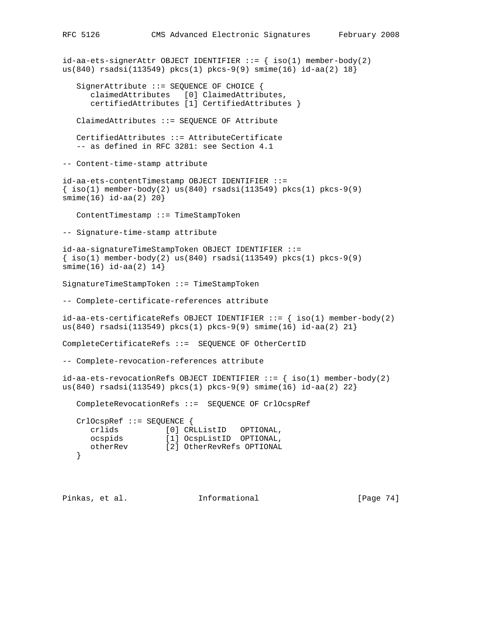```
id-aa-ets-signerAttr OBJECT IDENTIFIER ::= { iso(1) member-body(2)
us(840) rsadsi(113549) pkcs(1) pkcs-9(9) smime(16) id-aa(2) 18}
    SignerAttribute ::= SEQUENCE OF CHOICE {
       claimedAttributes [0] ClaimedAttributes,
       certifiedAttributes [1] CertifiedAttributes }
    ClaimedAttributes ::= SEQUENCE OF Attribute
    CertifiedAttributes ::= AttributeCertificate
    -- as defined in RFC 3281: see Section 4.1
-- Content-time-stamp attribute
id-aa-ets-contentTimestamp OBJECT IDENTIFIER ::=
\{\text{iso}(1) \text{ member-body}(2) \text{ us}(840) \text{ rsadsi}(113549) \text{ pkcs}(1) \text{ pkcs-9}(9)smime(16) id-aa(2) 20}
    ContentTimestamp ::= TimeStampToken
-- Signature-time-stamp attribute
id-aa-signatureTimeStampToken OBJECT IDENTIFIER ::=
\{\text{iso}(1) \text{ member-body}(2) \text{ us}(840) \text{ rsadsi}(113549) \text{ pkcs}(1) \text{ pkcs-9}(9)smime(16) id-aa(2) 14}
SignatureTimeStampToken ::= TimeStampToken
-- Complete-certificate-references attribute
id-aa-ets-certificateRefs OBJECT IDENTIFIER ::= { iso(1) member-body(2)
us(840) rsadsi(113549) pkcs(1) pkcs-9(9) smime(16) id-aa(2) 21}
CompleteCertificateRefs ::= SEQUENCE OF OtherCertID
-- Complete-revocation-references attribute
id-aa-ets-revocationRefs OBJECT IDENTIFIER ::=\{ iso(1) member-body(2)us(840) rsadsi(113549) pkcs(1) pkcs-9(9) smime(16) id-aa(2) 22}
    CompleteRevocationRefs ::= SEQUENCE OF CrlOcspRef
    CrlOcspRef ::= SEQUENCE {
      crlids [0] CRLListID OPTIONAL,
 ocspids [1] OcspListID OPTIONAL,
 otherRev [2] OtherRevRefs OPTIONAL
    }
```
Pinkas, et al. 1nformational [Page 74]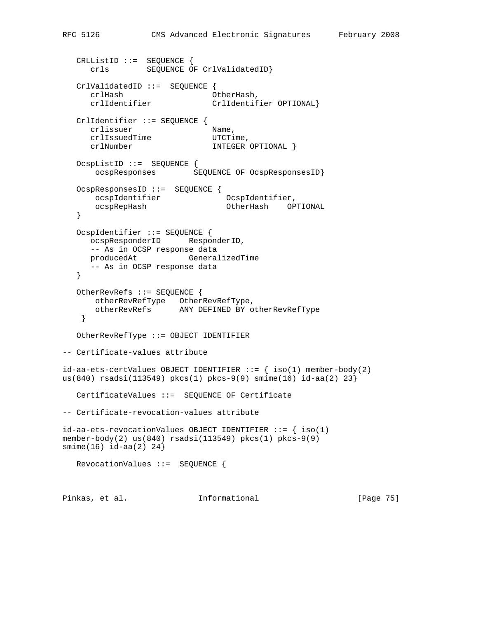```
 CRLListID ::= SEQUENCE {
      crls SEQUENCE OF CrlValidatedID}
   CrlValidatedID ::= SEQUENCE {
 crlHash OtherHash,
 crlIdentifier CrlIdentifier OPTIONAL}
   CrlIdentifier ::= SEQUENCE {
     crlissuer Name,
     crlIssuedTime UTCTime,
      crlNumber INTEGER OPTIONAL }
   OcspListID ::= SEQUENCE {
      ocspResponses SEQUENCE OF OcspResponsesID}
   OcspResponsesID ::= SEQUENCE {
 ocspIdentifier OcspIdentifier,
 ocspRepHash OtherHash OPTIONAL
   }
   OcspIdentifier ::= SEQUENCE {
      ocspResponderID ResponderID,
      -- As in OCSP response data
      producedAt GeneralizedTime
      -- As in OCSP response data
   }
   OtherRevRefs ::= SEQUENCE {
      otherRevRefType OtherRevRefType,
      otherRevRefs ANY DEFINED BY otherRevRefType
    }
   OtherRevRefType ::= OBJECT IDENTIFIER
-- Certificate-values attribute
id-aa-ets-certValues OBJECT IDENTIFIER ::= { iso(1) member-body(2) }us(840) rsadsi(113549) pkcs(1) pkcs-9(9) smime(16) id-aa(2) 23}
   CertificateValues ::= SEQUENCE OF Certificate
-- Certificate-revocation-values attribute
id-aa-ets-revocationValues OBJECT IDENTIFIER ::= \{ iso(1)member-body(2) us(840) rsadsi(113549) pkcs(1) pkcs-9(9)
smime(16) id-aa(2) 24}
   RevocationValues ::= SEQUENCE {
Pinkas, et al. 1nformational [Page 75]
```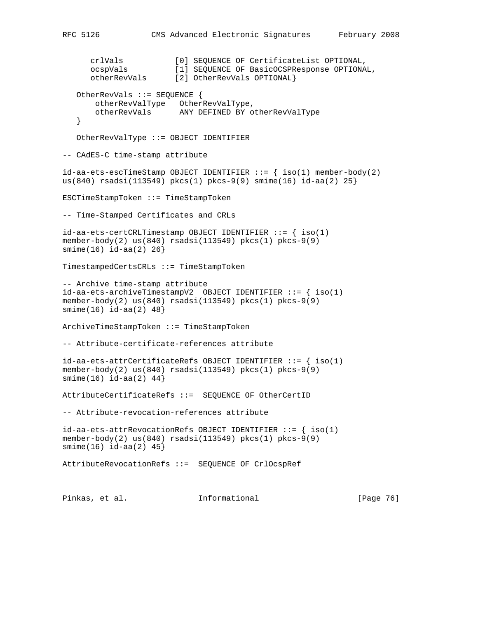```
crlVals [0] SEQUENCE OF CertificateList OPTIONAL,<br>ocspVals [1] SEQUENCE OF BasicOCSPResponse OPTIONA
                        [1] SEQUENCE OF BasicOCSPResponse OPTIONAL,
      otherRevVals [1] SEQUENCE OF BASICOUSPR<br>otherRevVals [2] OtherRevVals OPTIONAL}
    OtherRevVals ::= SEQUENCE {
       otherRevValType OtherRevValType,
        otherRevVals ANY DEFINED BY otherRevValType
    }
    OtherRevValType ::= OBJECT IDENTIFIER
-- CAdES-C time-stamp attribute
id-aa-ets-escTimeStamp OBJECT IDENTIFIER ::= { iso(1) member-body(2)
us(840) rsadsi(113549) pkcs(1) pkcs-9(9) smime(16) id-aa(2) 25}
ESCTimeStampToken ::= TimeStampToken
-- Time-Stamped Certificates and CRLs
id-aa-ets-certCRLTimestamp OBJECT IDENTIFIER ::= { iso(1)
member-body(2) us(840) rsadsi(113549) pkcs(1) pkcs-9(9)
smime(16) id-aa(2) 26}
TimestampedCertsCRLs ::= TimeStampToken
-- Archive time-stamp attribute
id-aa-ets-archiveTimestampV2 OBJECT IDENTIFIER ::= { iso(1)
member-body(2) us(840) rsadsi(113549) pkcs(1) pkcs-9(9)
smime(16) id-aa(2) 48}
ArchiveTimeStampToken ::= TimeStampToken
-- Attribute-certificate-references attribute
id-aa-ets-attrCertificateRefs OBJECT IDENTIFIER ::= { iso(1)
member-body(2) us(840) rsadsi(113549) pkcs(1) pkcs-9(9)
smin(e(16) id-aa(2) 44}
AttributeCertificateRefs ::= SEQUENCE OF OtherCertID
-- Attribute-revocation-references attribute
id-aa-ets-attrRevocationRefs OBJECT IDENTIFYER ::= { iso(1)}member-body(2) us(840) rsadsi(113549) pkcs(1) pkcs-9(9)
smime(16) id-aa(2) 45}
AttributeRevocationRefs ::= SEQUENCE OF CrlOcspRef
Pinkas, et al. Informational [Page 76]
```
RFC 5126 CMS Advanced Electronic Signatures February 2008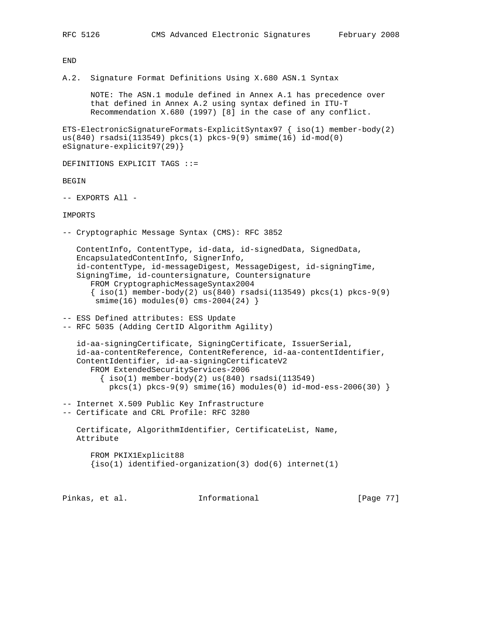END

A.2. Signature Format Definitions Using X.680 ASN.1 Syntax

 NOTE: The ASN.1 module defined in Annex A.1 has precedence over that defined in Annex A.2 using syntax defined in ITU-T Recommendation X.680 (1997) [8] in the case of any conflict.

ETS-ElectronicSignatureFormats-ExplicitSyntax97  $\{ iso(1)$  member-body(2) us(840) rsadsi(113549) pkcs(1) pkcs-9(9) smime(16) id-mod(0) eSignature-explicit97(29)}

DEFINITIONS EXPLICIT TAGS ::=

BEGIN

-- EXPORTS All -

## IMPORTS

-- Cryptographic Message Syntax (CMS): RFC 3852

 ContentInfo, ContentType, id-data, id-signedData, SignedData, EncapsulatedContentInfo, SignerInfo, id-contentType, id-messageDigest, MessageDigest, id-signingTime, SigningTime, id-countersignature, Countersignature FROM CryptographicMessageSyntax2004  $\{ iso(1)$  member-body(2) us(840) rsadsi(113549) pkcs(1) pkcs-9(9)  $smin(e(16)$  modules $(0)$  cms-2004 $(24)$ }

-- ESS Defined attributes: ESS Update -- RFC 5035 (Adding CertID Algorithm Agility)

 id-aa-signingCertificate, SigningCertificate, IssuerSerial, id-aa-contentReference, ContentReference, id-aa-contentIdentifier, ContentIdentifier, id-aa-signingCertificateV2 FROM ExtendedSecurityServices-2006  $\{\text{iso}(1) \text{ member-body}(2) \text{us}(840) \text{ rsadsi}(113549)\}$  $pkcs(1) pkcs-9(9) simme(16) modules(0) id-mod-ess-2006(30)$ 

-- Internet X.509 Public Key Infrastructure -- Certificate and CRL Profile: RFC 3280

 Certificate, AlgorithmIdentifier, CertificateList, Name, Attribute

 FROM PKIX1Explicit88  ${iso(1)}$  identified-organization(3) dod(6) internet(1)

Pinkas, et al. **Informational** [Page 77]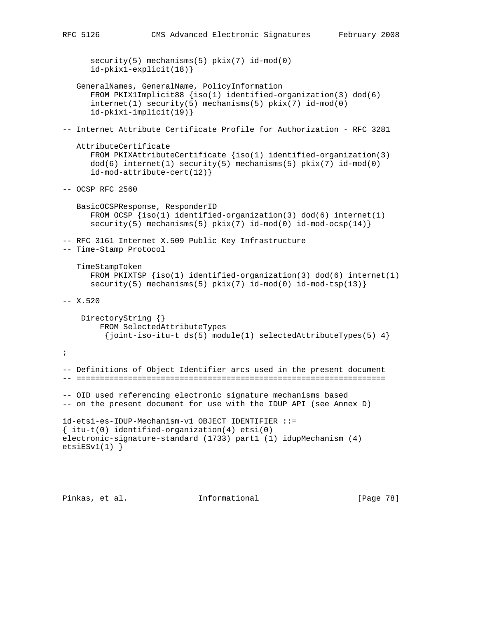```
 security(5) mechanisms(5) pkix(7) id-mod(0)
       id-pkix1-explicit(18)}
    GeneralNames, GeneralName, PolicyInformation
       FROM PKIX1Implicit88 {iso(1) identified-organization(3) dod(6)
       internet(1) security(5) mechanisms(5) pkix(7) id-mod(0)
       id-pkix1-implicit(19)}
-- Internet Attribute Certificate Profile for Authorization - RFC 3281
   AttributeCertificate
      FROM PKIXAttributeCertificate {iso(1)} identified-organization(3)
       dod(6) internet(1) security(5) mechanisms(5) pkix(7) id-mod(0)
       id-mod-attribute-cert(12)}
-- OCSP RFC 2560
   BasicOCSPResponse, ResponderID
      FROM OCSP {iso(1)} identified-organization(3) dod(6) internet(1)
      security(5) mechanisms(5) pkix(7) id-mod(0) id-mod-ocsp(14) }
-- RFC 3161 Internet X.509 Public Key Infrastructure
-- Time-Stamp Protocol
    TimeStampToken
      FROM PKIXTSP {iso(1)} identified-organization(3) dod(6) internet(1)
      security(5) mechanisms(5) pkix(7) id-mod(0) id-mod-tsp(13)}
-- X.520
     DirectoryString {}
         FROM SelectedAttributeTypes
          {joint-iso-itu-t ds(5) module(1) selectedAttributeTypes(5) 4}
;
-- Definitions of Object Identifier arcs used in the present document
-- ==================================================================
-- OID used referencing electronic signature mechanisms based
-- on the present document for use with the IDUP API (see Annex D)
id-etsi-es-IDUP-Mechanism-v1 OBJECT IDENTIFIER ::=
{ itu-t(0) identified-organization(4) etsi(0)
electronic-signature-standard (1733) part1 (1) idupMechanism (4)
etsiESv1(1)}
```
Pinkas, et al. Informational [Page 78]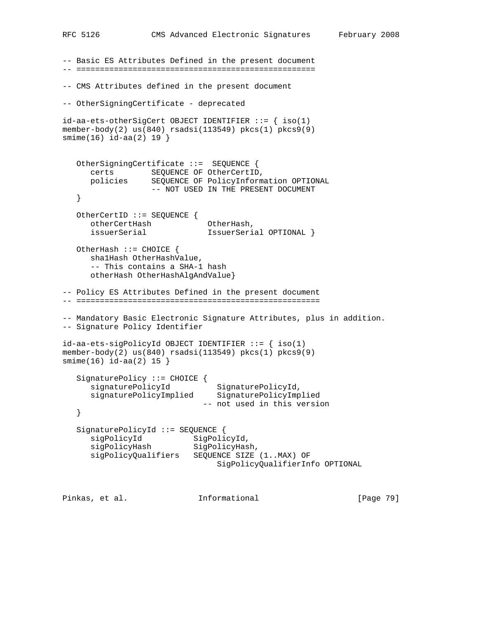```
-- Basic ES Attributes Defined in the present document
-- ===================================================
-- CMS Attributes defined in the present document
-- OtherSigningCertificate - deprecated
id-aa-ets-otherSigCert OBJECT IDENTIFIER ::= \{ iso(1)member-body(2) us(840) rsadsi(113549) pkcs(1) pkcs9(9)
smime(16) id-aa(2) 19 }
   OtherSigningCertificate ::= SEQUENCE {
 certs SEQUENCE OF OtherCertID,
 policies SEQUENCE OF PolicyInformation OPTIONAL
                  -- NOT USED IN THE PRESENT DOCUMENT
   }
   OtherCertID ::= SEQUENCE {
 otherCertHash OtherHash,
 issuerSerial IssuerSerial OPTIONAL }
   OtherHash ::= CHOICE {
      sha1Hash OtherHashValue,
      -- This contains a SHA-1 hash
      otherHash OtherHashAlgAndValue}
-- Policy ES Attributes Defined in the present document
-- ====================================================
-- Mandatory Basic Electronic Signature Attributes, plus in addition.
-- Signature Policy Identifier
id-aa-ets-sigPolicyId OBJECT IDENTIFIER ::= { iso(1)
member-body(2) us(840) rsadsi(113549) pkcs(1) pkcs9(9)
smime(16) id-aa(2) 15 }
   SignaturePolicy ::= CHOICE {
signaturePolicyId SignaturePolicyId,
 signaturePolicyImplied SignaturePolicyImplied
                            -- not used in this version
   }
   SignaturePolicyId ::= SEQUENCE {
sigPolicyId SigPolicyId,
sigPolicyHash SigPolicyHash,
 sigPolicyQualifiers SEQUENCE SIZE (1..MAX) OF
                               SigPolicyQualifierInfo OPTIONAL
Pinkas, et al.               Informational               [Page 79]
```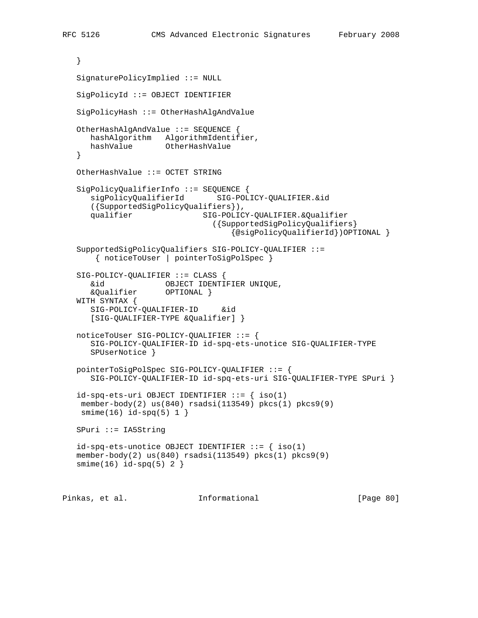```
 }
   SignaturePolicyImplied ::= NULL
   SigPolicyId ::= OBJECT IDENTIFIER
   SigPolicyHash ::= OtherHashAlgAndValue
   OtherHashAlgAndValue ::= SEQUENCE {
      hashAlgorithm AlgorithmIdentifier,
      hashValue OtherHashValue
   }
   OtherHashValue ::= OCTET STRING
   SigPolicyQualifierInfo ::= SEQUENCE {
      sigPolicyQualifierId SIG-POLICY-QUALIFIER.&id
      ({SupportedSigPolicyQualifiers}),
     qualifier SIG-POLICY-QUALIFIER.&Qualifier
                                ({SupportedSigPolicyQualifiers}
                                    {@sigPolicyQualifierId})OPTIONAL }
   SupportedSigPolicyQualifiers SIG-POLICY-QUALIFIER ::=
       { noticeToUser | pointerToSigPolSpec }
   SIG-POLICY-QUALIFIER ::= CLASS {
      &id OBJECT IDENTIFIER UNIQUE,
      &Qualifier OPTIONAL }
   WITH SYNTAX {
      SIG-POLICY-QUALIFIER-ID &id
      [SIG-QUALIFIER-TYPE &Qualifier] }
   noticeToUser SIG-POLICY-QUALIFIER ::= {
      SIG-POLICY-QUALIFIER-ID id-spq-ets-unotice SIG-QUALIFIER-TYPE
      SPUserNotice }
   pointerToSigPolSpec SIG-POLICY-QUALIFIER ::= {
      SIG-POLICY-QUALIFIER-ID id-spq-ets-uri SIG-QUALIFIER-TYPE SPuri }
  id-spq-ets-uri OBJECT IDENTIFIER ::= { iso(1)
    member-body(2) us(840) rsadsi(113549) pkcs(1) pkcs9(9)
   smin(e(16) id-spq(5) 1 }
   SPuri ::= IA5String
  id-spq-ets-unotice OBJECT IDENTIFIER ::= { iso(1)
   member-body(2) us(840) rsadsi(113549) pkcs(1) pkcs9(9)
  smin(e(16) id-spq(5) 2 )Pinkas, et al.               Informational                 [Page 80]
```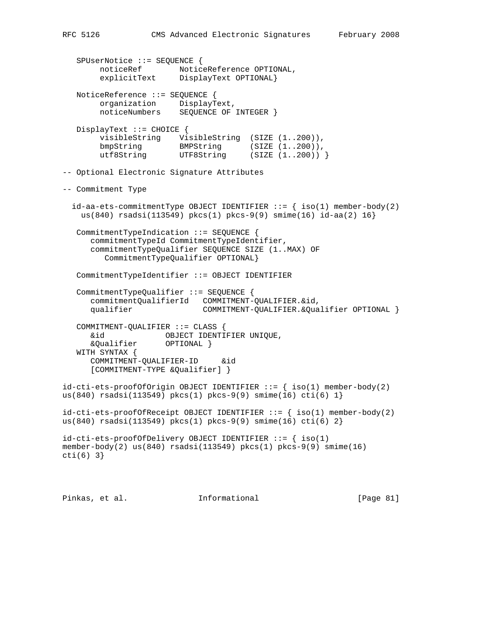SPUserNotice ::= SEQUENCE { noticeRef NoticeReference OPTIONAL, explicitText DisplayText OPTIONAL} NoticeReference ::= SEQUENCE { organization DisplayText, noticeNumbers SEQUENCE OF INTEGER } DisplayText ::= CHOICE { visibleString VisibleString (SIZE (1..200)),<br>bmpString BMPString (SIZE (1..200)), bmpString BMPString (SIZE (1..200)), utf8String UTF8String (SIZE (1..200)) } -- Optional Electronic Signature Attributes -- Commitment Type  $id-aa-ets-commitmentType OBJECT IDENTIFIER ::=\{ iso(1) member-body(2)$  us(840) rsadsi(113549) pkcs(1) pkcs-9(9) smime(16) id-aa(2) 16} CommitmentTypeIndication ::= SEQUENCE { commitmentTypeId CommitmentTypeIdentifier, commitmentTypeQualifier SEQUENCE SIZE (1..MAX) OF CommitmentTypeQualifier OPTIONAL} CommitmentTypeIdentifier ::= OBJECT IDENTIFIER CommitmentTypeQualifier ::= SEQUENCE { commitmentQualifierId COMMITMENT-QUALIFIER.&id, COMMITMENT-QUALIFIER.&Qualifier OPTIONAL } COMMITMENT-QUALIFIER ::= CLASS { &id OBJECT IDENTIFIER UNIQUE, &Qualifier OPTIONAL } WITH SYNTAX { COMMITMENT-QUALIFIER-ID &id [COMMITMENT-TYPE &Qualifier] }  $id-cuti-ets-proofOfOrigin$  OBJECT IDENTIFIER  $::=$  {  $iso(1)$  member-body(2) us(840) rsadsi(113549) pkcs(1) pkcs-9(9) smime(16) cti(6)  $1$ }  $id-cuti-ets-proofofReceipt OBJECT IDENTIFIER ::= { iso(1) member-body(2) }$ us(840) rsadsi(113549) pkcs(1) pkcs-9(9) smime(16) cti(6) 2}  $id$ -cti-ets-proofOfDelivery OBJECT IDENTIFIER  $::=$  { iso(1) member-body(2) us(840) rsadsi(113549) pkcs(1) pkcs-9(9) smime(16) cti(6) 3}

Pinkas, et al. Informational [Page 81]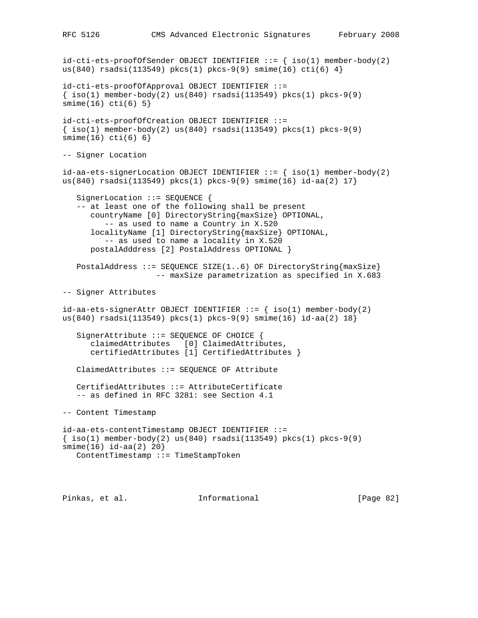id-cti-ets-proofOfSender OBJECT IDENTIFIER ::= { iso(1) member-body(2) us(840) rsadsi(113549) pkcs(1) pkcs-9(9) smime(16) cti(6)  $4$ } id-cti-ets-proofOfApproval OBJECT IDENTIFIER ::=  $\{ iso(1) member-body(2) us(840) rsadsi(113549) pkcs(1) pkcs-9(9)$ smime(16) cti(6) 5} id-cti-ets-proofOfCreation OBJECT IDENTIFIER ::=  $\{\text{iso}(1) \text{ member-body}(2) \text{ us}(840) \text{ rsadsi}(113549) \text{ pkcs}(1) \text{ pkcs-9}(9)$ smime(16) cti(6) 6} -- Signer Location id-aa-ets-signerLocation OBJECT IDENTIFIER  $::=$  { iso(1) member-body(2) us(840) rsadsi(113549) pkcs(1) pkcs-9(9) smime(16) id-aa(2) 17} SignerLocation ::= SEQUENCE { -- at least one of the following shall be present countryName [0] DirectoryString{maxSize} OPTIONAL, -- as used to name a Country in X.520 localityName [1] DirectoryString{maxSize} OPTIONAL, -- as used to name a locality in X.520 postalAdddress [2] PostalAddress OPTIONAL } PostalAddress ::= SEQUENCE SIZE(1..6) OF DirectoryString{maxSize} -- maxSize parametrization as specified in X.683 -- Signer Attributes id-aa-ets-signerAttr OBJECT IDENTIFIER  $::=$  { iso(1) member-body(2) us(840) rsadsi(113549) pkcs(1) pkcs-9(9) smime(16) id-aa(2) 18} SignerAttribute ::= SEQUENCE OF CHOICE { claimedAttributes [0] ClaimedAttributes, certifiedAttributes [1] CertifiedAttributes } ClaimedAttributes ::= SEQUENCE OF Attribute CertifiedAttributes ::= AttributeCertificate -- as defined in RFC 3281: see Section 4.1 -- Content Timestamp id-aa-ets-contentTimestamp OBJECT IDENTIFIER ::=  $\{\text{iso}(1) \text{ member-body}(2) \text{ us}(840) \text{ rsadsi}(113549) \text{ pkcs}(1) \text{ pkcs-9}(9)$ smime(16) id-aa(2) 20} ContentTimestamp ::= TimeStampToken

Pinkas, et al. 1nformational [Page 82]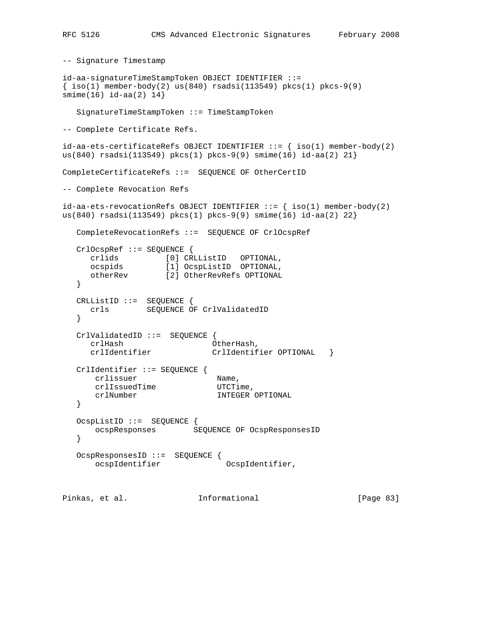```
-- Signature Timestamp
id-aa-signatureTimeStampToken OBJECT IDENTIFIER ::=
\{\text{iso}(1) \text{ member-body}(2) \text{ us}(840) \text{ rsadsi}(113549) \text{ pkcs}(1) \text{ pkcs-9}(9)smime(16) id-aa(2) 14}
   SignatureTimeStampToken ::= TimeStampToken
-- Complete Certificate Refs.
id-aa-ets-certificateRefs OBJECT IDENTIFIER ::= { iso(1) member-body(2)
us(840) rsadsi(113549) pkcs(1) pkcs-9(9) smime(16) id-aa(2) 21}
CompleteCertificateRefs ::= SEQUENCE OF OtherCertID
-- Complete Revocation Refs
id-aa-ets-revocationRefs OBJECT IDENTIFIER ::= \{ iso(1) member-body(2)
us(840) rsadsi(113549) pkcs(1) pkcs-9(9) smime(16) id-aa(2) 22}
   CompleteRevocationRefs ::= SEQUENCE OF CrlOcspRef
   CrlOcspRef ::= SEQUENCE {
 crlids [0] CRLListID OPTIONAL,
 ocspids [1] OcspListID OPTIONAL,
 otherRev [2] OtherRevRefs OPTIONAL
   }
   CRLListID ::= SEQUENCE {
      crls SEQUENCE OF CrlValidatedID
   }
   CrlValidatedID ::= SEQUENCE {
      crlHash OtherHash,
     crlIdentifier CrlIdentifier OPTIONAL }
   CrlIdentifier ::= SEQUENCE {
crlissuer Name,
crlIssuedTime UTCTime,
       crlNumber INTEGER OPTIONAL
   }
   OcspListID ::= SEQUENCE {
      ocspResponses SEQUENCE OF OcspResponsesID
   }
   OcspResponsesID ::= SEQUENCE {
       ocspIdentifier OcspIdentifier,
Pinkas, et al. 1nformational [Page 83]
```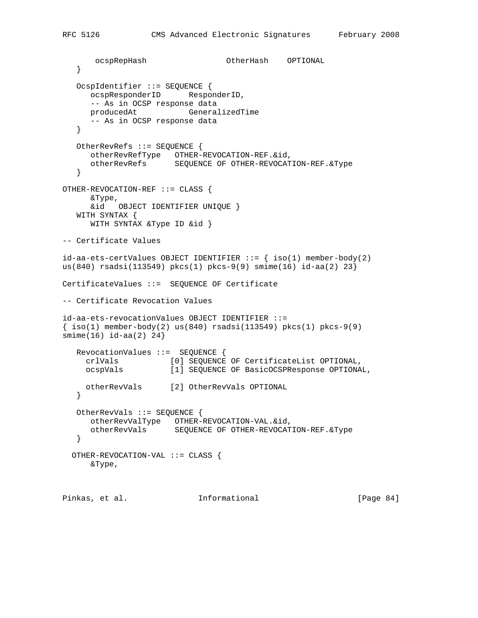```
 ocspRepHash OtherHash OPTIONAL
    }
    OcspIdentifier ::= SEQUENCE {
      ocspResponderID ResponderID,
      -- As in OCSP response data
      producedAt GeneralizedTime
      -- As in OCSP response data
    }
   OtherRevRefs ::= SEQUENCE {
 otherRevRefType OTHER-REVOCATION-REF.&id,
 otherRevRefs SEQUENCE OF OTHER-REVOCATION-REF.&Type
    }
OTHER-REVOCATION-REF ::= CLASS {
      &Type,
      &id OBJECT IDENTIFIER UNIQUE }
   WITH SYNTAX {
      WITH SYNTAX &Type ID &id }
-- Certificate Values
id-aa-ets-certValues OBJECT IDENTIFIER ::= { iso(1) member-body(2)}us(840) rsadsi(113549) pkcs(1) pkcs-9(9) smime(16) id-aa(2) 23}
CertificateValues ::= SEQUENCE OF Certificate
-- Certificate Revocation Values
id-aa-ets-revocationValues OBJECT IDENTIFIER ::=
\{\text{iso}(1) \text{ member-body}(2) \text{ us}(840) \text{ rsadsi}(113549) \text{ pkcs}(1) \text{ pkcs-9}(9)smime(16) id-aa(2) 24}
   RevocationValues ::= SEQUENCE {
     crlVals [0] SEQUENCE OF CertificateList OPTIONAL,
     ocspVals [1] SEQUENCE OF BasicOCSPResponse OPTIONAL,
     otherRevVals [2] OtherRevVals OPTIONAL
    }
   OtherRevVals ::= SEQUENCE {
      otherRevValType OTHER-REVOCATION-VAL.&id,
      otherRevVals SEQUENCE OF OTHER-REVOCATION-REF.&Type
    }
   OTHER-REVOCATION-VAL ::= CLASS {
      &Type,
Pinkas, et al. 1nformational [Page 84]
```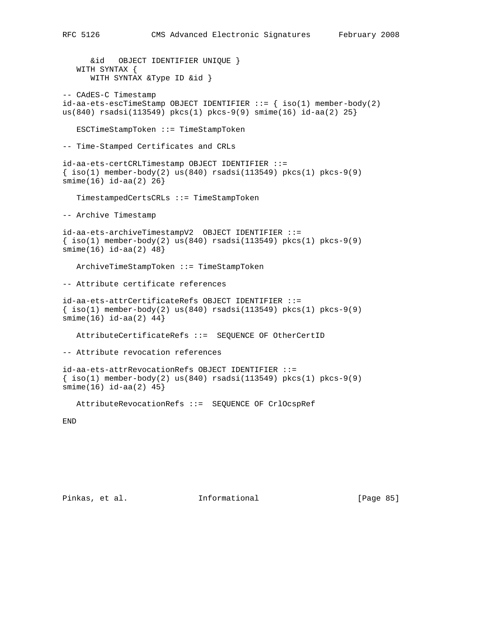&id OBJECT IDENTIFIER UNIQUE } WITH SYNTAX { WITH SYNTAX &Type ID &id } -- CAdES-C Timestamp  $id-aa-ets-escTimeStamp$  OBJECT IDENTIFIER  $::=$  {  $iso(1)$  member-body(2) us(840) rsadsi(113549) pkcs(1) pkcs-9(9) smime(16) id-aa(2) 25} ESCTimeStampToken ::= TimeStampToken -- Time-Stamped Certificates and CRLs id-aa-ets-certCRLTimestamp OBJECT IDENTIFIER ::=  $\{\text{iso}(1) \text{ member-body}(2) \text{ us}(840) \text{ rsadsi}(113549) \text{ pkcs}(1) \text{ pkcs-9}(9)$ smime(16) id-aa(2) 26} TimestampedCertsCRLs ::= TimeStampToken -- Archive Timestamp id-aa-ets-archiveTimestampV2 OBJECT IDENTIFIER ::=  $\{ iso(1)$  member-body(2) us(840) rsadsi(113549) pkcs(1) pkcs-9(9) smime(16) id-aa(2) 48} ArchiveTimeStampToken ::= TimeStampToken -- Attribute certificate references id-aa-ets-attrCertificateRefs OBJECT IDENTIFIER ::=  $\{\text{iso}(1) \text{ member-body}(2) \text{ us}(840) \text{ rsadsi}(113549) \text{ pkcs}(1) \text{ pkcs-9}(9)$  $smin(e(16)$  id-aa $(2)$  44} AttributeCertificateRefs ::= SEQUENCE OF OtherCertID -- Attribute revocation references id-aa-ets-attrRevocationRefs OBJECT IDENTIFIER ::=  $\{\text{iso}(1) \text{ member-body}(2) \text{ us}(840) \text{ rsadsi}(113549) \text{ pkcs}(1) \text{ pkcs-9}(9)$ smime(16) id-aa(2) 45} AttributeRevocationRefs ::= SEQUENCE OF CrlOcspRef END

Pinkas, et al. Informational [Page 85]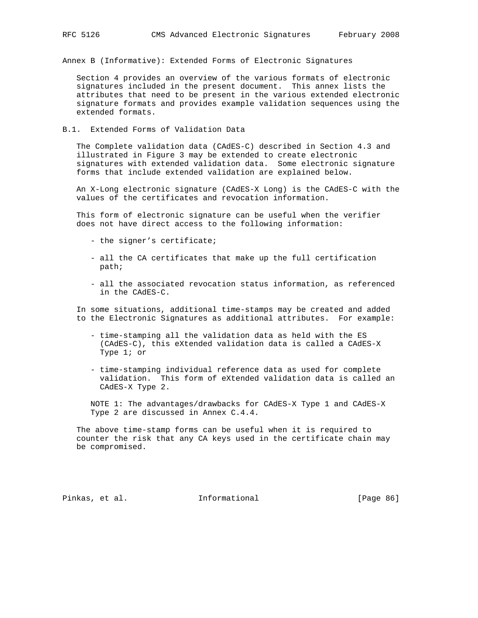Annex B (Informative): Extended Forms of Electronic Signatures

 Section 4 provides an overview of the various formats of electronic signatures included in the present document. This annex lists the attributes that need to be present in the various extended electronic signature formats and provides example validation sequences using the extended formats.

B.1. Extended Forms of Validation Data

 The Complete validation data (CAdES-C) described in Section 4.3 and illustrated in Figure 3 may be extended to create electronic signatures with extended validation data. Some electronic signature forms that include extended validation are explained below.

 An X-Long electronic signature (CAdES-X Long) is the CAdES-C with the values of the certificates and revocation information.

 This form of electronic signature can be useful when the verifier does not have direct access to the following information:

- the signer's certificate;
- all the CA certificates that make up the full certification path;
- all the associated revocation status information, as referenced in the CAdES-C.

 In some situations, additional time-stamps may be created and added to the Electronic Signatures as additional attributes. For example:

- time-stamping all the validation data as held with the ES (CAdES-C), this eXtended validation data is called a CAdES-X Type 1; or
- time-stamping individual reference data as used for complete validation. This form of eXtended validation data is called an CAdES-X Type 2.

 NOTE 1: The advantages/drawbacks for CAdES-X Type 1 and CAdES-X Type 2 are discussed in Annex C.4.4.

 The above time-stamp forms can be useful when it is required to counter the risk that any CA keys used in the certificate chain may be compromised.

Pinkas, et al. Informational [Page 86]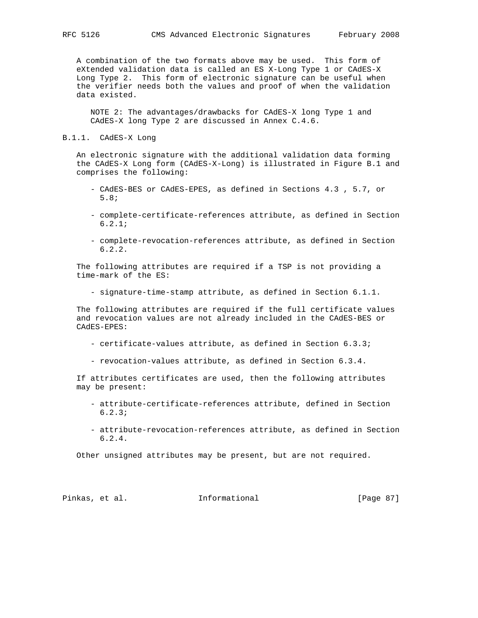A combination of the two formats above may be used. This form of eXtended validation data is called an ES X-Long Type 1 or CAdES-X Long Type 2. This form of electronic signature can be useful when the verifier needs both the values and proof of when the validation data existed.

 NOTE 2: The advantages/drawbacks for CAdES-X long Type 1 and CAdES-X long Type 2 are discussed in Annex C.4.6.

## B.1.1. CAdES-X Long

 An electronic signature with the additional validation data forming the CAdES-X Long form (CAdES-X-Long) is illustrated in Figure B.1 and comprises the following:

- CAdES-BES or CAdES-EPES, as defined in Sections 4.3 , 5.7, or 5.8;
- complete-certificate-references attribute, as defined in Section 6.2.1;
- complete-revocation-references attribute, as defined in Section 6.2.2.

 The following attributes are required if a TSP is not providing a time-mark of the ES:

- signature-time-stamp attribute, as defined in Section 6.1.1.

 The following attributes are required if the full certificate values and revocation values are not already included in the CAdES-BES or CAdES-EPES:

- certificate-values attribute, as defined in Section 6.3.3;
- revocation-values attribute, as defined in Section 6.3.4.

 If attributes certificates are used, then the following attributes may be present:

- attribute-certificate-references attribute, defined in Section 6.2.3;
- attribute-revocation-references attribute, as defined in Section 6.2.4.

Other unsigned attributes may be present, but are not required.

Pinkas, et al. Informational [Page 87]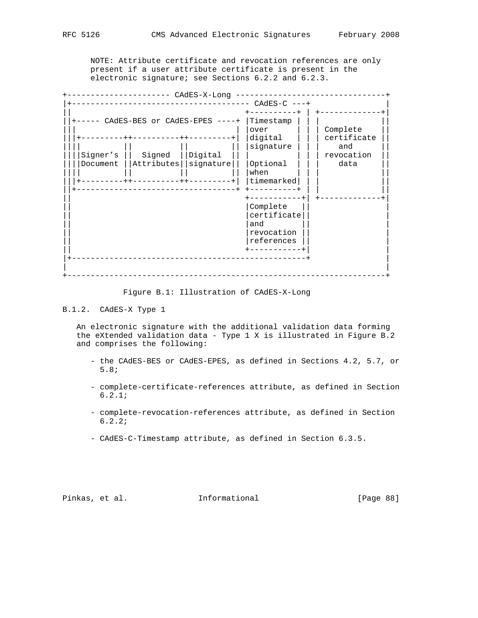NOTE: Attribute certificate and revocation references are only present if a user attribute certificate is present in the electronic signature; see Sections 6.2.2 and 6.2.3.

|                |                                | CAdES-X-Long |             |            |  |  |  |  |  |  |
|----------------|--------------------------------|--------------|-------------|------------|--|--|--|--|--|--|
| $CAdES-C$ ---+ |                                |              |             |            |  |  |  |  |  |  |
|                |                                |              |             |            |  |  |  |  |  |  |
|                | CAdES-BES or CAdES-EPES ----+  | Timestamp    |             |            |  |  |  |  |  |  |
|                |                                | over         | Complete    |            |  |  |  |  |  |  |
|                | ---------++--------<br>$+ + -$ | digital      | certificate |            |  |  |  |  |  |  |
|                |                                |              | signature   | and        |  |  |  |  |  |  |
| Signer's       | Signed                         | Digital      |             | revocation |  |  |  |  |  |  |
| Document       | Attributes                     | signature    | Optional    | data       |  |  |  |  |  |  |
|                |                                |              | when        |            |  |  |  |  |  |  |
|                | --------++                     |              | timemarked  |            |  |  |  |  |  |  |
|                |                                |              |             |            |  |  |  |  |  |  |
|                |                                |              |             |            |  |  |  |  |  |  |
|                |                                |              | Complete    |            |  |  |  |  |  |  |
|                |                                | certificate  |             |            |  |  |  |  |  |  |
|                |                                |              | and         |            |  |  |  |  |  |  |
|                |                                |              | revocation  |            |  |  |  |  |  |  |
|                |                                |              | references  |            |  |  |  |  |  |  |
|                |                                |              |             |            |  |  |  |  |  |  |
|                |                                |              |             |            |  |  |  |  |  |  |
|                |                                |              |             |            |  |  |  |  |  |  |
|                |                                |              |             |            |  |  |  |  |  |  |

Figure B.1: Illustration of CAdES-X-Long

# B.1.2. CAdES-X Type 1

 An electronic signature with the additional validation data forming the eXtended validation data - Type 1 X is illustrated in Figure B.2 and comprises the following:

- the CAdES-BES or CAdES-EPES, as defined in Sections 4.2, 5.7, or 5.8;
- complete-certificate-references attribute, as defined in Section 6.2.1;
- complete-revocation-references attribute, as defined in Section 6.2.2;
- CAdES-C-Timestamp attribute, as defined in Section 6.3.5.

Pinkas, et al. 1nformational [Page 88]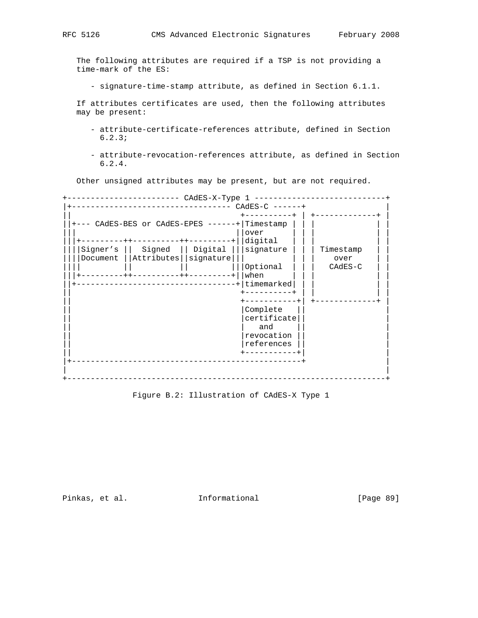The following attributes are required if a TSP is not providing a time-mark of the ES:

- signature-time-stamp attribute, as defined in Section 6.1.1.

 If attributes certificates are used, then the following attributes may be present:

- attribute-certificate-references attribute, defined in Section 6.2.3;
- attribute-revocation-references attribute, as defined in Section 6.2.4.

Other unsigned attributes may be present, but are not required.

+------------------------ CAdES-X-Type 1 ----------------------------+ |+---------------------------------- CAdES-C ------+ | || +----------+ | +-------------+ |  $|+---$  CAdES-BES or CAdES-EPES ------+ Timestamp  $|$ ||| ||over | | | | | |||+---------++----------++---------+||digital | | | | | ||||Signer's || Signed || Digital |||signature | | | Timestamp | | ||||Document ||Attributes||signature||| | || over || |||| || || |||Optional | | | CAdES-C | | |||+---------++----------++---------+||when | | | | | ||+----------------------------------+|timemarked| | | | | || +----------+ | | | | || +-----------+| +-------------+ | | Complete || |certificate|| | || | and || | | revocation | || |references || | || +-----------+| | |+-------------------------------------------------+ | | | +--------------------------------------------------------------------+

Figure B.2: Illustration of CAdES-X Type 1

Pinkas, et al. 1nformational [Page 89]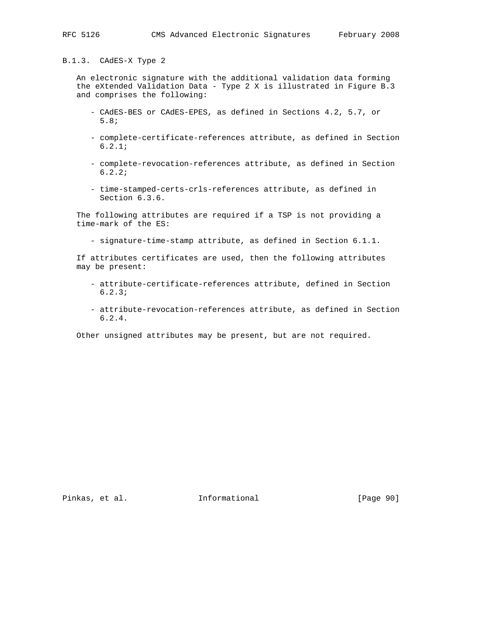B.1.3. CAdES-X Type 2

 An electronic signature with the additional validation data forming the eXtended Validation Data - Type 2 X is illustrated in Figure B.3 and comprises the following:

- CAdES-BES or CAdES-EPES, as defined in Sections 4.2, 5.7, or 5.8;
- complete-certificate-references attribute, as defined in Section 6.2.1;
- complete-revocation-references attribute, as defined in Section 6.2.2;
- time-stamped-certs-crls-references attribute, as defined in Section 6.3.6.

 The following attributes are required if a TSP is not providing a time-mark of the ES:

- signature-time-stamp attribute, as defined in Section 6.1.1.

 If attributes certificates are used, then the following attributes may be present:

- attribute-certificate-references attribute, defined in Section 6.2.3;
- attribute-revocation-references attribute, as defined in Section 6.2.4.

Other unsigned attributes may be present, but are not required.

Pinkas, et al. Informational [Page 90]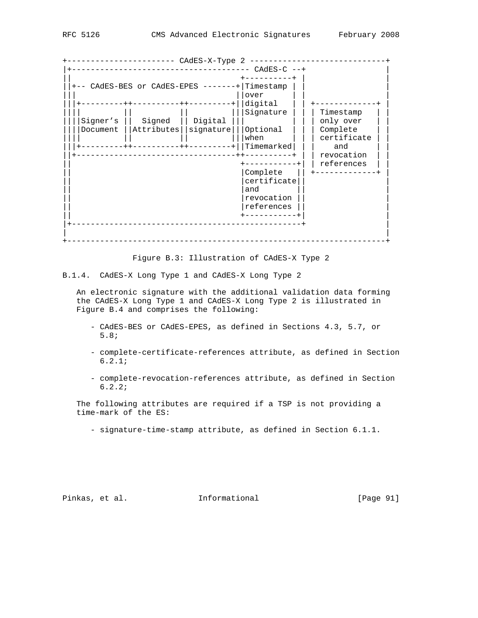|                                         |            | CAdES-X-Type 2   |                       |             |  |  |  |  |  |  |
|-----------------------------------------|------------|------------------|-----------------------|-------------|--|--|--|--|--|--|
|                                         |            |                  | $CAdES-C$ $--+$       |             |  |  |  |  |  |  |
|                                         |            |                  |                       |             |  |  |  |  |  |  |
| CAdES-BES or CAdES-EPES -------         |            |                  |                       |             |  |  |  |  |  |  |
|                                         |            |                  | Timestamp             |             |  |  |  |  |  |  |
|                                         |            |                  | over                  |             |  |  |  |  |  |  |
|                                         |            | ------++-------- | digital               |             |  |  |  |  |  |  |
|                                         |            |                  | Signature             | Timestamp   |  |  |  |  |  |  |
| Signer's                                | Signed     | Digital          |                       | only over   |  |  |  |  |  |  |
| Document                                | Attributes | signature        | Optional              | Complete    |  |  |  |  |  |  |
|                                         |            |                  | when                  | certificate |  |  |  |  |  |  |
| $- - - - - + +$<br>---------++--------+ |            |                  | Timemarked            | and         |  |  |  |  |  |  |
|                                         |            |                  |                       | revocation  |  |  |  |  |  |  |
|                                         |            |                  |                       | references  |  |  |  |  |  |  |
|                                         |            |                  | Complete              |             |  |  |  |  |  |  |
|                                         |            |                  | certificate           |             |  |  |  |  |  |  |
|                                         |            |                  | and                   |             |  |  |  |  |  |  |
|                                         |            |                  | revocation            |             |  |  |  |  |  |  |
|                                         |            |                  | references            |             |  |  |  |  |  |  |
|                                         |            |                  | $- - - - - - - - - +$ |             |  |  |  |  |  |  |
|                                         |            |                  |                       |             |  |  |  |  |  |  |
|                                         |            |                  |                       |             |  |  |  |  |  |  |
|                                         |            |                  |                       |             |  |  |  |  |  |  |
|                                         |            |                  |                       |             |  |  |  |  |  |  |

Figure B.3: Illustration of CAdES-X Type 2

B.1.4. CAdES-X Long Type 1 and CAdES-X Long Type 2

 An electronic signature with the additional validation data forming the CAdES-X Long Type 1 and CAdES-X Long Type 2 is illustrated in Figure B.4 and comprises the following:

- CAdES-BES or CAdES-EPES, as defined in Sections 4.3, 5.7, or 5.8;
- complete-certificate-references attribute, as defined in Section 6.2.1;
- complete-revocation-references attribute, as defined in Section 6.2.2;

 The following attributes are required if a TSP is not providing a time-mark of the ES:

- signature-time-stamp attribute, as defined in Section 6.1.1.

Pinkas, et al. 1nformational 1999 [Page 91]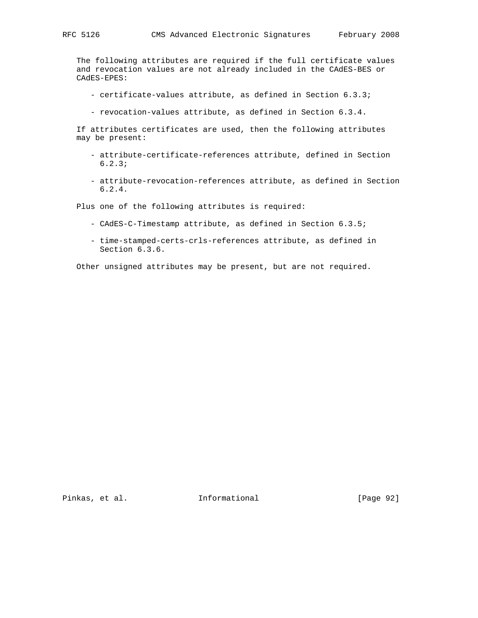The following attributes are required if the full certificate values and revocation values are not already included in the CAdES-BES or CAdES-EPES:

- certificate-values attribute, as defined in Section 6.3.3;
- revocation-values attribute, as defined in Section 6.3.4.

 If attributes certificates are used, then the following attributes may be present:

- attribute-certificate-references attribute, defined in Section 6.2.3;
- attribute-revocation-references attribute, as defined in Section 6.2.4.

Plus one of the following attributes is required:

- CAdES-C-Timestamp attribute, as defined in Section 6.3.5;
- time-stamped-certs-crls-references attribute, as defined in Section 6.3.6.

Other unsigned attributes may be present, but are not required.

Pinkas, et al. 1nformational [Page 92]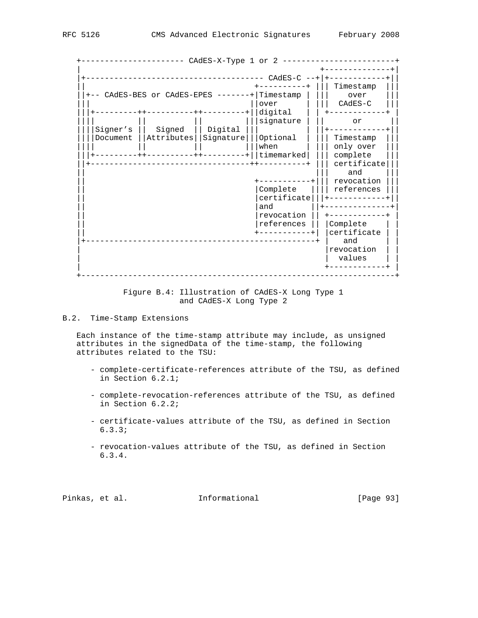|          |                            | CAdES-X-Type 1 or 2 |             |             |
|----------|----------------------------|---------------------|-------------|-------------|
|          |                            |                     |             |             |
|          |                            |                     | $CAdES-C$   |             |
|          | Timestamp                  |                     |             |             |
|          | -- CAdES-BES or CAdES-EPES | Timestamp           | over        |             |
|          |                            |                     | over        | $CAdES-C$   |
|          | $- - - - - -$              |                     | digital     |             |
|          |                            |                     | signature   | or          |
| Signer's | Signed                     | Digital             |             |             |
| Document | Attributes                 | Signature           | Optional    | Timestamp   |
|          |                            |                     | when        | only over   |
|          |                            |                     | timemarked  | complete    |
|          |                            |                     |             | certificate |
|          |                            |                     |             | and         |
|          |                            |                     |             | revocation  |
|          |                            |                     | Complete    | references  |
|          |                            |                     | certificate |             |
|          |                            |                     | and         |             |
|          |                            |                     | revocation  |             |
|          |                            |                     | references  | Complete    |
|          |                            |                     |             | certificate |
|          |                            |                     |             | and         |
|          |                            |                     |             | revocation  |
|          |                            |                     |             | values      |
|          |                            |                     |             |             |

 Figure B.4: Illustration of CAdES-X Long Type 1 and CAdES-X Long Type 2

# B.2. Time-Stamp Extensions

 Each instance of the time-stamp attribute may include, as unsigned attributes in the signedData of the time-stamp, the following attributes related to the TSU:

- complete-certificate-references attribute of the TSU, as defined in Section 6.2.1;
- complete-revocation-references attribute of the TSU, as defined in Section 6.2.2;
- certificate-values attribute of the TSU, as defined in Section 6.3.3;
- revocation-values attribute of the TSU, as defined in Section 6.3.4.

Pinkas, et al. Informational [Page 93]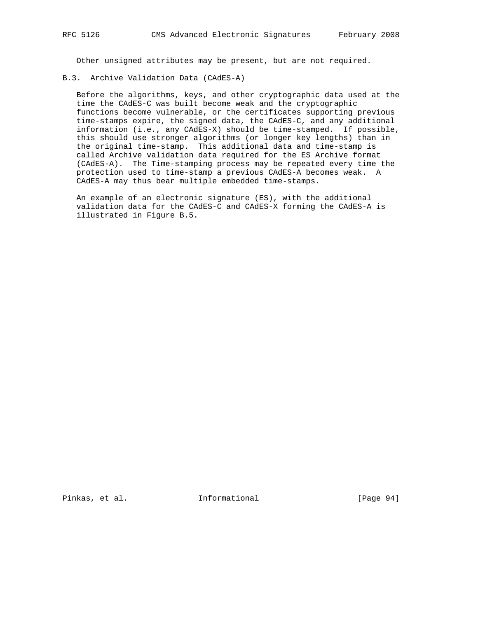Other unsigned attributes may be present, but are not required.

B.3. Archive Validation Data (CAdES-A)

 Before the algorithms, keys, and other cryptographic data used at the time the CAdES-C was built become weak and the cryptographic functions become vulnerable, or the certificates supporting previous time-stamps expire, the signed data, the CAdES-C, and any additional information (i.e., any CAdES-X) should be time-stamped. If possible, this should use stronger algorithms (or longer key lengths) than in the original time-stamp. This additional data and time-stamp is called Archive validation data required for the ES Archive format (CAdES-A). The Time-stamping process may be repeated every time the protection used to time-stamp a previous CAdES-A becomes weak. A CAdES-A may thus bear multiple embedded time-stamps.

 An example of an electronic signature (ES), with the additional validation data for the CAdES-C and CAdES-X forming the CAdES-A is illustrated in Figure B.5.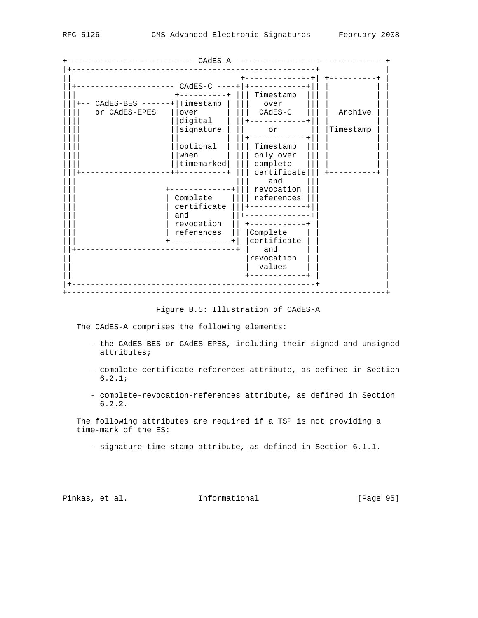+--------------------------- CAdES-A---------------------------------+ |+----------------------------------------------------+ | || +--------------+| +----------+ | ||+--------------------- CAdES-C ----+|+------------+|| | | | ||| +----------+ ||| Timestamp ||| | | | |||+-- CAdES-BES ------+|Timestamp | ||| over ||| | | | |||| or CAdES-EPES ||over | ||| CAdES-C ||| | Archive | | |||| |||| ||digital |||+-------------||| | || || |||| ||signature | || or || |Timestamp | | |||| || | ||+------------+|| | | | |||| ||optional | ||| Timestamp ||| | | | |||| ||when | ||| only over ||| | | | |||| ||timemarked| ||| complete ||| | | | |||+-------------------++----------+ ||| certificate||| +----------+ | ||| ||| and ||| | +-------------+||| revocation | ||| | Complete |||| references ||| | ||| | certificate |||+------------+|| | and  $|||$  +-------------+ | revocation  $||$  +------------+ | references || | Complete ||| +-------------+| |certificate | | | ||+----------------------------------+ | and | | | | revocation || | values | | | || +------------+ | | |+----------------------------------------------------+ | +--------------------------------------------------------------------+

Figure B.5: Illustration of CAdES-A

The CAdES-A comprises the following elements:

- the CAdES-BES or CAdES-EPES, including their signed and unsigned attributes;
- complete-certificate-references attribute, as defined in Section 6.2.1;
- complete-revocation-references attribute, as defined in Section 6.2.2.

 The following attributes are required if a TSP is not providing a time-mark of the ES:

- signature-time-stamp attribute, as defined in Section 6.1.1.

Pinkas, et al. 1nformational 1999 [Page 95]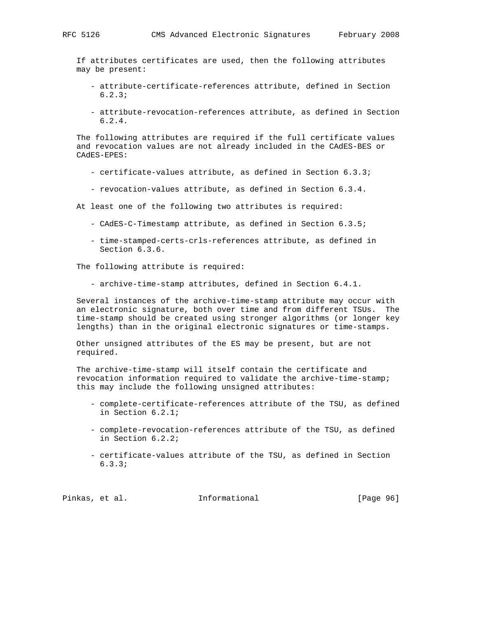If attributes certificates are used, then the following attributes may be present:

- attribute-certificate-references attribute, defined in Section 6.2.3;
- attribute-revocation-references attribute, as defined in Section 6.2.4.

 The following attributes are required if the full certificate values and revocation values are not already included in the CAdES-BES or CAdES-EPES:

- certificate-values attribute, as defined in Section 6.3.3;
- revocation-values attribute, as defined in Section 6.3.4.

At least one of the following two attributes is required:

- CAdES-C-Timestamp attribute, as defined in Section 6.3.5;
- time-stamped-certs-crls-references attribute, as defined in Section 6.3.6.

The following attribute is required:

- archive-time-stamp attributes, defined in Section 6.4.1.

 Several instances of the archive-time-stamp attribute may occur with an electronic signature, both over time and from different TSUs. The time-stamp should be created using stronger algorithms (or longer key lengths) than in the original electronic signatures or time-stamps.

 Other unsigned attributes of the ES may be present, but are not required.

 The archive-time-stamp will itself contain the certificate and revocation information required to validate the archive-time-stamp; this may include the following unsigned attributes:

- complete-certificate-references attribute of the TSU, as defined in Section 6.2.1;
- complete-revocation-references attribute of the TSU, as defined in Section 6.2.2;
- certificate-values attribute of the TSU, as defined in Section 6.3.3;

Pinkas, et al. Informational [Page 96]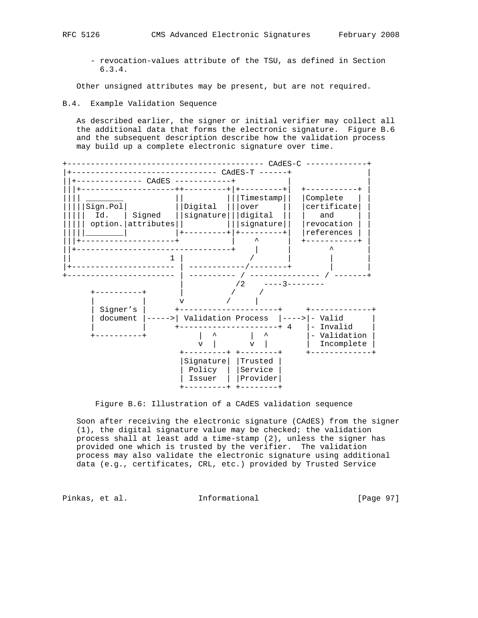- revocation-values attribute of the TSU, as defined in Section 6.3.4.

Other unsigned attributes may be present, but are not required.

B.4. Example Validation Sequence

 As described earlier, the signer or initial verifier may collect all the additional data that forms the electronic signature. Figure B.6 and the subsequent description describe how the validation process may build up a complete electronic signature over time.



Figure B.6: Illustration of a CAdES validation sequence

 Soon after receiving the electronic signature (CAdES) from the signer (1), the digital signature value may be checked; the validation process shall at least add a time-stamp (2), unless the signer has provided one which is trusted by the verifier. The validation process may also validate the electronic signature using additional data (e.g., certificates, CRL, etc.) provided by Trusted Service

Pinkas, et al. 1nformational 1999 [Page 97]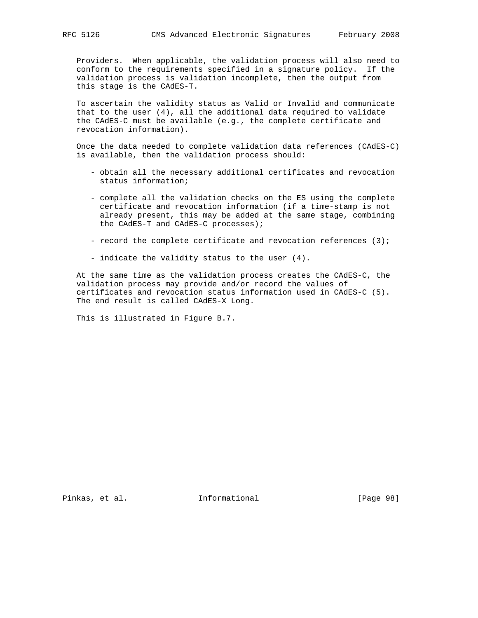Providers. When applicable, the validation process will also need to conform to the requirements specified in a signature policy. If the validation process is validation incomplete, then the output from this stage is the CAdES-T.

 To ascertain the validity status as Valid or Invalid and communicate that to the user (4), all the additional data required to validate the CAdES-C must be available (e.g., the complete certificate and revocation information).

 Once the data needed to complete validation data references (CAdES-C) is available, then the validation process should:

- obtain all the necessary additional certificates and revocation status information;
- complete all the validation checks on the ES using the complete certificate and revocation information (if a time-stamp is not already present, this may be added at the same stage, combining the CAdES-T and CAdES-C processes);
- record the complete certificate and revocation references (3);
- indicate the validity status to the user (4).

 At the same time as the validation process creates the CAdES-C, the validation process may provide and/or record the values of certificates and revocation status information used in CAdES-C (5). The end result is called CAdES-X Long.

This is illustrated in Figure B.7.

Pinkas, et al. Informational [Page 98]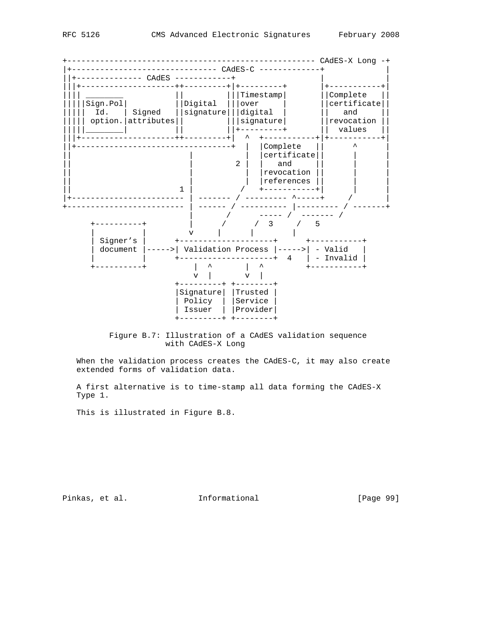

 Figure B.7: Illustration of a CAdES validation sequence with CAdES-X Long

When the validation process creates the CAdES-C, it may also create extended forms of validation data.

 A first alternative is to time-stamp all data forming the CAdES-X Type 1.

This is illustrated in Figure B.8.

Pinkas, et al. 1nformational 1991 [Page 99]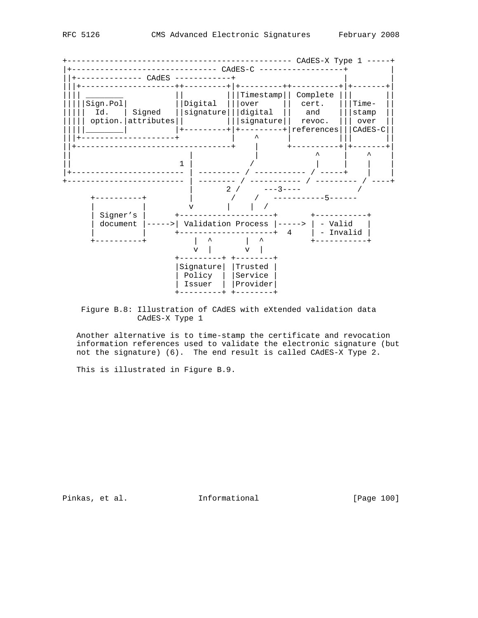+------------------------------------------------ CAdES-X Type 1 -----+ |+------------------------------- CAdES-C ------------------+ | ||+-------------- CAdES ------------+ | | |||+--------------------++---------+|+---------++----------+|+-------+| |||| \_\_\_\_\_\_\_\_\_ || |||Timestamp|| Complete ||| || || |||||Sign.Pol| ||Digital |||over || cert. |||Time- || ||||| Id. | Signed ||signature|||digital || and |||stamp || ||||| option.|attributes|| |||signature|| revoc. ||| over || |||||\_\_\_\_\_\_\_\_| |+---------+|+---------+|references|||CAdES-C|| |||+--------------------+ | ^ | ||| || ||+---------------------------------+ | +----------+|+-------+| || | | ^ | ^ | || 1 | / | | | | |+------------------------ | --------- / ----------- / -----+ | | +------------------------- | -------- / ----------- / --------- / ----+  $\begin{array}{|c|c|c|c|c|c|c|c|} \hline \rule{0pt}{12pt} & \quad & \quad & 2 & \end{array}$  / +----------+ | / / -----------5------ | | v | | / | Signer's | +--------------------+ +-----------+ | document |----->| Validation Process |-----> | - Valid | | | +--------------------+ 4 | - Invalid | +----------+ | ^ | ^ +-----------+  $\begin{array}{|c|c|c|c|c|}\n\hline\n\text{v} & \text{v} & \text{v} & \text{v}\n\end{array}$  +---------+ +--------+ |Signature| |Trusted | | Policy | |Service | | Issuer | |Provider| +---------+ +--------+

 Figure B.8: Illustration of CAdES with eXtended validation data CAdES-X Type 1

 Another alternative is to time-stamp the certificate and revocation information references used to validate the electronic signature (but not the signature) (6). The end result is called CAdES-X Type 2.

This is illustrated in Figure B.9.

Pinkas, et al. 1nformational [Page 100]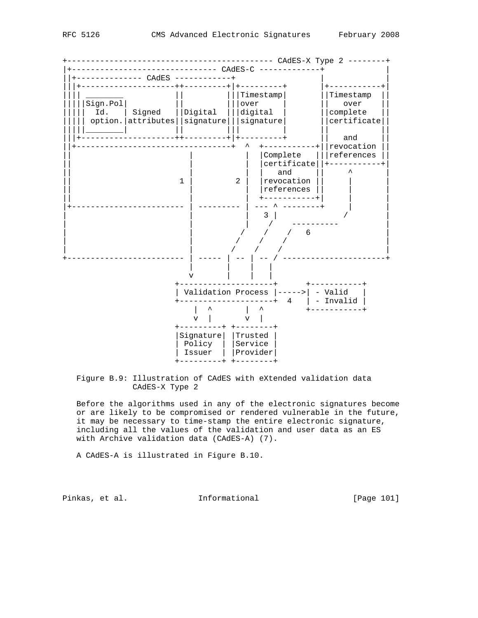

 Figure B.9: Illustration of CAdES with eXtended validation data CAdES-X Type 2

 Before the algorithms used in any of the electronic signatures become or are likely to be compromised or rendered vulnerable in the future, it may be necessary to time-stamp the entire electronic signature, including all the values of the validation and user data as an ES with Archive validation data (CAdES-A) (7).

A CAdES-A is illustrated in Figure B.10.

Pinkas, et al. 1nformational 1999 [Page 101]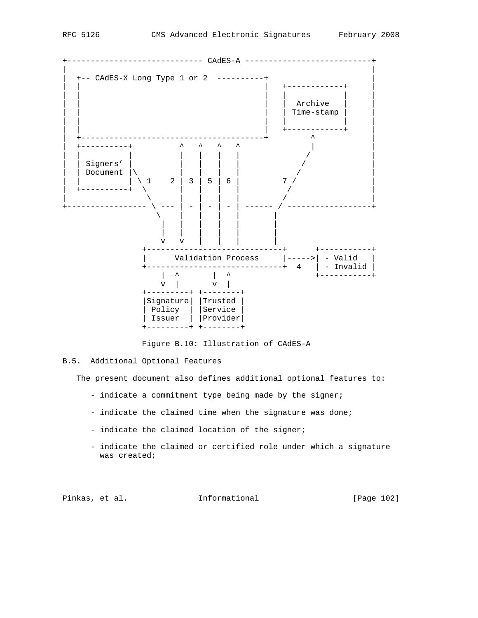

Figure B.10: Illustration of CAdES-A

# B.5. Additional Optional Features

The present document also defines additional optional features to:

- indicate a commitment type being made by the signer;
- indicate the claimed time when the signature was done;
- indicate the claimed location of the signer;
- indicate the claimed or certified role under which a signature was created;

Pinkas, et al. 1nformational 1999 [Page 102]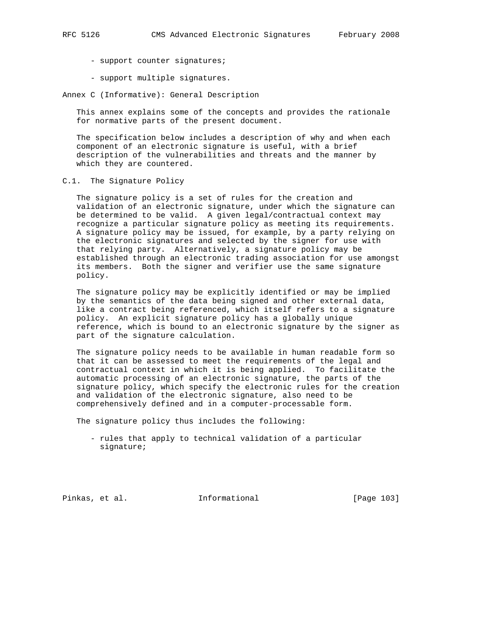- support counter signatures;
- support multiple signatures.

Annex C (Informative): General Description

 This annex explains some of the concepts and provides the rationale for normative parts of the present document.

 The specification below includes a description of why and when each component of an electronic signature is useful, with a brief description of the vulnerabilities and threats and the manner by which they are countered.

C.1. The Signature Policy

 The signature policy is a set of rules for the creation and validation of an electronic signature, under which the signature can be determined to be valid. A given legal/contractual context may recognize a particular signature policy as meeting its requirements. A signature policy may be issued, for example, by a party relying on the electronic signatures and selected by the signer for use with that relying party. Alternatively, a signature policy may be established through an electronic trading association for use amongst its members. Both the signer and verifier use the same signature policy.

 The signature policy may be explicitly identified or may be implied by the semantics of the data being signed and other external data, like a contract being referenced, which itself refers to a signature policy. An explicit signature policy has a globally unique reference, which is bound to an electronic signature by the signer as part of the signature calculation.

 The signature policy needs to be available in human readable form so that it can be assessed to meet the requirements of the legal and contractual context in which it is being applied. To facilitate the automatic processing of an electronic signature, the parts of the signature policy, which specify the electronic rules for the creation and validation of the electronic signature, also need to be comprehensively defined and in a computer-processable form.

The signature policy thus includes the following:

 - rules that apply to technical validation of a particular signature;

Pinkas, et al. Informational [Page 103]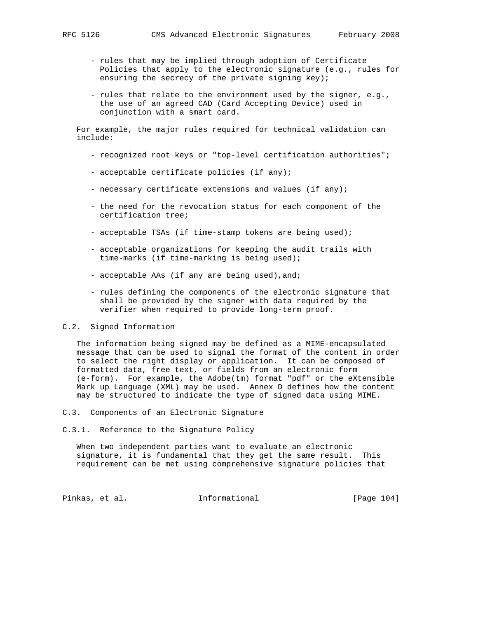- rules that may be implied through adoption of Certificate Policies that apply to the electronic signature (e.g., rules for ensuring the secrecy of the private signing key);
- rules that relate to the environment used by the signer, e.g., the use of an agreed CAD (Card Accepting Device) used in conjunction with a smart card.

 For example, the major rules required for technical validation can include:

- recognized root keys or "top-level certification authorities";
- acceptable certificate policies (if any);
- necessary certificate extensions and values (if any);
- the need for the revocation status for each component of the certification tree;
- acceptable TSAs (if time-stamp tokens are being used);
- acceptable organizations for keeping the audit trails with time-marks (if time-marking is being used);
- acceptable AAs (if any are being used), and;
- rules defining the components of the electronic signature that shall be provided by the signer with data required by the verifier when required to provide long-term proof.

#### C.2. Signed Information

 The information being signed may be defined as a MIME-encapsulated message that can be used to signal the format of the content in order to select the right display or application. It can be composed of formatted data, free text, or fields from an electronic form (e-form). For example, the Adobe(tm) format "pdf" or the eXtensible Mark up Language (XML) may be used. Annex D defines how the content may be structured to indicate the type of signed data using MIME.

- C.3. Components of an Electronic Signature
- C.3.1. Reference to the Signature Policy

 When two independent parties want to evaluate an electronic signature, it is fundamental that they get the same result. This requirement can be met using comprehensive signature policies that

Pinkas, et al. 1nformational [Page 104]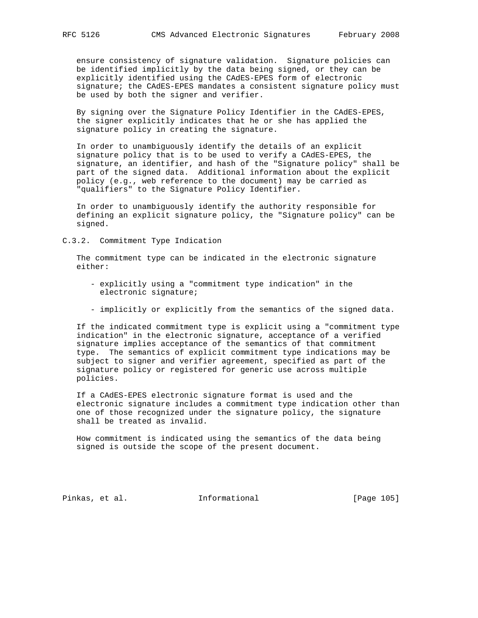ensure consistency of signature validation. Signature policies can be identified implicitly by the data being signed, or they can be explicitly identified using the CAdES-EPES form of electronic signature; the CAdES-EPES mandates a consistent signature policy must be used by both the signer and verifier.

 By signing over the Signature Policy Identifier in the CAdES-EPES, the signer explicitly indicates that he or she has applied the signature policy in creating the signature.

 In order to unambiguously identify the details of an explicit signature policy that is to be used to verify a CAdES-EPES, the signature, an identifier, and hash of the "Signature policy" shall be part of the signed data. Additional information about the explicit policy (e.g., web reference to the document) may be carried as "qualifiers" to the Signature Policy Identifier.

 In order to unambiguously identify the authority responsible for defining an explicit signature policy, the "Signature policy" can be signed.

C.3.2. Commitment Type Indication

 The commitment type can be indicated in the electronic signature either:

- explicitly using a "commitment type indication" in the electronic signature;
- implicitly or explicitly from the semantics of the signed data.

 If the indicated commitment type is explicit using a "commitment type indication" in the electronic signature, acceptance of a verified signature implies acceptance of the semantics of that commitment type. The semantics of explicit commitment type indications may be subject to signer and verifier agreement, specified as part of the signature policy or registered for generic use across multiple policies.

 If a CAdES-EPES electronic signature format is used and the electronic signature includes a commitment type indication other than one of those recognized under the signature policy, the signature shall be treated as invalid.

 How commitment is indicated using the semantics of the data being signed is outside the scope of the present document.

Pinkas, et al. Informational [Page 105]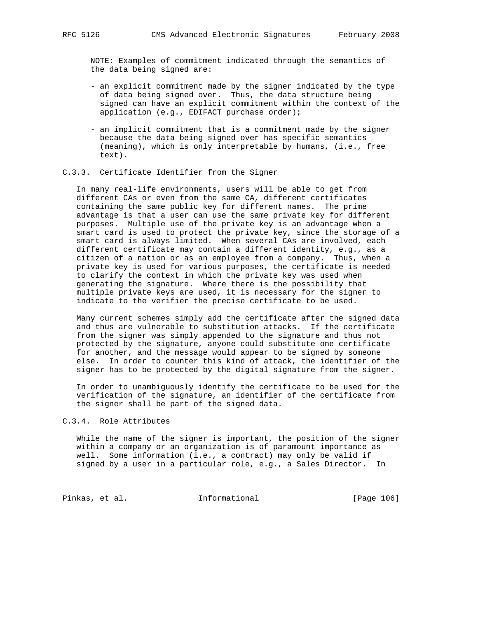NOTE: Examples of commitment indicated through the semantics of the data being signed are:

- an explicit commitment made by the signer indicated by the type of data being signed over. Thus, the data structure being signed can have an explicit commitment within the context of the application (e.g., EDIFACT purchase order);
- an implicit commitment that is a commitment made by the signer because the data being signed over has specific semantics (meaning), which is only interpretable by humans, (i.e., free text).

#### C.3.3. Certificate Identifier from the Signer

 In many real-life environments, users will be able to get from different CAs or even from the same CA, different certificates containing the same public key for different names. The prime advantage is that a user can use the same private key for different purposes. Multiple use of the private key is an advantage when a smart card is used to protect the private key, since the storage of a smart card is always limited. When several CAs are involved, each different certificate may contain a different identity, e.g., as a citizen of a nation or as an employee from a company. Thus, when a private key is used for various purposes, the certificate is needed to clarify the context in which the private key was used when generating the signature. Where there is the possibility that multiple private keys are used, it is necessary for the signer to indicate to the verifier the precise certificate to be used.

 Many current schemes simply add the certificate after the signed data and thus are vulnerable to substitution attacks. If the certificate from the signer was simply appended to the signature and thus not protected by the signature, anyone could substitute one certificate for another, and the message would appear to be signed by someone else. In order to counter this kind of attack, the identifier of the signer has to be protected by the digital signature from the signer.

 In order to unambiguously identify the certificate to be used for the verification of the signature, an identifier of the certificate from the signer shall be part of the signed data.

## C.3.4. Role Attributes

 While the name of the signer is important, the position of the signer within a company or an organization is of paramount importance as well. Some information (i.e., a contract) may only be valid if signed by a user in a particular role, e.g., a Sales Director. In

Pinkas, et al. 1nformational [Page 106]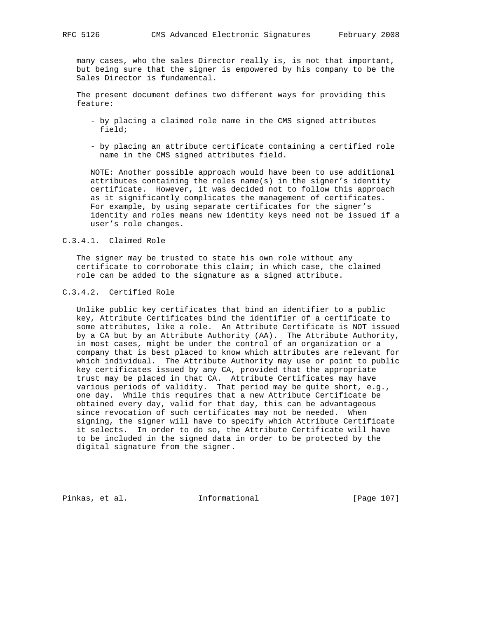many cases, who the sales Director really is, is not that important, but being sure that the signer is empowered by his company to be the Sales Director is fundamental.

 The present document defines two different ways for providing this feature:

- by placing a claimed role name in the CMS signed attributes field;
- by placing an attribute certificate containing a certified role name in the CMS signed attributes field.

 NOTE: Another possible approach would have been to use additional attributes containing the roles name(s) in the signer's identity certificate. However, it was decided not to follow this approach as it significantly complicates the management of certificates. For example, by using separate certificates for the signer's identity and roles means new identity keys need not be issued if a user's role changes.

# C.3.4.1. Claimed Role

 The signer may be trusted to state his own role without any certificate to corroborate this claim; in which case, the claimed role can be added to the signature as a signed attribute.

## C.3.4.2. Certified Role

 Unlike public key certificates that bind an identifier to a public key, Attribute Certificates bind the identifier of a certificate to some attributes, like a role. An Attribute Certificate is NOT issued by a CA but by an Attribute Authority (AA). The Attribute Authority, in most cases, might be under the control of an organization or a company that is best placed to know which attributes are relevant for which individual. The Attribute Authority may use or point to public key certificates issued by any CA, provided that the appropriate trust may be placed in that CA. Attribute Certificates may have various periods of validity. That period may be quite short, e.g., one day. While this requires that a new Attribute Certificate be obtained every day, valid for that day, this can be advantageous since revocation of such certificates may not be needed. When signing, the signer will have to specify which Attribute Certificate it selects. In order to do so, the Attribute Certificate will have to be included in the signed data in order to be protected by the digital signature from the signer.

Pinkas, et al. 1nformational 1999 [Page 107]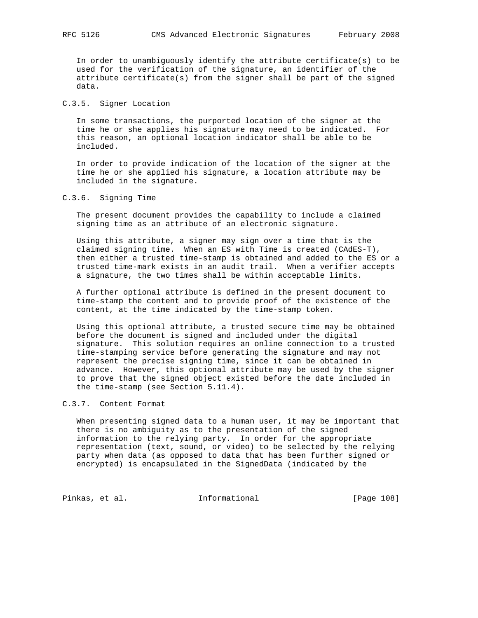In order to unambiguously identify the attribute certificate(s) to be used for the verification of the signature, an identifier of the attribute certificate(s) from the signer shall be part of the signed data.

# C.3.5. Signer Location

 In some transactions, the purported location of the signer at the time he or she applies his signature may need to be indicated. For this reason, an optional location indicator shall be able to be included.

 In order to provide indication of the location of the signer at the time he or she applied his signature, a location attribute may be included in the signature.

C.3.6. Signing Time

 The present document provides the capability to include a claimed signing time as an attribute of an electronic signature.

 Using this attribute, a signer may sign over a time that is the claimed signing time. When an ES with Time is created (CAdES-T), then either a trusted time-stamp is obtained and added to the ES or a trusted time-mark exists in an audit trail. When a verifier accepts a signature, the two times shall be within acceptable limits.

 A further optional attribute is defined in the present document to time-stamp the content and to provide proof of the existence of the content, at the time indicated by the time-stamp token.

 Using this optional attribute, a trusted secure time may be obtained before the document is signed and included under the digital signature. This solution requires an online connection to a trusted time-stamping service before generating the signature and may not represent the precise signing time, since it can be obtained in advance. However, this optional attribute may be used by the signer to prove that the signed object existed before the date included in the time-stamp (see Section 5.11.4).

## C.3.7. Content Format

 When presenting signed data to a human user, it may be important that there is no ambiguity as to the presentation of the signed information to the relying party. In order for the appropriate representation (text, sound, or video) to be selected by the relying party when data (as opposed to data that has been further signed or encrypted) is encapsulated in the SignedData (indicated by the

Pinkas, et al. 1nformational [Page 108]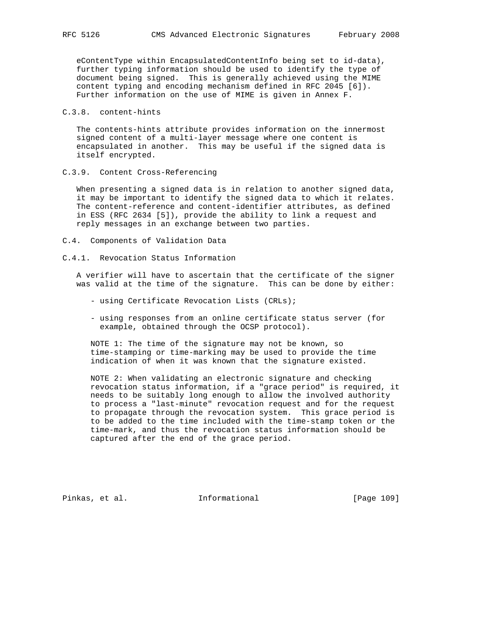eContentType within EncapsulatedContentInfo being set to id-data), further typing information should be used to identify the type of document being signed. This is generally achieved using the MIME content typing and encoding mechanism defined in RFC 2045 [6]). Further information on the use of MIME is given in Annex F.

C.3.8. content-hints

 The contents-hints attribute provides information on the innermost signed content of a multi-layer message where one content is encapsulated in another. This may be useful if the signed data is itself encrypted.

C.3.9. Content Cross-Referencing

 When presenting a signed data is in relation to another signed data, it may be important to identify the signed data to which it relates. The content-reference and content-identifier attributes, as defined in ESS (RFC 2634 [5]), provide the ability to link a request and reply messages in an exchange between two parties.

- C.4. Components of Validation Data
- C.4.1. Revocation Status Information

 A verifier will have to ascertain that the certificate of the signer was valid at the time of the signature. This can be done by either:

- using Certificate Revocation Lists (CRLs);
- using responses from an online certificate status server (for example, obtained through the OCSP protocol).

 NOTE 1: The time of the signature may not be known, so time-stamping or time-marking may be used to provide the time indication of when it was known that the signature existed.

 NOTE 2: When validating an electronic signature and checking revocation status information, if a "grace period" is required, it needs to be suitably long enough to allow the involved authority to process a "last-minute" revocation request and for the request to propagate through the revocation system. This grace period is to be added to the time included with the time-stamp token or the time-mark, and thus the revocation status information should be captured after the end of the grace period.

Pinkas, et al. 1nformational [Page 109]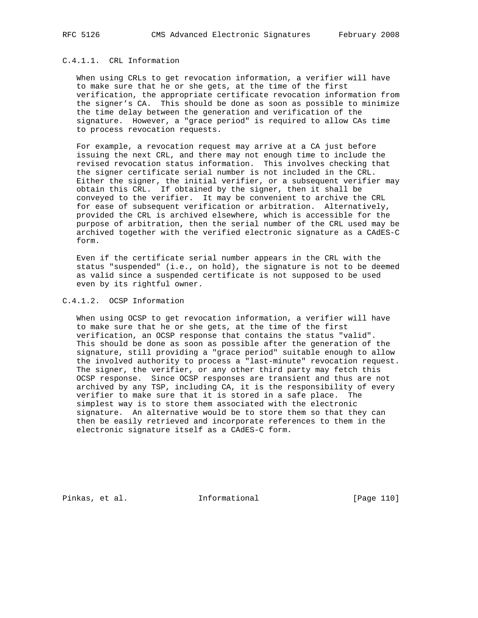# C.4.1.1. CRL Information

 When using CRLs to get revocation information, a verifier will have to make sure that he or she gets, at the time of the first verification, the appropriate certificate revocation information from the signer's CA. This should be done as soon as possible to minimize the time delay between the generation and verification of the signature. However, a "grace period" is required to allow CAs time to process revocation requests.

 For example, a revocation request may arrive at a CA just before issuing the next CRL, and there may not enough time to include the revised revocation status information. This involves checking that the signer certificate serial number is not included in the CRL. Either the signer, the initial verifier, or a subsequent verifier may obtain this CRL. If obtained by the signer, then it shall be conveyed to the verifier. It may be convenient to archive the CRL for ease of subsequent verification or arbitration. Alternatively, provided the CRL is archived elsewhere, which is accessible for the purpose of arbitration, then the serial number of the CRL used may be archived together with the verified electronic signature as a CAdES-C form.

 Even if the certificate serial number appears in the CRL with the status "suspended" (i.e., on hold), the signature is not to be deemed as valid since a suspended certificate is not supposed to be used even by its rightful owner.

# C.4.1.2. OCSP Information

 When using OCSP to get revocation information, a verifier will have to make sure that he or she gets, at the time of the first verification, an OCSP response that contains the status "valid". This should be done as soon as possible after the generation of the signature, still providing a "grace period" suitable enough to allow the involved authority to process a "last-minute" revocation request. The signer, the verifier, or any other third party may fetch this OCSP response. Since OCSP responses are transient and thus are not archived by any TSP, including CA, it is the responsibility of every verifier to make sure that it is stored in a safe place. The simplest way is to store them associated with the electronic signature. An alternative would be to store them so that they can then be easily retrieved and incorporate references to them in the electronic signature itself as a CAdES-C form.

Pinkas, et al. 10 methomational [Page 110]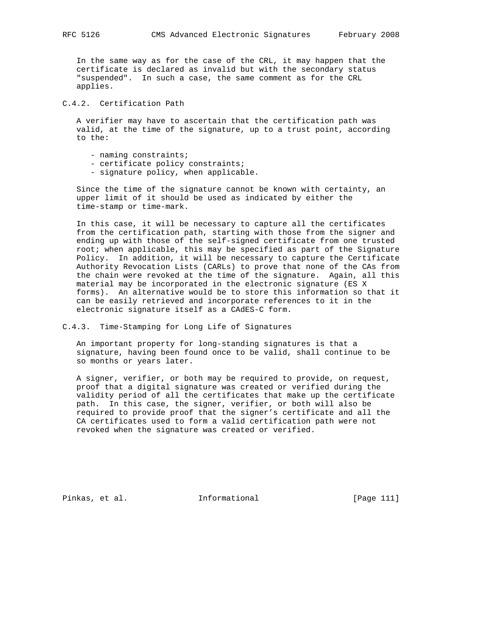In the same way as for the case of the CRL, it may happen that the certificate is declared as invalid but with the secondary status "suspended". In such a case, the same comment as for the CRL applies.

# C.4.2. Certification Path

 A verifier may have to ascertain that the certification path was valid, at the time of the signature, up to a trust point, according to the:

- naming constraints;
- certificate policy constraints;
- signature policy, when applicable.

 Since the time of the signature cannot be known with certainty, an upper limit of it should be used as indicated by either the time-stamp or time-mark.

 In this case, it will be necessary to capture all the certificates from the certification path, starting with those from the signer and ending up with those of the self-signed certificate from one trusted root; when applicable, this may be specified as part of the Signature Policy. In addition, it will be necessary to capture the Certificate Authority Revocation Lists (CARLs) to prove that none of the CAs from the chain were revoked at the time of the signature. Again, all this material may be incorporated in the electronic signature (ES X forms). An alternative would be to store this information so that it can be easily retrieved and incorporate references to it in the electronic signature itself as a CAdES-C form.

C.4.3. Time-Stamping for Long Life of Signatures

 An important property for long-standing signatures is that a signature, having been found once to be valid, shall continue to be so months or years later.

 A signer, verifier, or both may be required to provide, on request, proof that a digital signature was created or verified during the validity period of all the certificates that make up the certificate path. In this case, the signer, verifier, or both will also be required to provide proof that the signer's certificate and all the CA certificates used to form a valid certification path were not revoked when the signature was created or verified.

Pinkas, et al. Informational [Page 111]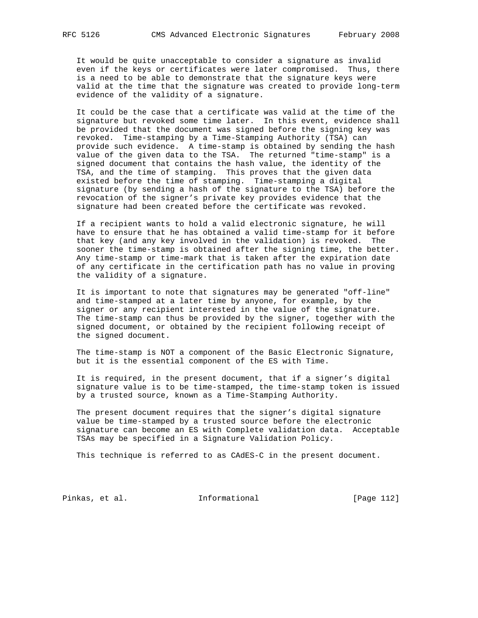It would be quite unacceptable to consider a signature as invalid even if the keys or certificates were later compromised. Thus, there is a need to be able to demonstrate that the signature keys were valid at the time that the signature was created to provide long-term evidence of the validity of a signature.

 It could be the case that a certificate was valid at the time of the signature but revoked some time later. In this event, evidence shall be provided that the document was signed before the signing key was revoked. Time-stamping by a Time-Stamping Authority (TSA) can provide such evidence. A time-stamp is obtained by sending the hash value of the given data to the TSA. The returned "time-stamp" is a signed document that contains the hash value, the identity of the TSA, and the time of stamping. This proves that the given data existed before the time of stamping. Time-stamping a digital signature (by sending a hash of the signature to the TSA) before the revocation of the signer's private key provides evidence that the signature had been created before the certificate was revoked.

 If a recipient wants to hold a valid electronic signature, he will have to ensure that he has obtained a valid time-stamp for it before that key (and any key involved in the validation) is revoked. The sooner the time-stamp is obtained after the signing time, the better. Any time-stamp or time-mark that is taken after the expiration date of any certificate in the certification path has no value in proving the validity of a signature.

 It is important to note that signatures may be generated "off-line" and time-stamped at a later time by anyone, for example, by the signer or any recipient interested in the value of the signature. The time-stamp can thus be provided by the signer, together with the signed document, or obtained by the recipient following receipt of the signed document.

 The time-stamp is NOT a component of the Basic Electronic Signature, but it is the essential component of the ES with Time.

 It is required, in the present document, that if a signer's digital signature value is to be time-stamped, the time-stamp token is issued by a trusted source, known as a Time-Stamping Authority.

 The present document requires that the signer's digital signature value be time-stamped by a trusted source before the electronic signature can become an ES with Complete validation data. Acceptable TSAs may be specified in a Signature Validation Policy.

This technique is referred to as CAdES-C in the present document.

Pinkas, et al. 1nformational [Page 112]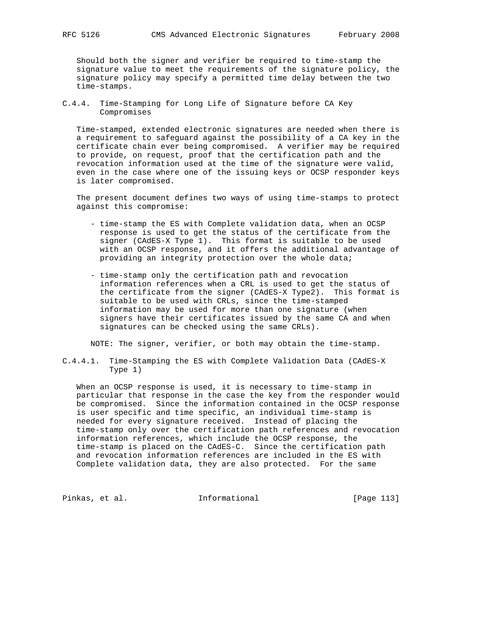Should both the signer and verifier be required to time-stamp the signature value to meet the requirements of the signature policy, the signature policy may specify a permitted time delay between the two time-stamps.

C.4.4. Time-Stamping for Long Life of Signature before CA Key Compromises

 Time-stamped, extended electronic signatures are needed when there is a requirement to safeguard against the possibility of a CA key in the certificate chain ever being compromised. A verifier may be required to provide, on request, proof that the certification path and the revocation information used at the time of the signature were valid, even in the case where one of the issuing keys or OCSP responder keys is later compromised.

 The present document defines two ways of using time-stamps to protect against this compromise:

- time-stamp the ES with Complete validation data, when an OCSP response is used to get the status of the certificate from the signer (CAdES-X Type 1). This format is suitable to be used with an OCSP response, and it offers the additional advantage of providing an integrity protection over the whole data;
- time-stamp only the certification path and revocation information references when a CRL is used to get the status of the certificate from the signer (CAdES-X Type2). This format is suitable to be used with CRLs, since the time-stamped information may be used for more than one signature (when signers have their certificates issued by the same CA and when signatures can be checked using the same CRLs).

NOTE: The signer, verifier, or both may obtain the time-stamp.

C.4.4.1. Time-Stamping the ES with Complete Validation Data (CAdES-X Type 1)

 When an OCSP response is used, it is necessary to time-stamp in particular that response in the case the key from the responder would be compromised. Since the information contained in the OCSP response is user specific and time specific, an individual time-stamp is needed for every signature received. Instead of placing the time-stamp only over the certification path references and revocation information references, which include the OCSP response, the time-stamp is placed on the CAdES-C. Since the certification path and revocation information references are included in the ES with Complete validation data, they are also protected. For the same

Pinkas, et al. 10 1nformational 1999 [Page 113]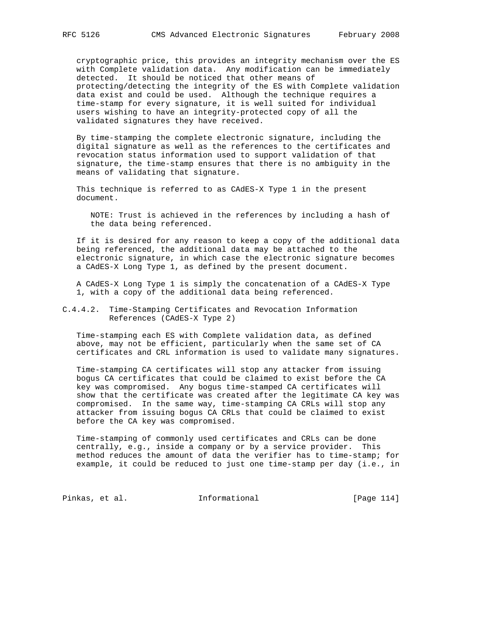cryptographic price, this provides an integrity mechanism over the ES with Complete validation data. Any modification can be immediately detected. It should be noticed that other means of protecting/detecting the integrity of the ES with Complete validation data exist and could be used. Although the technique requires a time-stamp for every signature, it is well suited for individual users wishing to have an integrity-protected copy of all the validated signatures they have received.

 By time-stamping the complete electronic signature, including the digital signature as well as the references to the certificates and revocation status information used to support validation of that signature, the time-stamp ensures that there is no ambiguity in the means of validating that signature.

 This technique is referred to as CAdES-X Type 1 in the present document.

 NOTE: Trust is achieved in the references by including a hash of the data being referenced.

 If it is desired for any reason to keep a copy of the additional data being referenced, the additional data may be attached to the electronic signature, in which case the electronic signature becomes a CAdES-X Long Type 1, as defined by the present document.

 A CAdES-X Long Type 1 is simply the concatenation of a CAdES-X Type 1, with a copy of the additional data being referenced.

## C.4.4.2. Time-Stamping Certificates and Revocation Information References (CAdES-X Type 2)

 Time-stamping each ES with Complete validation data, as defined above, may not be efficient, particularly when the same set of CA certificates and CRL information is used to validate many signatures.

 Time-stamping CA certificates will stop any attacker from issuing bogus CA certificates that could be claimed to exist before the CA key was compromised. Any bogus time-stamped CA certificates will show that the certificate was created after the legitimate CA key was compromised. In the same way, time-stamping CA CRLs will stop any attacker from issuing bogus CA CRLs that could be claimed to exist before the CA key was compromised.

 Time-stamping of commonly used certificates and CRLs can be done centrally, e.g., inside a company or by a service provider. This method reduces the amount of data the verifier has to time-stamp; for example, it could be reduced to just one time-stamp per day (i.e., in

Pinkas, et al. 10 1nformational 1999 [Page 114]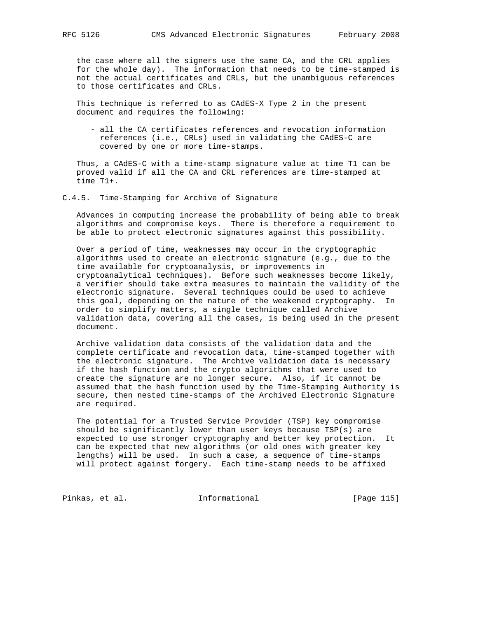the case where all the signers use the same CA, and the CRL applies for the whole day). The information that needs to be time-stamped is not the actual certificates and CRLs, but the unambiguous references to those certificates and CRLs.

 This technique is referred to as CAdES-X Type 2 in the present document and requires the following:

 - all the CA certificates references and revocation information references (i.e., CRLs) used in validating the CAdES-C are covered by one or more time-stamps.

 Thus, a CAdES-C with a time-stamp signature value at time T1 can be proved valid if all the CA and CRL references are time-stamped at time T1+.

C.4.5. Time-Stamping for Archive of Signature

 Advances in computing increase the probability of being able to break algorithms and compromise keys. There is therefore a requirement to be able to protect electronic signatures against this possibility.

 Over a period of time, weaknesses may occur in the cryptographic algorithms used to create an electronic signature (e.g., due to the time available for cryptoanalysis, or improvements in cryptoanalytical techniques). Before such weaknesses become likely, a verifier should take extra measures to maintain the validity of the electronic signature. Several techniques could be used to achieve this goal, depending on the nature of the weakened cryptography. In order to simplify matters, a single technique called Archive validation data, covering all the cases, is being used in the present document.

 Archive validation data consists of the validation data and the complete certificate and revocation data, time-stamped together with the electronic signature. The Archive validation data is necessary if the hash function and the crypto algorithms that were used to create the signature are no longer secure. Also, if it cannot be assumed that the hash function used by the Time-Stamping Authority is secure, then nested time-stamps of the Archived Electronic Signature are required.

 The potential for a Trusted Service Provider (TSP) key compromise should be significantly lower than user keys because TSP(s) are expected to use stronger cryptography and better key protection. It can be expected that new algorithms (or old ones with greater key lengths) will be used. In such a case, a sequence of time-stamps will protect against forgery. Each time-stamp needs to be affixed

Pinkas, et al. 10 1nformational 1999 [Page 115]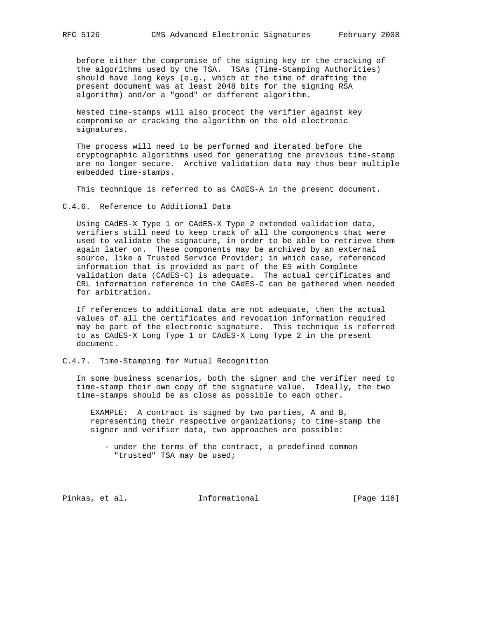before either the compromise of the signing key or the cracking of the algorithms used by the TSA. TSAs (Time-Stamping Authorities) should have long keys (e.g., which at the time of drafting the present document was at least 2048 bits for the signing RSA algorithm) and/or a "good" or different algorithm.

 Nested time-stamps will also protect the verifier against key compromise or cracking the algorithm on the old electronic signatures.

 The process will need to be performed and iterated before the cryptographic algorithms used for generating the previous time-stamp are no longer secure. Archive validation data may thus bear multiple embedded time-stamps.

This technique is referred to as CAdES-A in the present document.

C.4.6. Reference to Additional Data

 Using CAdES-X Type 1 or CAdES-X Type 2 extended validation data, verifiers still need to keep track of all the components that were used to validate the signature, in order to be able to retrieve them again later on. These components may be archived by an external source, like a Trusted Service Provider; in which case, referenced information that is provided as part of the ES with Complete validation data (CAdES-C) is adequate. The actual certificates and CRL information reference in the CAdES-C can be gathered when needed for arbitration.

 If references to additional data are not adequate, then the actual values of all the certificates and revocation information required may be part of the electronic signature. This technique is referred to as CAdES-X Long Type 1 or CAdES-X Long Type 2 in the present document.

C.4.7. Time-Stamping for Mutual Recognition

 In some business scenarios, both the signer and the verifier need to time-stamp their own copy of the signature value. Ideally, the two time-stamps should be as close as possible to each other.

 EXAMPLE: A contract is signed by two parties, A and B, representing their respective organizations; to time-stamp the signer and verifier data, two approaches are possible:

 - under the terms of the contract, a predefined common "trusted" TSA may be used;

Pinkas, et al. 10 Informational [Page 116]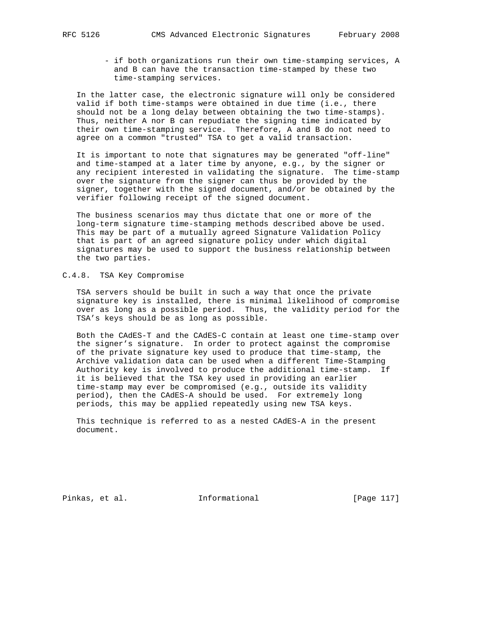- if both organizations run their own time-stamping services, A and B can have the transaction time-stamped by these two time-stamping services.

 In the latter case, the electronic signature will only be considered valid if both time-stamps were obtained in due time (i.e., there should not be a long delay between obtaining the two time-stamps). Thus, neither A nor B can repudiate the signing time indicated by their own time-stamping service. Therefore, A and B do not need to agree on a common "trusted" TSA to get a valid transaction.

 It is important to note that signatures may be generated "off-line" and time-stamped at a later time by anyone, e.g., by the signer or any recipient interested in validating the signature. The time-stamp over the signature from the signer can thus be provided by the signer, together with the signed document, and/or be obtained by the verifier following receipt of the signed document.

 The business scenarios may thus dictate that one or more of the long-term signature time-stamping methods described above be used. This may be part of a mutually agreed Signature Validation Policy that is part of an agreed signature policy under which digital signatures may be used to support the business relationship between the two parties.

# C.4.8. TSA Key Compromise

 TSA servers should be built in such a way that once the private signature key is installed, there is minimal likelihood of compromise over as long as a possible period. Thus, the validity period for the TSA's keys should be as long as possible.

 Both the CAdES-T and the CAdES-C contain at least one time-stamp over the signer's signature. In order to protect against the compromise of the private signature key used to produce that time-stamp, the Archive validation data can be used when a different Time-Stamping Authority key is involved to produce the additional time-stamp. If it is believed that the TSA key used in providing an earlier time-stamp may ever be compromised (e.g., outside its validity period), then the CAdES-A should be used. For extremely long periods, this may be applied repeatedly using new TSA keys.

 This technique is referred to as a nested CAdES-A in the present document.

Pinkas, et al. 10. Informational 1.17 [Page 117]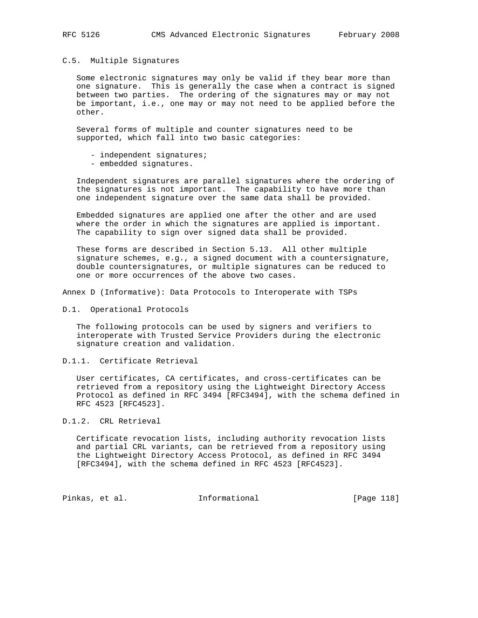#### C.5. Multiple Signatures

 Some electronic signatures may only be valid if they bear more than one signature. This is generally the case when a contract is signed between two parties. The ordering of the signatures may or may not be important, i.e., one may or may not need to be applied before the other.

 Several forms of multiple and counter signatures need to be supported, which fall into two basic categories:

- independent signatures;
- embedded signatures.

 Independent signatures are parallel signatures where the ordering of the signatures is not important. The capability to have more than one independent signature over the same data shall be provided.

 Embedded signatures are applied one after the other and are used where the order in which the signatures are applied is important. The capability to sign over signed data shall be provided.

 These forms are described in Section 5.13. All other multiple signature schemes, e.g., a signed document with a countersignature, double countersignatures, or multiple signatures can be reduced to one or more occurrences of the above two cases.

Annex D (Informative): Data Protocols to Interoperate with TSPs

D.1. Operational Protocols

 The following protocols can be used by signers and verifiers to interoperate with Trusted Service Providers during the electronic signature creation and validation.

D.1.1. Certificate Retrieval

 User certificates, CA certificates, and cross-certificates can be retrieved from a repository using the Lightweight Directory Access Protocol as defined in RFC 3494 [RFC3494], with the schema defined in RFC 4523 [RFC4523].

D.1.2. CRL Retrieval

 Certificate revocation lists, including authority revocation lists and partial CRL variants, can be retrieved from a repository using the Lightweight Directory Access Protocol, as defined in RFC 3494 [RFC3494], with the schema defined in RFC 4523 [RFC4523].

Pinkas, et al. 10 1nformational 1999 [Page 118]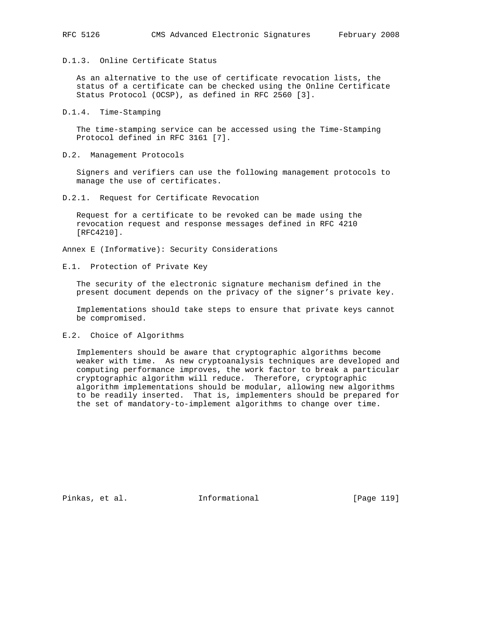# D.1.3. Online Certificate Status

 As an alternative to the use of certificate revocation lists, the status of a certificate can be checked using the Online Certificate Status Protocol (OCSP), as defined in RFC 2560 [3].

D.1.4. Time-Stamping

 The time-stamping service can be accessed using the Time-Stamping Protocol defined in RFC 3161 [7].

D.2. Management Protocols

 Signers and verifiers can use the following management protocols to manage the use of certificates.

D.2.1. Request for Certificate Revocation

 Request for a certificate to be revoked can be made using the revocation request and response messages defined in RFC 4210 [RFC4210].

Annex E (Informative): Security Considerations

E.1. Protection of Private Key

 The security of the electronic signature mechanism defined in the present document depends on the privacy of the signer's private key.

 Implementations should take steps to ensure that private keys cannot be compromised.

E.2. Choice of Algorithms

 Implementers should be aware that cryptographic algorithms become weaker with time. As new cryptoanalysis techniques are developed and computing performance improves, the work factor to break a particular cryptographic algorithm will reduce. Therefore, cryptographic algorithm implementations should be modular, allowing new algorithms to be readily inserted. That is, implementers should be prepared for the set of mandatory-to-implement algorithms to change over time.

Pinkas, et al. Informational [Page 119]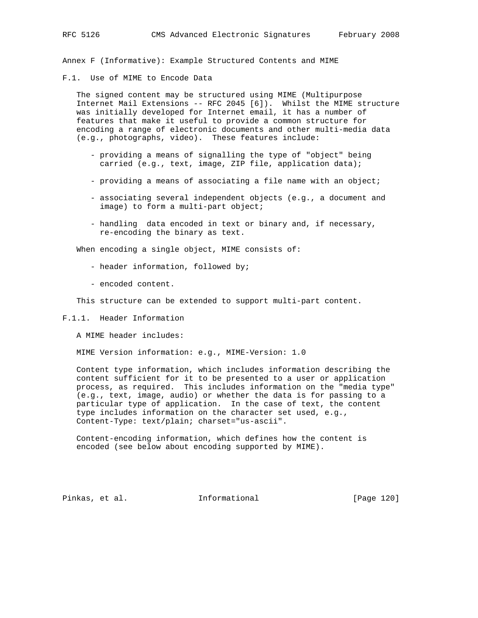Annex F (Informative): Example Structured Contents and MIME

F.1. Use of MIME to Encode Data

 The signed content may be structured using MIME (Multipurpose Internet Mail Extensions -- RFC 2045 [6]). Whilst the MIME structure was initially developed for Internet email, it has a number of features that make it useful to provide a common structure for encoding a range of electronic documents and other multi-media data (e.g., photographs, video). These features include:

- providing a means of signalling the type of "object" being carried (e.g., text, image, ZIP file, application data);
- providing a means of associating a file name with an object;
- associating several independent objects (e.g., a document and image) to form a multi-part object;
- handling data encoded in text or binary and, if necessary, re-encoding the binary as text.

When encoding a single object, MIME consists of:

- header information, followed by;
- encoded content.

This structure can be extended to support multi-part content.

F.1.1. Header Information

A MIME header includes:

MIME Version information: e.g., MIME-Version: 1.0

 Content type information, which includes information describing the content sufficient for it to be presented to a user or application process, as required. This includes information on the "media type" (e.g., text, image, audio) or whether the data is for passing to a particular type of application. In the case of text, the content type includes information on the character set used, e.g., Content-Type: text/plain; charset="us-ascii".

 Content-encoding information, which defines how the content is encoded (see below about encoding supported by MIME).

Pinkas, et al. Informational [Page 120]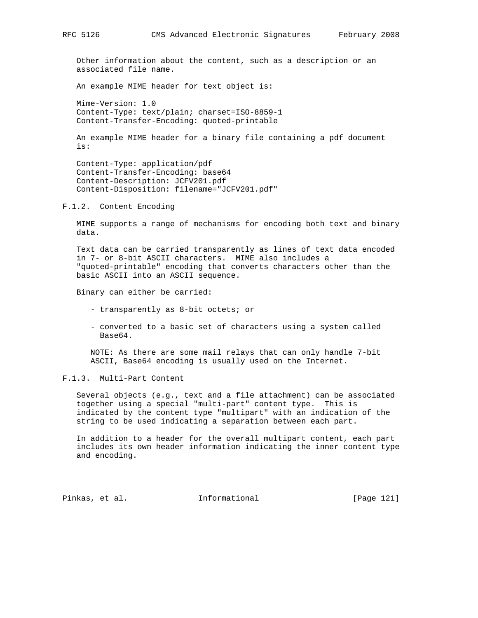Other information about the content, such as a description or an associated file name.

An example MIME header for text object is:

 Mime-Version: 1.0 Content-Type: text/plain; charset=ISO-8859-1 Content-Transfer-Encoding: quoted-printable

 An example MIME header for a binary file containing a pdf document is:

 Content-Type: application/pdf Content-Transfer-Encoding: base64 Content-Description: JCFV201.pdf Content-Disposition: filename="JCFV201.pdf"

F.1.2. Content Encoding

 MIME supports a range of mechanisms for encoding both text and binary data.

 Text data can be carried transparently as lines of text data encoded in 7- or 8-bit ASCII characters. MIME also includes a "quoted-printable" encoding that converts characters other than the basic ASCII into an ASCII sequence.

Binary can either be carried:

- transparently as 8-bit octets; or
- converted to a basic set of characters using a system called Base64.

 NOTE: As there are some mail relays that can only handle 7-bit ASCII, Base64 encoding is usually used on the Internet.

#### F.1.3. Multi-Part Content

 Several objects (e.g., text and a file attachment) can be associated together using a special "multi-part" content type. This is indicated by the content type "multipart" with an indication of the string to be used indicating a separation between each part.

 In addition to a header for the overall multipart content, each part includes its own header information indicating the inner content type and encoding.

Pinkas, et al. 1nformational 1999 [Page 121]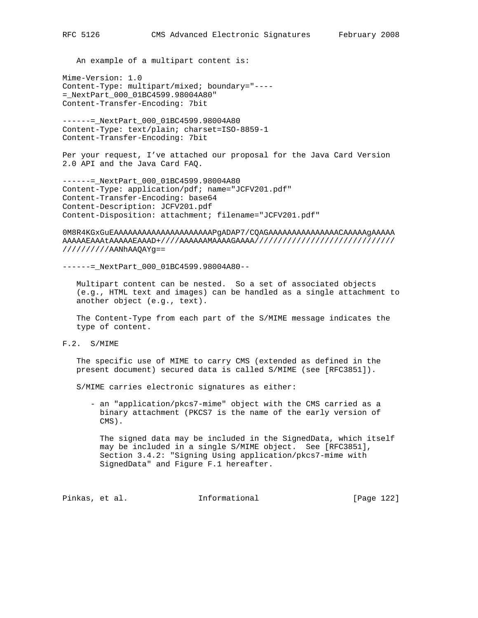An example of a multipart content is:

Mime-Version: 1.0 Content-Type: multipart/mixed; boundary="---- =\_NextPart\_000\_01BC4599.98004A80" Content-Transfer-Encoding: 7bit

------=\_NextPart\_000\_01BC4599.98004A80 Content-Type: text/plain; charset=ISO-8859-1 Content-Transfer-Encoding: 7bit

Per your request, I've attached our proposal for the Java Card Version 2.0 API and the Java Card FAQ.

------=\_NextPart\_000\_01BC4599.98004A80 Content-Type: application/pdf; name="JCFV201.pdf" Content-Transfer-Encoding: base64 Content-Description: JCFV201.pdf Content-Disposition: attachment; filename="JCFV201.pdf"

0M8R4KGxGuEAAAAAAAAAAAAAAAAAAAAAPgADAP7/CQAGAAAAAAAAAAAAAAACAAAAAgAAAAA AAAAAEAAAtAAAAAEAAAD+////AAAAAAMAAAAGAAAA////////////////////////////// //////////AANhAAQAYg==

------=\_NextPart\_000\_01BC4599.98004A80--

 Multipart content can be nested. So a set of associated objects (e.g., HTML text and images) can be handled as a single attachment to another object (e.g., text).

 The Content-Type from each part of the S/MIME message indicates the type of content.

F.2. S/MIME

 The specific use of MIME to carry CMS (extended as defined in the present document) secured data is called S/MIME (see [RFC3851]).

S/MIME carries electronic signatures as either:

 - an "application/pkcs7-mime" object with the CMS carried as a binary attachment (PKCS7 is the name of the early version of CMS).

 The signed data may be included in the SignedData, which itself may be included in a single S/MIME object. See [RFC3851], Section 3.4.2: "Signing Using application/pkcs7-mime with SignedData" and Figure F.1 hereafter.

Pinkas, et al. 1nformational 1999 [Page 122]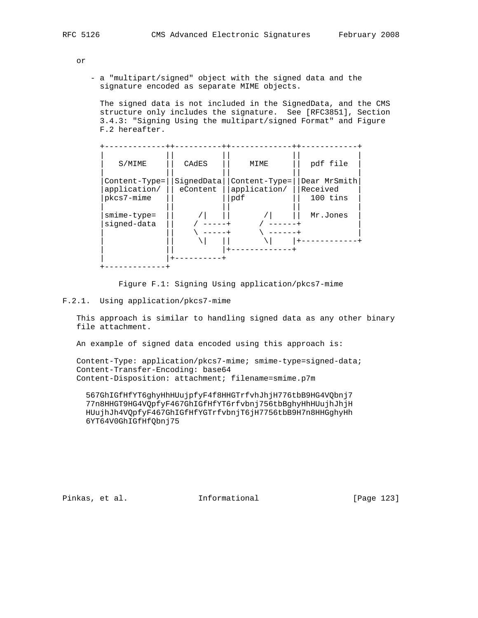or

 - a "multipart/signed" object with the signed data and the signature encoded as separate MIME objects.

 The signed data is not included in the SignedData, and the CMS structure only includes the signature. See [RFC3851], Section 3.4.3: "Signing Using the multipart/signed Format" and Figure F.2 hereafter.

| S/MIME                                         | CADES                  | MIME                                 | pdf file                             |
|------------------------------------------------|------------------------|--------------------------------------|--------------------------------------|
| $Content-Type =$<br>application/<br>pkcs7-mime | SignedData<br>eContent | Content-Type=<br>application/<br>pdf | Dear MrSmith<br>Received<br>100 tins |
| $smime-type=$<br>signed-data                   |                        |                                      | Mr.Jones                             |
|                                                |                        |                                      |                                      |

Figure F.1: Signing Using application/pkcs7-mime

F.2.1. Using application/pkcs7-mime

 This approach is similar to handling signed data as any other binary file attachment.

An example of signed data encoded using this approach is:

 Content-Type: application/pkcs7-mime; smime-type=signed-data; Content-Transfer-Encoding: base64 Content-Disposition: attachment; filename=smime.p7m

 567GhIGfHfYT6ghyHhHUujpfyF4f8HHGTrfvhJhjH776tbB9HG4VQbnj7 77n8HHGT9HG4VQpfyF467GhIGfHfYT6rfvbnj756tbBghyHhHUujhJhjH HUujhJh4VQpfyF467GhIGfHfYGTrfvbnjT6jH7756tbB9H7n8HHGghyHh 6YT64V0GhIGfHfQbnj75

Pinkas, et al. 1nformational 1999 [Page 123]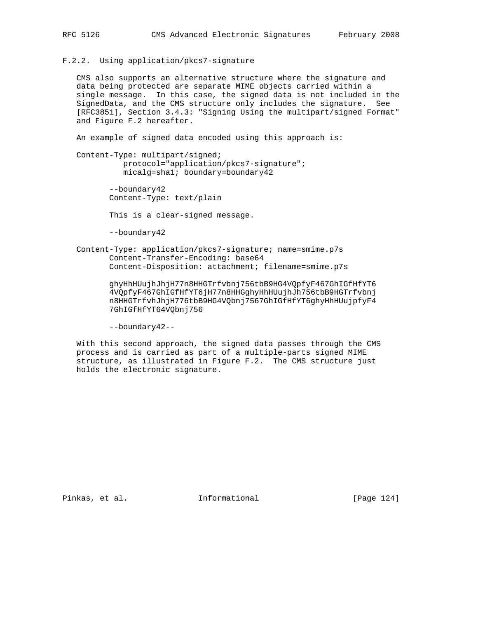F.2.2. Using application/pkcs7-signature

 CMS also supports an alternative structure where the signature and data being protected are separate MIME objects carried within a single message. In this case, the signed data is not included in the SignedData, and the CMS structure only includes the signature. See [RFC3851], Section 3.4.3: "Signing Using the multipart/signed Format" and Figure F.2 hereafter.

An example of signed data encoded using this approach is:

 Content-Type: multipart/signed; protocol="application/pkcs7-signature"; micalg=sha1; boundary=boundary42

> --boundary42 Content-Type: text/plain

This is a clear-signed message.

--boundary42

 Content-Type: application/pkcs7-signature; name=smime.p7s Content-Transfer-Encoding: base64 Content-Disposition: attachment; filename=smime.p7s

> ghyHhHUujhJhjH77n8HHGTrfvbnj756tbB9HG4VQpfyF467GhIGfHfYT6 4VQpfyF467GhIGfHfYT6jH77n8HHGghyHhHUujhJh756tbB9HGTrfvbnj n8HHGTrfvhJhjH776tbB9HG4VQbnj7567GhIGfHfYT6ghyHhHUujpfyF4 7GhIGfHfYT64VQbnj756

--boundary42--

 With this second approach, the signed data passes through the CMS process and is carried as part of a multiple-parts signed MIME structure, as illustrated in Figure F.2. The CMS structure just holds the electronic signature.

Pinkas, et al. Informational [Page 124]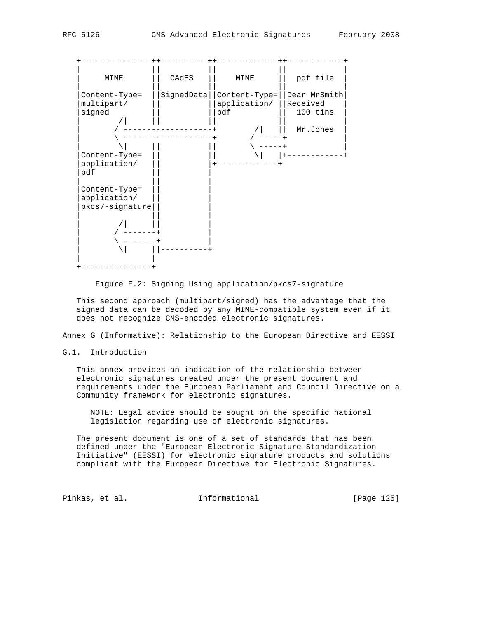

Figure F.2: Signing Using application/pkcs7-signature

 This second approach (multipart/signed) has the advantage that the signed data can be decoded by any MIME-compatible system even if it does not recognize CMS-encoded electronic signatures.

Annex G (Informative): Relationship to the European Directive and EESSI

### G.1. Introduction

 This annex provides an indication of the relationship between electronic signatures created under the present document and requirements under the European Parliament and Council Directive on a Community framework for electronic signatures.

 NOTE: Legal advice should be sought on the specific national legislation regarding use of electronic signatures.

 The present document is one of a set of standards that has been defined under the "European Electronic Signature Standardization Initiative" (EESSI) for electronic signature products and solutions compliant with the European Directive for Electronic Signatures.

Pinkas, et al. 1nformational 1999 [Page 125]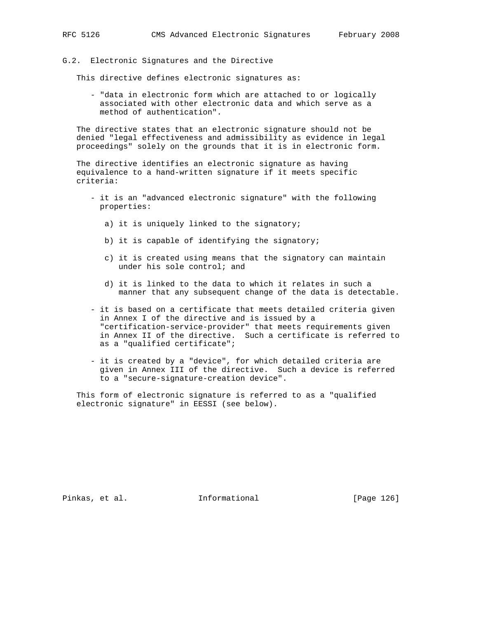### G.2. Electronic Signatures and the Directive

This directive defines electronic signatures as:

 - "data in electronic form which are attached to or logically associated with other electronic data and which serve as a method of authentication".

 The directive states that an electronic signature should not be denied "legal effectiveness and admissibility as evidence in legal proceedings" solely on the grounds that it is in electronic form.

 The directive identifies an electronic signature as having equivalence to a hand-written signature if it meets specific criteria:

- it is an "advanced electronic signature" with the following properties:
	- a) it is uniquely linked to the signatory;
	- b) it is capable of identifying the signatory;
	- c) it is created using means that the signatory can maintain under his sole control; and
	- d) it is linked to the data to which it relates in such a manner that any subsequent change of the data is detectable.
- it is based on a certificate that meets detailed criteria given in Annex I of the directive and is issued by a "certification-service-provider" that meets requirements given in Annex II of the directive. Such a certificate is referred to as a "qualified certificate";
- it is created by a "device", for which detailed criteria are given in Annex III of the directive. Such a device is referred to a "secure-signature-creation device".

 This form of electronic signature is referred to as a "qualified electronic signature" in EESSI (see below).

Pinkas, et al. Informational [Page 126]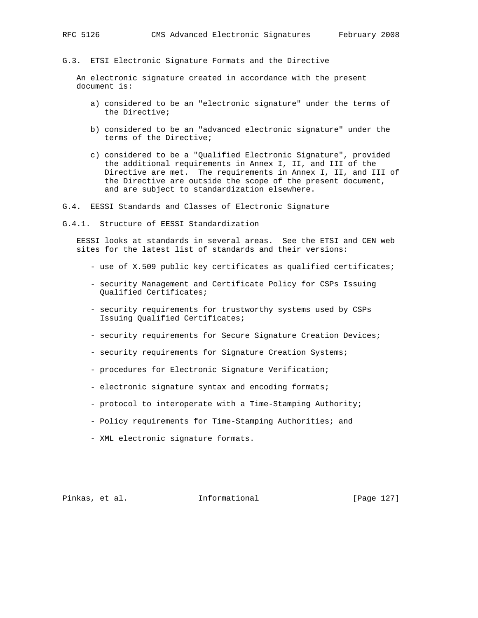#### G.3. ETSI Electronic Signature Formats and the Directive

 An electronic signature created in accordance with the present document is:

- a) considered to be an "electronic signature" under the terms of the Directive;
- b) considered to be an "advanced electronic signature" under the terms of the Directive;
- c) considered to be a "Qualified Electronic Signature", provided the additional requirements in Annex I, II, and III of the Directive are met. The requirements in Annex I, II, and III of the Directive are outside the scope of the present document, and are subject to standardization elsewhere.
- G.4. EESSI Standards and Classes of Electronic Signature
- G.4.1. Structure of EESSI Standardization

 EESSI looks at standards in several areas. See the ETSI and CEN web sites for the latest list of standards and their versions:

- use of X.509 public key certificates as qualified certificates;
- security Management and Certificate Policy for CSPs Issuing Qualified Certificates;
- security requirements for trustworthy systems used by CSPs Issuing Qualified Certificates;
- security requirements for Secure Signature Creation Devices;
- security requirements for Signature Creation Systems;
- procedures for Electronic Signature Verification;
- electronic signature syntax and encoding formats;
- protocol to interoperate with a Time-Stamping Authority;
- Policy requirements for Time-Stamping Authorities; and
- XML electronic signature formats.

Pinkas, et al. 1nformational 1999 [Page 127]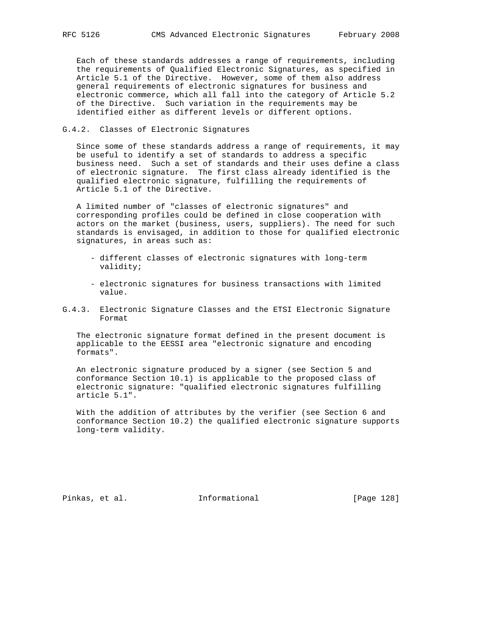Each of these standards addresses a range of requirements, including the requirements of Qualified Electronic Signatures, as specified in Article 5.1 of the Directive. However, some of them also address general requirements of electronic signatures for business and electronic commerce, which all fall into the category of Article 5.2 of the Directive. Such variation in the requirements may be identified either as different levels or different options.

## G.4.2. Classes of Electronic Signatures

 Since some of these standards address a range of requirements, it may be useful to identify a set of standards to address a specific business need. Such a set of standards and their uses define a class of electronic signature. The first class already identified is the qualified electronic signature, fulfilling the requirements of Article 5.1 of the Directive.

 A limited number of "classes of electronic signatures" and corresponding profiles could be defined in close cooperation with actors on the market (business, users, suppliers). The need for such standards is envisaged, in addition to those for qualified electronic signatures, in areas such as:

- different classes of electronic signatures with long-term validity;
- electronic signatures for business transactions with limited value.
- G.4.3. Electronic Signature Classes and the ETSI Electronic Signature Format

 The electronic signature format defined in the present document is applicable to the EESSI area "electronic signature and encoding formats".

 An electronic signature produced by a signer (see Section 5 and conformance Section 10.1) is applicable to the proposed class of electronic signature: "qualified electronic signatures fulfilling article 5.1".

 With the addition of attributes by the verifier (see Section 6 and conformance Section 10.2) the qualified electronic signature supports long-term validity.

Pinkas, et al. 1nformational 1999 [Page 128]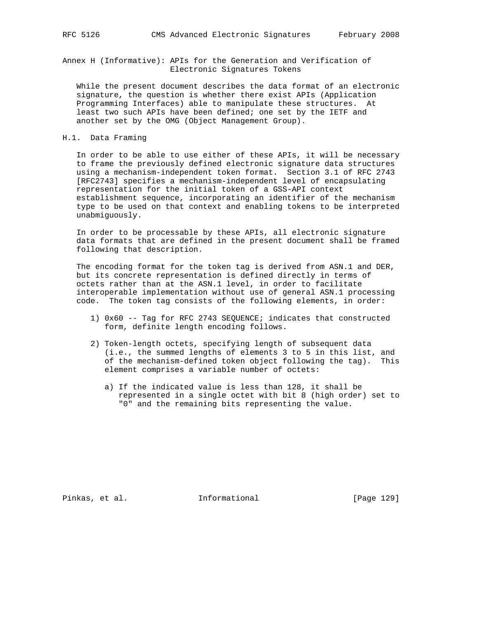Annex H (Informative): APIs for the Generation and Verification of Electronic Signatures Tokens

 While the present document describes the data format of an electronic signature, the question is whether there exist APIs (Application Programming Interfaces) able to manipulate these structures. At least two such APIs have been defined; one set by the IETF and another set by the OMG (Object Management Group).

## H.1. Data Framing

 In order to be able to use either of these APIs, it will be necessary to frame the previously defined electronic signature data structures using a mechanism-independent token format. Section 3.1 of RFC 2743 [RFC2743] specifies a mechanism-independent level of encapsulating representation for the initial token of a GSS-API context establishment sequence, incorporating an identifier of the mechanism type to be used on that context and enabling tokens to be interpreted unabmiguously.

 In order to be processable by these APIs, all electronic signature data formats that are defined in the present document shall be framed following that description.

 The encoding format for the token tag is derived from ASN.1 and DER, but its concrete representation is defined directly in terms of octets rather than at the ASN.1 level, in order to facilitate interoperable implementation without use of general ASN.1 processing code. The token tag consists of the following elements, in order:

- 1) 0x60 -- Tag for RFC 2743 SEQUENCE; indicates that constructed form, definite length encoding follows.
- 2) Token-length octets, specifying length of subsequent data (i.e., the summed lengths of elements 3 to 5 in this list, and of the mechanism-defined token object following the tag). This element comprises a variable number of octets:
	- a) If the indicated value is less than 128, it shall be represented in a single octet with bit 8 (high order) set to "0" and the remaining bits representing the value.

Pinkas, et al. Informational [Page 129]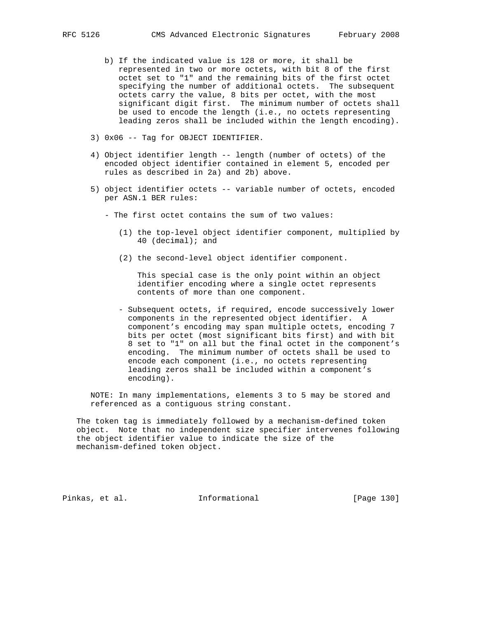- b) If the indicated value is 128 or more, it shall be represented in two or more octets, with bit 8 of the first octet set to "1" and the remaining bits of the first octet specifying the number of additional octets. The subsequent octets carry the value, 8 bits per octet, with the most significant digit first. The minimum number of octets shall be used to encode the length (i.e., no octets representing leading zeros shall be included within the length encoding).
- 3) 0x06 -- Tag for OBJECT IDENTIFIER.
- 4) Object identifier length -- length (number of octets) of the encoded object identifier contained in element 5, encoded per rules as described in 2a) and 2b) above.
- 5) object identifier octets -- variable number of octets, encoded per ASN.1 BER rules:
	- The first octet contains the sum of two values:
		- (1) the top-level object identifier component, multiplied by 40 (decimal); and
		- (2) the second-level object identifier component.

 This special case is the only point within an object identifier encoding where a single octet represents contents of more than one component.

 - Subsequent octets, if required, encode successively lower components in the represented object identifier. A component's encoding may span multiple octets, encoding 7 bits per octet (most significant bits first) and with bit 8 set to "1" on all but the final octet in the component's encoding. The minimum number of octets shall be used to encode each component (i.e., no octets representing leading zeros shall be included within a component's encoding).

 NOTE: In many implementations, elements 3 to 5 may be stored and referenced as a contiguous string constant.

 The token tag is immediately followed by a mechanism-defined token object. Note that no independent size specifier intervenes following the object identifier value to indicate the size of the mechanism-defined token object.

Pinkas, et al. Informational [Page 130]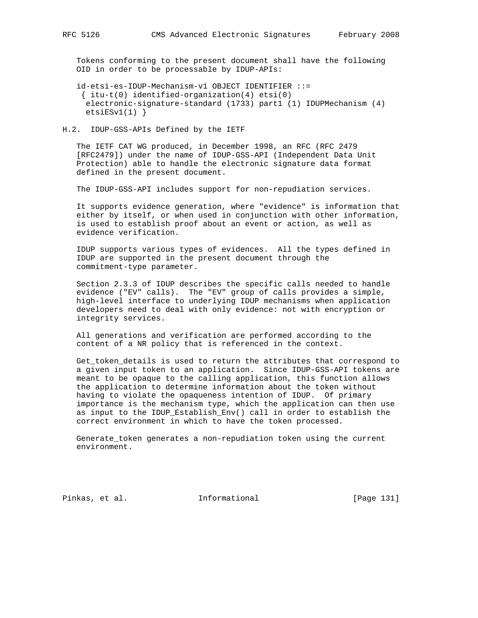Tokens conforming to the present document shall have the following OID in order to be processable by IDUP-APIs:

 id-etsi-es-IDUP-Mechanism-v1 OBJECT IDENTIFIER ::=  $\{$  itu-t(0) identified-organization(4) etsi(0) electronic-signature-standard (1733) part1 (1) IDUPMechanism (4)  $etsiESv1(1)$ }

### H.2. IDUP-GSS-APIs Defined by the IETF

 The IETF CAT WG produced, in December 1998, an RFC (RFC 2479 [RFC2479]) under the name of IDUP-GSS-API (Independent Data Unit Protection) able to handle the electronic signature data format defined in the present document.

The IDUP-GSS-API includes support for non-repudiation services.

 It supports evidence generation, where "evidence" is information that either by itself, or when used in conjunction with other information, is used to establish proof about an event or action, as well as evidence verification.

 IDUP supports various types of evidences. All the types defined in IDUP are supported in the present document through the commitment-type parameter.

 Section 2.3.3 of IDUP describes the specific calls needed to handle evidence ("EV" calls). The "EV" group of calls provides a simple, high-level interface to underlying IDUP mechanisms when application developers need to deal with only evidence: not with encryption or integrity services.

 All generations and verification are performed according to the content of a NR policy that is referenced in the context.

 Get\_token\_details is used to return the attributes that correspond to a given input token to an application. Since IDUP-GSS-API tokens are meant to be opaque to the calling application, this function allows the application to determine information about the token without having to violate the opaqueness intention of IDUP. Of primary importance is the mechanism type, which the application can then use as input to the IDUP\_Establish\_Env() call in order to establish the correct environment in which to have the token processed.

 Generate\_token generates a non-repudiation token using the current environment.

Pinkas, et al. Informational [Page 131]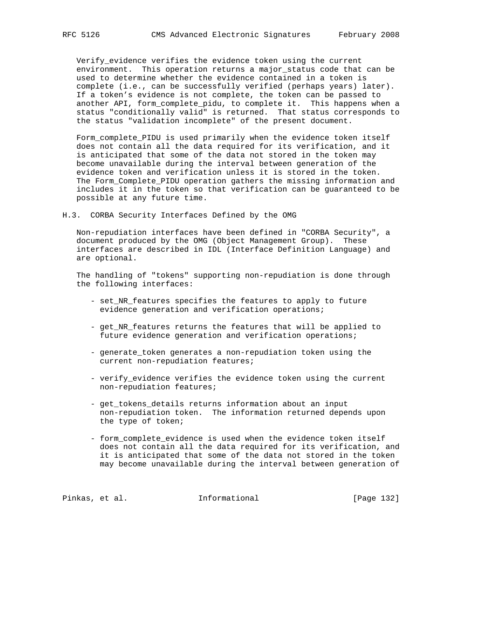Verify\_evidence verifies the evidence token using the current environment. This operation returns a major\_status code that can be used to determine whether the evidence contained in a token is complete (i.e., can be successfully verified (perhaps years) later). If a token's evidence is not complete, the token can be passed to another API, form\_complete\_pidu, to complete it. This happens when a status "conditionally valid" is returned. That status corresponds to the status "validation incomplete" of the present document.

 Form\_complete\_PIDU is used primarily when the evidence token itself does not contain all the data required for its verification, and it is anticipated that some of the data not stored in the token may become unavailable during the interval between generation of the evidence token and verification unless it is stored in the token. The Form\_Complete\_PIDU operation gathers the missing information and includes it in the token so that verification can be guaranteed to be possible at any future time.

H.3. CORBA Security Interfaces Defined by the OMG

 Non-repudiation interfaces have been defined in "CORBA Security", a document produced by the OMG (Object Management Group). These interfaces are described in IDL (Interface Definition Language) and are optional.

 The handling of "tokens" supporting non-repudiation is done through the following interfaces:

- set\_NR\_features specifies the features to apply to future evidence generation and verification operations;
- get\_NR\_features returns the features that will be applied to future evidence generation and verification operations;
- generate\_token generates a non-repudiation token using the current non-repudiation features;
- verify\_evidence verifies the evidence token using the current non-repudiation features;
- get\_tokens\_details returns information about an input non-repudiation token. The information returned depends upon the type of token;
- form\_complete\_evidence is used when the evidence token itself does not contain all the data required for its verification, and it is anticipated that some of the data not stored in the token may become unavailable during the interval between generation of

Pinkas, et al. 1nformational 1999 [Page 132]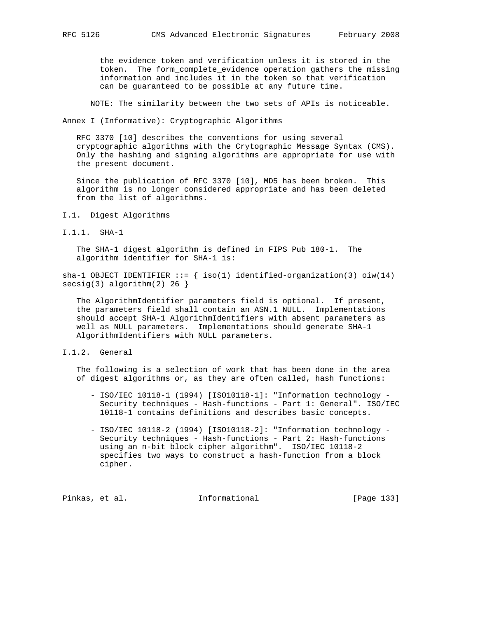the evidence token and verification unless it is stored in the token. The form\_complete\_evidence operation gathers the missing information and includes it in the token so that verification can be guaranteed to be possible at any future time.

NOTE: The similarity between the two sets of APIs is noticeable.

Annex I (Informative): Cryptographic Algorithms

 RFC 3370 [10] describes the conventions for using several cryptographic algorithms with the Crytographic Message Syntax (CMS). Only the hashing and signing algorithms are appropriate for use with the present document.

 Since the publication of RFC 3370 [10], MD5 has been broken. This algorithm is no longer considered appropriate and has been deleted from the list of algorithms.

- I.1. Digest Algorithms
- I.1.1. SHA-1

 The SHA-1 digest algorithm is defined in FIPS Pub 180-1. The algorithm identifier for SHA-1 is:

sha-1 OBJECT IDENTIFIER  $::=$  { iso(1) identified-organization(3) oiw(14)  $secsig(3)$  algorithm(2) 26 }

 The AlgorithmIdentifier parameters field is optional. If present, the parameters field shall contain an ASN.1 NULL. Implementations should accept SHA-1 AlgorithmIdentifiers with absent parameters as well as NULL parameters. Implementations should generate SHA-1 AlgorithmIdentifiers with NULL parameters.

I.1.2. General

 The following is a selection of work that has been done in the area of digest algorithms or, as they are often called, hash functions:

- ISO/IEC 10118-1 (1994) [ISO10118-1]: "Information technology Security techniques - Hash-functions - Part 1: General". ISO/IEC 10118-1 contains definitions and describes basic concepts.
- ISO/IEC 10118-2 (1994) [ISO10118-2]: "Information technology Security techniques - Hash-functions - Part 2: Hash-functions using an n-bit block cipher algorithm". ISO/IEC 10118-2 specifies two ways to construct a hash-function from a block cipher.

Pinkas, et al. 1nformational [Page 133]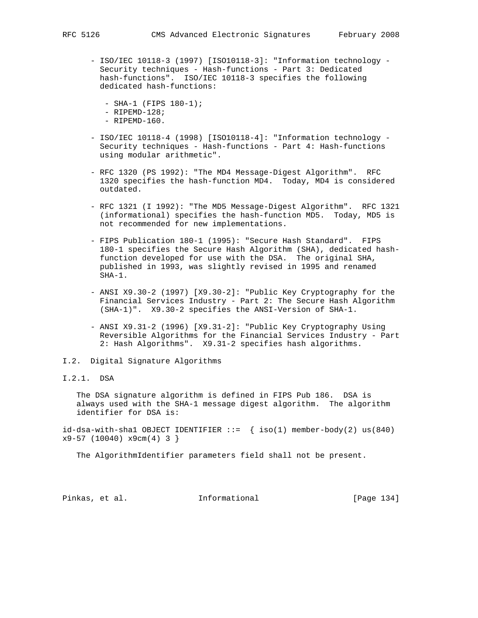- ISO/IEC 10118-3 (1997) [ISO10118-3]: "Information technology Security techniques - Hash-functions - Part 3: Dedicated hash-functions". ISO/IEC 10118-3 specifies the following dedicated hash-functions:
	- SHA-1 (FIPS 180-1);
	- $-$  RIPEMD-128;
	- RIPEMD-160.
- ISO/IEC 10118-4 (1998) [ISO10118-4]: "Information technology Security techniques - Hash-functions - Part 4: Hash-functions using modular arithmetic".
- RFC 1320 (PS 1992): "The MD4 Message-Digest Algorithm". RFC 1320 specifies the hash-function MD4. Today, MD4 is considered outdated.
- RFC 1321 (I 1992): "The MD5 Message-Digest Algorithm". RFC 1321 (informational) specifies the hash-function MD5. Today, MD5 is not recommended for new implementations.
- FIPS Publication 180-1 (1995): "Secure Hash Standard". FIPS 180-1 specifies the Secure Hash Algorithm (SHA), dedicated hash function developed for use with the DSA. The original SHA, published in 1993, was slightly revised in 1995 and renamed SHA-1.
- ANSI X9.30-2 (1997) [X9.30-2]: "Public Key Cryptography for the Financial Services Industry - Part 2: The Secure Hash Algorithm (SHA-1)". X9.30-2 specifies the ANSI-Version of SHA-1.
- ANSI X9.31-2 (1996) [X9.31-2]: "Public Key Cryptography Using Reversible Algorithms for the Financial Services Industry - Part 2: Hash Algorithms". X9.31-2 specifies hash algorithms.
- I.2. Digital Signature Algorithms

# I.2.1. DSA

 The DSA signature algorithm is defined in FIPS Pub 186. DSA is always used with the SHA-1 message digest algorithm. The algorithm identifier for DSA is:

id-dsa-with-shal OBJECT IDENTIFIER  $::=$  { iso(1) member-body(2) us(840)  $x9-57$  (10040)  $x9cm(4)$  3 }

The AlgorithmIdentifier parameters field shall not be present.

Pinkas, et al. 1nformational [Page 134]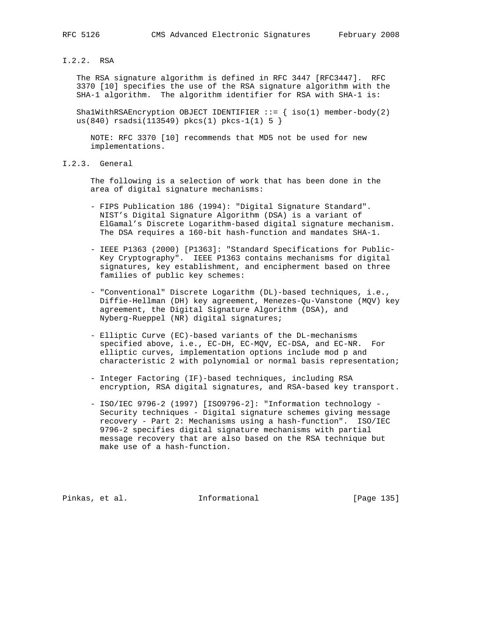## I.2.2. RSA

 The RSA signature algorithm is defined in RFC 3447 [RFC3447]. RFC 3370 [10] specifies the use of the RSA signature algorithm with the SHA-1 algorithm. The algorithm identifier for RSA with SHA-1 is:

Sha1WithRSAEncryption OBJECT IDENTIFIER  $::=$  { iso(1) member-body(2) us(840)  $rsadsi(113549)$   $pkcs(1)$   $pkcs-1(1)$  5 }

 NOTE: RFC 3370 [10] recommends that MD5 not be used for new implementations.

I.2.3. General

 The following is a selection of work that has been done in the area of digital signature mechanisms:

- FIPS Publication 186 (1994): "Digital Signature Standard". NIST's Digital Signature Algorithm (DSA) is a variant of ElGamal's Discrete Logarithm-based digital signature mechanism. The DSA requires a 160-bit hash-function and mandates SHA-1.
- IEEE P1363 (2000) [P1363]: "Standard Specifications for Public- Key Cryptography". IEEE P1363 contains mechanisms for digital signatures, key establishment, and encipherment based on three families of public key schemes:
- "Conventional" Discrete Logarithm (DL)-based techniques, i.e., Diffie-Hellman (DH) key agreement, Menezes-Qu-Vanstone (MQV) key agreement, the Digital Signature Algorithm (DSA), and Nyberg-Rueppel (NR) digital signatures;
- Elliptic Curve (EC)-based variants of the DL-mechanisms specified above, i.e., EC-DH, EC-MQV, EC-DSA, and EC-NR. For elliptic curves, implementation options include mod p and characteristic 2 with polynomial or normal basis representation;
- Integer Factoring (IF)-based techniques, including RSA encryption, RSA digital signatures, and RSA-based key transport.
- ISO/IEC 9796-2 (1997) [ISO9796-2]: "Information technology Security techniques - Digital signature schemes giving message recovery - Part 2: Mechanisms using a hash-function". ISO/IEC 9796-2 specifies digital signature mechanisms with partial message recovery that are also based on the RSA technique but make use of a hash-function.

Pinkas, et al. 10 1nformational 1999 [Page 135]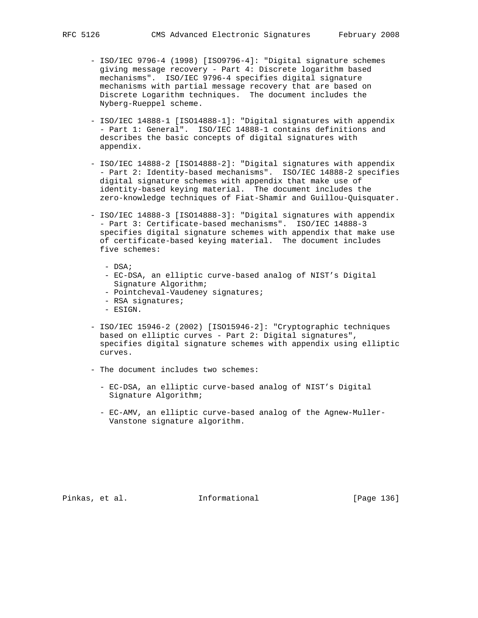- ISO/IEC 9796-4 (1998) [ISO9796-4]: "Digital signature schemes giving message recovery - Part 4: Discrete logarithm based mechanisms". ISO/IEC 9796-4 specifies digital signature mechanisms with partial message recovery that are based on Discrete Logarithm techniques. The document includes the Nyberg-Rueppel scheme.
- ISO/IEC 14888-1 [ISO14888-1]: "Digital signatures with appendix - Part 1: General". ISO/IEC 14888-1 contains definitions and describes the basic concepts of digital signatures with appendix.
- ISO/IEC 14888-2 [ISO14888-2]: "Digital signatures with appendix - Part 2: Identity-based mechanisms". ISO/IEC 14888-2 specifies digital signature schemes with appendix that make use of identity-based keying material. The document includes the zero-knowledge techniques of Fiat-Shamir and Guillou-Quisquater.
- ISO/IEC 14888-3 [ISO14888-3]: "Digital signatures with appendix - Part 3: Certificate-based mechanisms". ISO/IEC 14888-3 specifies digital signature schemes with appendix that make use of certificate-based keying material. The document includes five schemes:
	- DSA;
	- EC-DSA, an elliptic curve-based analog of NIST's Digital Signature Algorithm;
	- Pointcheval-Vaudeney signatures;
	- RSA signatures;
	- ESIGN.
- ISO/IEC 15946-2 (2002) [ISO15946-2]: "Cryptographic techniques based on elliptic curves - Part 2: Digital signatures", specifies digital signature schemes with appendix using elliptic curves.
- The document includes two schemes:
	- EC-DSA, an elliptic curve-based analog of NIST's Digital Signature Algorithm;
	- EC-AMV, an elliptic curve-based analog of the Agnew-Muller- Vanstone signature algorithm.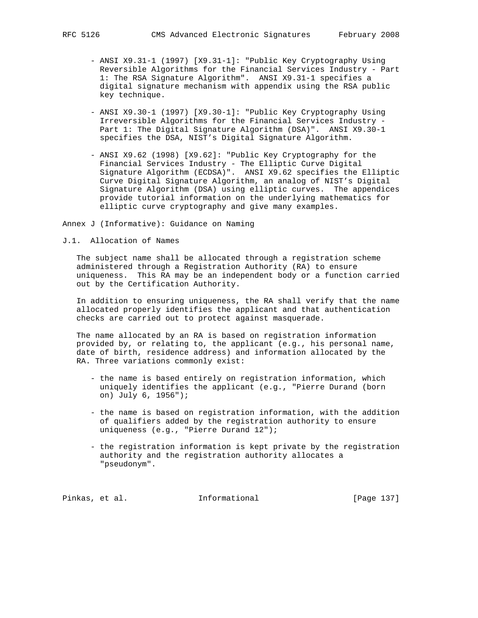- ANSI X9.31-1 (1997) [X9.31-1]: "Public Key Cryptography Using Reversible Algorithms for the Financial Services Industry - Part 1: The RSA Signature Algorithm". ANSI X9.31-1 specifies a digital signature mechanism with appendix using the RSA public key technique.
- ANSI X9.30-1 (1997) [X9.30-1]: "Public Key Cryptography Using Irreversible Algorithms for the Financial Services Industry - Part 1: The Digital Signature Algorithm (DSA)". ANSI X9.30-1 specifies the DSA, NIST's Digital Signature Algorithm.
- ANSI X9.62 (1998) [X9.62]: "Public Key Cryptography for the Financial Services Industry - The Elliptic Curve Digital Signature Algorithm (ECDSA)". ANSI X9.62 specifies the Elliptic Curve Digital Signature Algorithm, an analog of NIST's Digital Signature Algorithm (DSA) using elliptic curves. The appendices provide tutorial information on the underlying mathematics for elliptic curve cryptography and give many examples.

Annex J (Informative): Guidance on Naming

J.1. Allocation of Names

 The subject name shall be allocated through a registration scheme administered through a Registration Authority (RA) to ensure uniqueness. This RA may be an independent body or a function carried out by the Certification Authority.

 In addition to ensuring uniqueness, the RA shall verify that the name allocated properly identifies the applicant and that authentication checks are carried out to protect against masquerade.

 The name allocated by an RA is based on registration information provided by, or relating to, the applicant (e.g., his personal name, date of birth, residence address) and information allocated by the RA. Three variations commonly exist:

- the name is based entirely on registration information, which uniquely identifies the applicant (e.g., "Pierre Durand (born on) July 6, 1956");
- the name is based on registration information, with the addition of qualifiers added by the registration authority to ensure uniqueness (e.g., "Pierre Durand 12");
- the registration information is kept private by the registration authority and the registration authority allocates a "pseudonym".

Pinkas, et al. 10. Informational [Page 137]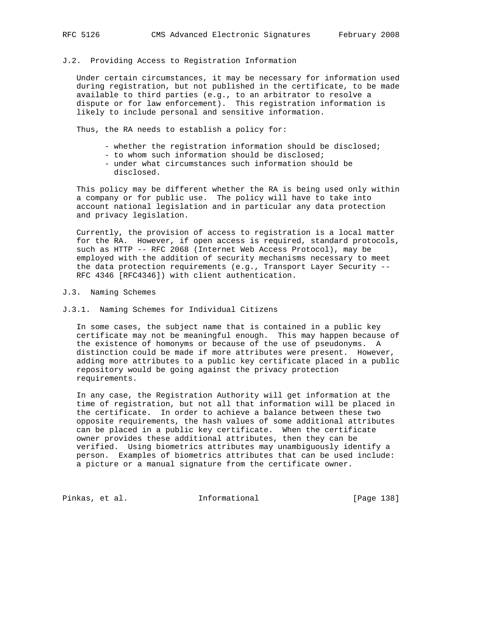## J.2. Providing Access to Registration Information

 Under certain circumstances, it may be necessary for information used during registration, but not published in the certificate, to be made available to third parties (e.g., to an arbitrator to resolve a dispute or for law enforcement). This registration information is likely to include personal and sensitive information.

Thus, the RA needs to establish a policy for:

- whether the registration information should be disclosed;
- to whom such information should be disclosed;
- under what circumstances such information should be disclosed.

 This policy may be different whether the RA is being used only within a company or for public use. The policy will have to take into account national legislation and in particular any data protection and privacy legislation.

 Currently, the provision of access to registration is a local matter for the RA. However, if open access is required, standard protocols, such as HTTP -- RFC 2068 (Internet Web Access Protocol), may be employed with the addition of security mechanisms necessary to meet the data protection requirements (e.g., Transport Layer Security -- RFC 4346 [RFC4346]) with client authentication.

#### J.3. Naming Schemes

J.3.1. Naming Schemes for Individual Citizens

 In some cases, the subject name that is contained in a public key certificate may not be meaningful enough. This may happen because of the existence of homonyms or because of the use of pseudonyms. A distinction could be made if more attributes were present. However, adding more attributes to a public key certificate placed in a public repository would be going against the privacy protection requirements.

 In any case, the Registration Authority will get information at the time of registration, but not all that information will be placed in the certificate. In order to achieve a balance between these two opposite requirements, the hash values of some additional attributes can be placed in a public key certificate. When the certificate owner provides these additional attributes, then they can be verified. Using biometrics attributes may unambiguously identify a person. Examples of biometrics attributes that can be used include: a picture or a manual signature from the certificate owner.

Pinkas, et al. 1nformational 1999 [Page 138]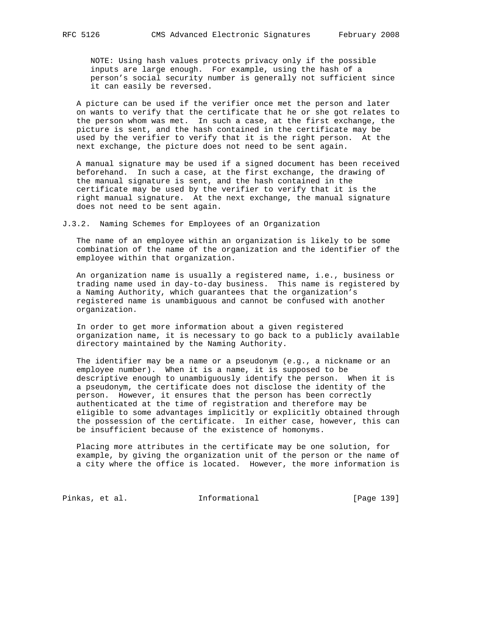NOTE: Using hash values protects privacy only if the possible inputs are large enough. For example, using the hash of a person's social security number is generally not sufficient since it can easily be reversed.

 A picture can be used if the verifier once met the person and later on wants to verify that the certificate that he or she got relates to the person whom was met. In such a case, at the first exchange, the picture is sent, and the hash contained in the certificate may be used by the verifier to verify that it is the right person. At the next exchange, the picture does not need to be sent again.

 A manual signature may be used if a signed document has been received beforehand. In such a case, at the first exchange, the drawing of the manual signature is sent, and the hash contained in the certificate may be used by the verifier to verify that it is the right manual signature. At the next exchange, the manual signature does not need to be sent again.

J.3.2. Naming Schemes for Employees of an Organization

 The name of an employee within an organization is likely to be some combination of the name of the organization and the identifier of the employee within that organization.

 An organization name is usually a registered name, i.e., business or trading name used in day-to-day business. This name is registered by a Naming Authority, which guarantees that the organization's registered name is unambiguous and cannot be confused with another organization.

 In order to get more information about a given registered organization name, it is necessary to go back to a publicly available directory maintained by the Naming Authority.

 The identifier may be a name or a pseudonym (e.g., a nickname or an employee number). When it is a name, it is supposed to be descriptive enough to unambiguously identify the person. When it is a pseudonym, the certificate does not disclose the identity of the person. However, it ensures that the person has been correctly authenticated at the time of registration and therefore may be eligible to some advantages implicitly or explicitly obtained through the possession of the certificate. In either case, however, this can be insufficient because of the existence of homonyms.

 Placing more attributes in the certificate may be one solution, for example, by giving the organization unit of the person or the name of a city where the office is located. However, the more information is

Pinkas, et al. 1nformational 1991 [Page 139]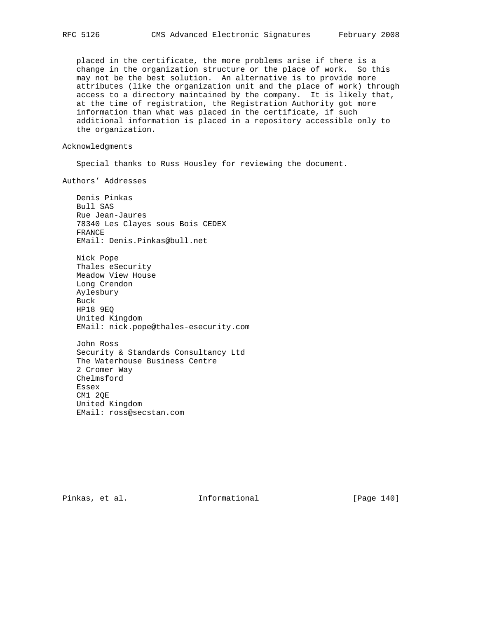placed in the certificate, the more problems arise if there is a change in the organization structure or the place of work. So this may not be the best solution. An alternative is to provide more attributes (like the organization unit and the place of work) through access to a directory maintained by the company. It is likely that, at the time of registration, the Registration Authority got more information than what was placed in the certificate, if such additional information is placed in a repository accessible only to the organization.

### Acknowledgments

Special thanks to Russ Housley for reviewing the document.

Authors' Addresses

 Denis Pinkas Bull SAS Rue Jean-Jaures 78340 Les Clayes sous Bois CEDEX FRANCE EMail: Denis.Pinkas@bull.net

 Nick Pope Thales eSecurity Meadow View House Long Crendon Aylesbury Buck HP18 9EQ United Kingdom EMail: nick.pope@thales-esecurity.com

 John Ross Security & Standards Consultancy Ltd The Waterhouse Business Centre 2 Cromer Way Chelmsford Essex CM1 2QE United Kingdom EMail: ross@secstan.com

Pinkas, et al. Informational [Page 140]